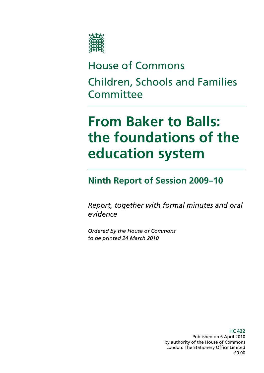

## House of Commons Children, Schools and Families **Committee**

# **From Baker to Balls: the foundations of the education system**

## **Ninth Report of Session 2009–10**

*Report, together with formal minutes and oral evidence* 

*Ordered by the House of Commons to be printed 24 March 2010* 

> **HC 422**  Published on 6 April 2010 by authority of the House of Commons London: The Stationery Office Limited £0.00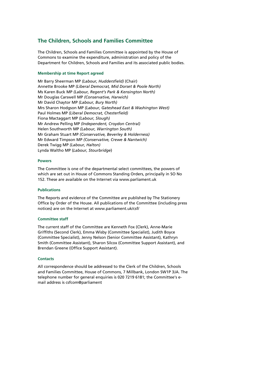## **The Children, Schools and Families Committee**

The Children, Schools and Families Committee is appointed by the House of Commons to examine the expenditure, administration and policy of the Department for Children, Schools and Families and its associated public bodies.

### **Membership at time Report agreed**

Mr Barry Sheerman MP *(Labour, Huddersfield)* (Chair) Annette Brooke MP *(Liberal Democrat, Mid Dorset & Poole North)*  Ms Karen Buck MP *(Labour, Regent's Park & Kensington North)*  Mr Douglas Carswell MP *(Conservative, Harwich)* Mr David Chaytor MP *(Labour, Bury North)* Mrs Sharon Hodgson MP *(Labour, Gateshead East & Washington West)* Paul Holmes MP *(Liberal Democrat, Chesterfield)* Fiona Mactaggart MP *(Labour, Slough)* Mr Andrew Pelling MP *(Independent, Croydon Central)* Helen Southworth MP *(Labour, Warrington South)*  Mr Graham Stuart MP *(Conservative, Beverley & Holderness)*  Mr Edward Timpson MP *(Conservative, Crewe & Nantwich)*  Derek Twigg MP *(Labour, Halton)*  Lynda Waltho MP (*Labour, Stourbridge*)

### **Powers**

The Committee is one of the departmental select committees, the powers of which are set out in House of Commons Standing Orders, principally in SO No 152. These are available on the Internet via www.parliament.uk

### **Publications**

The Reports and evidence of the Committee are published by The Stationery Office by Order of the House. All publications of the Committee (including press notices) are on the Internet at www.parliament.uk/csf/

### **Committee staff**

The current staff of the Committee are Kenneth Fox (Clerk), Anne-Marie Griffiths (Second Clerk), Emma Wisby (Committee Specialist), Judith Boyce (Committee Specialist), Jenny Nelson (Senior Committee Assistant), Kathryn Smith (Committee Assistant), Sharon Silcox (Committee Support Assistant), and Brendan Greene (Office Support Assistant).

### **Contacts**

All correspondence should be addressed to the Clerk of the Children, Schools and Families Committee, House of Commons, 7 Millbank, London SW1P 3JA. The telephone number for general enquiries is 020 7219 6181; the Committee's email address is csfcom@parliament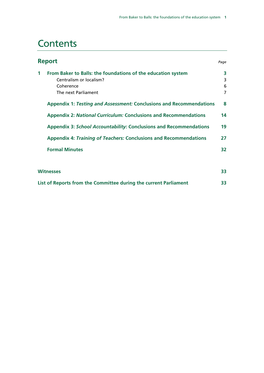## **Contents**

| From Baker to Balls: the foundations of the education system<br>1<br>Centralism or localism? | 3<br>3<br>6 |
|----------------------------------------------------------------------------------------------|-------------|
|                                                                                              |             |
|                                                                                              |             |
| Coherence                                                                                    |             |
| The next Parliament                                                                          | 7           |
| Appendix 1: Testing and Assessment: Conclusions and Recommendations                          | 8           |
| <b>Appendix 2: National Curriculum: Conclusions and Recommendations</b>                      | 14          |
| <b>Appendix 3: School Accountability: Conclusions and Recommendations</b>                    | 19          |
| <b>Appendix 4: Training of Teachers: Conclusions and Recommendations</b>                     | 27          |
| <b>Formal Minutes</b>                                                                        | 32          |
|                                                                                              |             |

| List of Reports from the Committee during the current Parliament |  |
|------------------------------------------------------------------|--|

**Witnesses 33**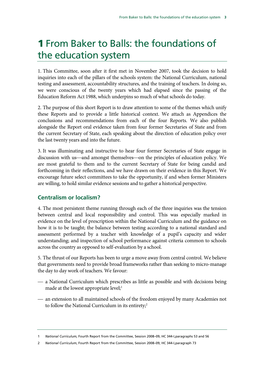## 1 From Baker to Balls: the foundations of the education system

1. This Committee, soon after it first met in November 2007, took the decision to hold inquiries into each of the pillars of the schools system: the National Curriculum, national testing and assessment, accountability structures, and the training of teachers. In doing so, we were conscious of the twenty years which had elapsed since the passing of the Education Reform Act 1988, which underpins so much of what schools do today.

2. The purpose of this short Report is to draw attention to some of the themes which unify these Reports and to provide a little historical context. We attach as Appendices the conclusions and recommendations from each of the four Reports. We also publish alongside the Report oral evidence taken from four former Secretaries of State and from the current Secretary of State, each speaking about the direction of education policy over the last twenty years and into the future.

3. It was illuminating and instructive to hear four former Secretaries of State engage in discussion with us—and amongst themselves—on the principles of education policy. We are most grateful to them and to the current Secretary of State for being candid and forthcoming in their reflections, and we have drawn on their evidence in this Report. We encourage future select committees to take the opportunity, if and when former Ministers are willing, to hold similar evidence sessions and to gather a historical perspective.

## **Centralism or localism?**

4. The most persistent theme running through each of the three inquiries was the tension between central and local responsibility and control. This was especially marked in evidence on the level of prescription within the National Curriculum and the guidance on how it is to be taught; the balance between testing according to a national standard and assessment performed by a teacher with knowledge of a pupil's capacity and wider understanding; and inspection of school performance against criteria common to schools across the country as opposed to self-evaluation by a school.

5. The thrust of our Reports has been to urge a move away from central control. We believe that governments need to provide broad frameworks rather than seeking to micro-manage the day to day work of teachers. We favour:

- a National Curriculum which prescribes as little as possible and with decisions being made at the lowest appropriate level;<sup>1</sup>
- an extension to all maintained schools of the freedom enjoyed by many Academies not to follow the National Curriculum in its entirety;<sup>2</sup>

<sup>1</sup> *National Curriculum,* Fourth Report from the Committee, Session 2008–09, HC 344-I,paragraphs 53 and 56

<sup>2</sup> *National Curriculum*, Fourth Report from the Committee, Session 2008–09, HC 344-I,paragraph 73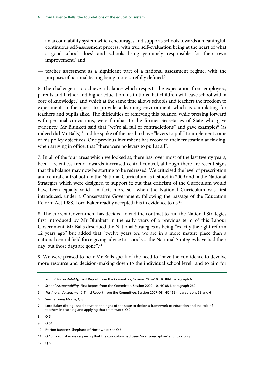- an accountability system which encourages and supports schools towards a meaningful, continuous self-assessment process, with true self-evaluation being at the heart of what a good school does<sup>3</sup> and schools being genuinely responsible for their own improvement;<sup>4</sup> and
- teacher assessment as a significant part of a national assessment regime, with the purposes of national testing being more carefully defined.<sup>5</sup>

6. The challenge is to achieve a balance which respects the expectation from employers, parents and further and higher education institutions that children will leave school with a core of knowledge,<sup>6</sup> and which at the same time allows schools and teachers the freedom to experiment in the quest to provide a learning environment which is stimulating for teachers and pupils alike. The difficulties of achieving this balance, while pressing forward with personal convictions, were familiar to the former Secretaries of State who gave evidence.<sup>7</sup> Mr Blunkett said that "we're all full of contradictions" and gave examples<sup>8</sup> (as indeed did Mr Balls);<sup>9</sup> and he spoke of the need to have "levers to pull" to implement some of his policy objectives. One previous incumbent has recorded their frustration at finding, when arriving in office, that "there were no levers to pull at all".<sup>10</sup>

7. In all of the four areas which we looked at, there has, over most of the last twenty years, been a relentless trend towards increased central control, although there are recent signs that the balance may now be starting to be redressed. We criticised the level of prescription and central control both in the National Curriculum as it stood in 2009 and in the National Strategies which were designed to support it; but that criticism of the Curriculum would have been equally valid—in fact, more so—when the National Curriculum was first introduced, under a Conservative Government, following the passage of the Education Reform Act 1988. Lord Baker readily accepted this in evidence to us.<sup>11</sup>

8. The current Government has decided to end the contract to run the National Strategies first introduced by Mr Blunkett in the early years of a previous term of this Labour Government. Mr Balls described the National Strategies as being "exactly the right reform 12 years ago" but added that "twelve years on, we are in a more mature place than a national central field force giving advice to schools ... the National Strategies have had their day, but those days are gone".<sup>12</sup>

9. We were pleased to hear Mr Balls speak of the need to "have the confidence to devolve more resource and decision-making down to the individual school level" and to aim for

<sup>3</sup> *School Accountability,* First Report from the Committee, Session 2009–10, HC 88-I, paragraph 63

<sup>4</sup> *School Accountability,* First Report from the Committee, Session 2009–10, HC 88-I, paragraph 260

<sup>5</sup> *Testing and Assessment,* Third Report from the Committee, Session 2007–08, HC 169-I, paragraphs 58 and 61

<sup>6</sup> See Baroness Morris, Q 8

Lord Baker distinguished between the right of the state to decide a framework of education and the role of teachers in teaching and applying that framework: Q 2

<sup>8</sup> Q 5

<sup>9</sup> Q 51

<sup>10</sup> Rt Hon Baroness Shephard of Northwold: see Q 6

<sup>11</sup> Q 10, Lord Baker was agreeing that the curriculum had been 'over prescriptive' and 'too long'.

<sup>12</sup> Q 55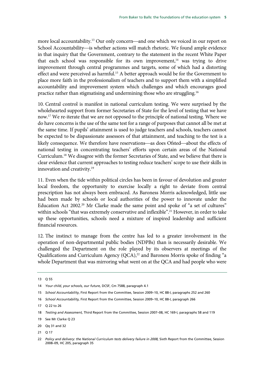more local accountability.<sup>13</sup> Our only concern—and one which we voiced in our report on School Accountability—is whether actions will match rhetoric. We found ample evidence in that inquiry that the Government, contrary to the statement in the recent White Paper that each school was responsible for its own improvement,<sup>14</sup> was trying to drive improvement through central programmes and targets, some of which had a distorting effect and were perceived as harmful.<sup>15</sup> A better approach would be for the Government to place more faith in the professionalism of teachers and to support them with a simplified accountability and improvement system which challenges and which encourages good practice rather than stigmatising and undermining those who are struggling.<sup>16</sup>

10. Central control is manifest in national curriculum testing. We were surprised by the wholehearted support from former Secretaries of State for the level of testing that we have now.<sup>17</sup> We re-iterate that we are not opposed to the principle of national testing. Where we do have concerns is the use of the same test for a range of purposes that cannot all be met at the same time. If pupils' attainment is used to judge teachers and schools, teachers cannot be expected to be dispassionate assessors of that attainment, and teaching to the test is a likely consequence. We therefore have reservations—as does Ofsted—about the effects of national testing in concentrating teachers' efforts upon certain areas of the National Curriculum.18 We disagree with the former Secretaries of State, and we believe that there is clear evidence that current approaches to testing reduce teachers' scope to use their skills in innovation and creativity.<sup>19</sup>

11. Even when the tide within political circles has been in favour of devolution and greater local freedom, the opportunity to exercise locally a right to deviate from central prescription has not always been embraced. As Baroness Morris acknowledged, little use had been made by schools or local authorities of the power to innovate under the Education Act 2002.<sup>20</sup> Mr Clarke made the same point and spoke of "a set of cultures" within schools "that was extremely conservative and inflexible".<sup>21</sup> However, in order to take up these opportunities, schools need a mixture of inspired leadership and sufficient financial resources.

12. The instinct to manage from the centre has led to a greater involvement in the operation of non-departmental public bodies (NDPBs) than is necessarily desirable. We challenged the Department on the role played by its observers at meetings of the Qualifications and Curriculum Agency (QCA),<sup>22</sup> and Baroness Morris spoke of finding "a whole Department that was mirroring what went on at the QCA and had people who were

<sup>13</sup> Q 55

<sup>14</sup> *Your child, your schools, our future,* DCSF, Cm 7588, paragraph 4.1

<sup>15</sup> *School Accountability*, First Report from the Committee, Session 2009–10, HC 88-I, paragraphs 252 and 260

<sup>16</sup> *School Accountability,* First Report from the Committee, Session 2009–10, HC 88-I, paragraph 266

<sup>17</sup> Q 22 to 26

<sup>18</sup> *Testing and Assessment,* Third Report from the Committee, Session 2007–08, HC 169-I, paragraphs 58 and 119

<sup>19</sup> See Mr Clarke Q 23

<sup>20</sup> Qq 31 and 32

<sup>21</sup> Q 17

<sup>22</sup> *Policy and delivery: the National Curriculum tests delivery failure in 2008*, Sixth Report from the Committee, Session 2008–09, HC 205, paragraph 35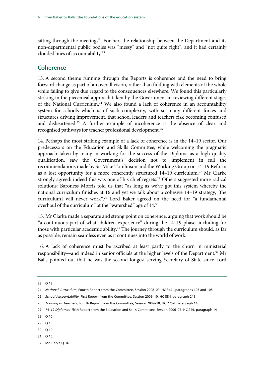sitting through the meetings". For her, the relationship between the Department and its non-departmental public bodies was "messy" and "not quite right", and it had certainly clouded lines of accountability.23

## **Coherence**

13. A second theme running through the Reports is coherence and the need to bring forward change as part of an overall vision, rather than fiddling with elements of the whole while failing to give due regard to the consequences elsewhere. We found this particularly striking in the piecemeal approach taken by the Government in reviewing different stages of the National Curriculum.<sup>24</sup> We also found a lack of coherence in an accountability system for schools which is of such complexity, with so many different forces and structures driving improvement, that school leaders and teachers risk becoming confused and disheartened.25 A further example of incoherence is the absence of clear and recognised pathways for teacher professional development.26

14. Perhaps the most striking example of a lack of coherence is in the 14–19 sector. Our predecessors on the Education and Skills Committee, while welcoming the pragmatic approach taken by many in working for the success of the Diploma as a high quality qualification, saw the Government's decision not to implement in full the recommendations made by Sir Mike Tomlinson and the Working Group on 14–19 Reform as a lost opportunity for a more coherently structured 14-19 curriculum.<sup>27</sup> Mr Clarke strongly agreed: indeed this was one of his chief regrets.<sup>28</sup> Others suggested more radical solutions: Baroness Morris told us that "as long as we've got this system whereby the national curriculum finishes at 16 and yet we talk about a cohesive 14–19 strategy, [the curriculum] will never work".<sup>29</sup> Lord Baker agreed on the need for "a fundamental overhaul of the curriculum" at the "watershed" age of 14.<sup>30</sup>

15. Mr Clarke made a separate and strong point on coherence, arguing that work should be "a continuous part of what children experience" during the 14–19 phase, including for those with particular academic ability.<sup>31</sup> The journey through the curriculum should, as far as possible, remain seamless even as it continues into the world of work.

16. A lack of coherence must be ascribed at least partly to the churn in ministerial responsibility—and indeed in senior officials at the higher levels of the Department.<sup>32</sup> Mr Balls pointed out that he was the second longest-serving Secretary of State since Lord

28 Q 10

- 30 Q 10
- 31 Q 10
- 32 Mr Clarke Q 34

<sup>23</sup> Q 18

<sup>24</sup> *National Curriculum*, Fourth Report from the Committee, Session 2008–09, HC 344-I,paragraphs 103 and 105

<sup>25</sup> *School Accountability,* First Report from the Committee, Session 2009–10, HC 88-I, paragraph 249

<sup>26</sup> *Training of Teachers*, Fourth Report from the Committee, Session 2009–10, HC 275-I, paragraph 145

<sup>27</sup> *14–19 Diplomas,* Fifth Report from the Education and Skills Committee, Session 2006–07, HC 249, paragraph 14

<sup>29</sup> Q 10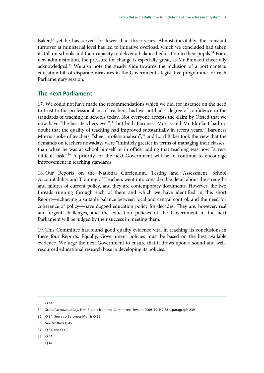Baker,<sup>33</sup> yet he has served for fewer than three years. Almost inevitably, the constant turnover at ministerial level has led to initiative overload, which we concluded had taken its toll on schools and their capacity to deliver a balanced education to their pupils.<sup>34</sup> For a new administration, the pressure for change is especially great, as Mr Blunkett cheerfully acknowledged.35 We also note the steady slide towards the inclusion of a portmanteau education bill of disparate measures in the Government's legislative programme for each Parliamentary session.

## **The next Parliament**

17. We could not have made the recommendations which we did, for instance on the need to trust to the professionalism of teachers, had we not had a degree of confidence in the standards of teaching in schools today. Not everyone accepts the claim by Ofsted that we now have "the best teachers ever";<sup>36</sup> but both Baroness Morris and Mr Blunkett had no doubt that the quality of teaching had improved substantially in recent years.<sup>37</sup> Baroness Morris spoke of teachers' "sheer professionalism",<sup>38</sup> and Lord Baker took the view that the demands on teachers nowadays were "infinitely greater in terms of managing their classes" than when he was at school himself or in office, adding that teaching was now "a very difficult task".<sup>39</sup> A priority for the next Government will be to continue to encourage improvement in teaching standards.

18. Our Reports on the National Curriculum, Testing and Assessment, School Accountability and Training of Teachers went into considerable detail about the strengths and failures of current policy, and they are contemporary documents. However, the two threads running through each of them and which we have identified in this short Report—achieving a suitable balance between local and central control, and the need for coherence of policy—have dogged education policy for decades. They are, however, real and urgent challenges, and the education policies of the Government in the next Parliament will be judged by their success in meeting them.

19. This Committee has found good quality evidence vital in reaching its conclusions in these four Reports. Equally, Government policies must be based on the best available evidence. We urge the next Government to ensure that it draws upon a sound and wellresourced educational research base in developing its policies.

- 37 Q 34 and Q 40
- 38 Q 41
- 39 Q 42

<sup>33</sup> Q 44

<sup>34</sup> *School accountability,* First Report from the Committee, Session 2009–10, HC 88-I, paragraph 239

<sup>35</sup> Q 34. See also Baroness Morris Q 35

<sup>36</sup> See Mr Balls Q 45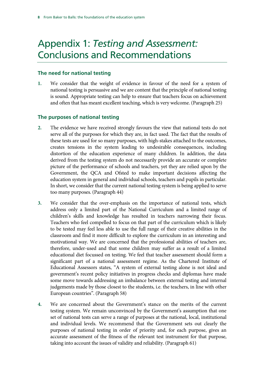## Appendix 1: *Testing and Assessment:* Conclusions and Recommendations

## **The need for national testing**

**1.** We consider that the weight of evidence in favour of the need for a system of national testing is persuasive and we are content that the principle of national testing is sound. Appropriate testing can help to ensure that teachers focus on achievement and often that has meant excellent teaching, which is very welcome. (Paragraph 25)

## **The purposes of national testing**

- **2.** The evidence we have received strongly favours the view that national tests do not serve all of the purposes for which they are, in fact used. The fact that the results of these tests are used for so many purposes, with high-stakes attached to the outcomes, creates tensions in the system leading to undesirable consequences, including distortion of the education experience of many children. In addition, the data derived from the testing system do not necessarily provide an accurate or complete picture of the performance of schools and teachers, yet they are relied upon by the Government, the QCA and Ofsted to make important decisions affecting the education system in general and individual schools, teachers and pupils in particular. In short, we consider that the current national testing system is being applied to serve too many purposes. (Paragraph 44)
- **3.** We consider that the over-emphasis on the importance of national tests, which address only a limited part of the National Curriculum and a limited range of children's skills and knowledge has resulted in teachers narrowing their focus. Teachers who feel compelled to focus on that part of the curriculum which is likely to be tested may feel less able to use the full range of their creative abilities in the classroom and find it more difficult to explore the curriculum in an interesting and motivational way. We are concerned that the professional abilities of teachers are, therefore, under-used and that some children may suffer as a result of a limited educational diet focussed on testing. We feel that teacher assessment should form a significant part of a national assessment regime. As the Chartered Institute of Educational Assessors states, "A system of external testing alone is not ideal and government's recent policy initiatives in progress checks and diplomas have made some move towards addressing an imbalance between external testing and internal judgements made by those closest to the students, i.e. the teachers, in line with other European countries". (Paragraph 58)
- **4.** We are concerned about the Government's stance on the merits of the current testing system. We remain unconvinced by the Government's assumption that one set of national tests can serve a range of purposes at the national, local, institutional and individual levels. We recommend that the Government sets out clearly the purposes of national testing in order of priority and, for each purpose, gives an accurate assessment of the fitness of the relevant test instrument for that purpose, taking into account the issues of validity and reliability. (Paragraph 61)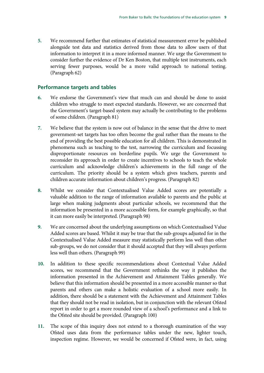**5.** We recommend further that estimates of statistical measurement error be published alongside test data and statistics derived from those data to allow users of that information to interpret it in a more informed manner. We urge the Government to consider further the evidence of Dr Ken Boston, that multiple test instruments, each serving fewer purposes, would be a more valid approach to national testing. (Paragraph 62)

## **Performance targets and tables**

- **6.** We endorse the Government's view that much can and should be done to assist children who struggle to meet expected standards. However, we are concerned that the Government's target-based system may actually be contributing to the problems of some children. (Paragraph 81)
- **7.** We believe that the system is now out of balance in the sense that the drive to meet government-set targets has too often become the goal rather than the means to the end of providing the best possible education for all children. This is demonstrated in phenomena such as teaching to the test, narrowing the curriculum and focussing disproportionate resources on borderline pupils. We urge the Government to reconsider its approach in order to create incentives to schools to teach the whole curriculum and acknowledge children's achievements in the full range of the curriculum. The priority should be a system which gives teachers, parents and children accurate information about children's progress. (Paragraph 82)
- **8.** Whilst we consider that Contextualised Value Added scores are potentially a valuable addition to the range of information available to parents and the public at large when making judgments about particular schools, we recommend that the information be presented in a more accessible form, for example graphically, so that it can more easily be interpreted. (Paragraph 98)
- **9.** We are concerned about the underlying assumptions on which Contextualised Value Added scores are based. Whilst it may be true that the sub-groups adjusted for in the Contextualised Value Added measure may statistically perform less well than other sub-groups, we do not consider that it should accepted that they will always perform less well than others. (Paragraph 99)
- **10.** In addition to these specific recommendations about Contextual Value Added scores, we recommend that the Government rethinks the way it publishes the information presented in the Achievement and Attainment Tables generally. We believe that this information should be presented in a more accessible manner so that parents and others can make a holistic evaluation of a school more easily. In addition, there should be a statement with the Achievement and Attainment Tables that they should not be read in isolation, but in conjunction with the relevant Ofsted report in order to get a more rounded view of a school's performance and a link to the Ofsted site should be provided. (Paragraph 100)
- **11.** The scope of this inquiry does not extend to a thorough examination of the way Ofsted uses data from the performance tables under the new, lighter touch, inspection regime. However, we would be concerned if Ofsted were, in fact, using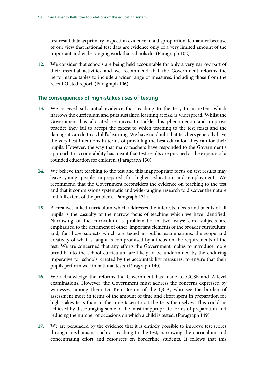test result data as primary inspection evidence in a disproportionate manner because of our view that national test data are evidence only of a very limited amount of the important and wide-ranging work that schools do. (Paragraph 102)

**12.** We consider that schools are being held accountable for only a very narrow part of their essential activities and we recommend that the Government reforms the performance tables to include a wider range of measures, including those from the recent Ofsted report. (Paragraph 106)

## **The consequences of high-stakes uses of testing**

- **13.** We received substantial evidence that teaching to the test, to an extent which narrows the curriculum and puts sustained learning at risk, is widespread. Whilst the Government has allocated resources to tackle this phenomenon and improve practice they fail to accept the extent to which teaching to the test exists and the damage it can do to a child's learning. We have no doubt that teachers generally have the very best intentions in terms of providing the best education they can for their pupils. However, the way that many teachers have responded to the Government's approach to accountability has meant that test results are pursued at the expense of a rounded education for children. (Paragraph 130)
- **14.** We believe that teaching to the test and this inappropriate focus on test results may leave young people unprepared for higher education and employment. We recommend that the Government reconsiders the evidence on teaching to the test and that it commissions systematic and wide-ranging research to discover the nature and full extent of the problem. (Paragraph 131)
- **15.** A creative, linked curriculum which addresses the interests, needs and talents of all pupils is the casualty of the narrow focus of teaching which we have identified. Narrowing of the curriculum is problematic in two ways: core subjects are emphasised to the detriment of other, important elements of the broader curriculum; and, for those subjects which are tested in public examinations, the scope and creativity of what is taught is compromised by a focus on the requirements of the test. We are concerned that any efforts the Government makes to introduce more breadth into the school curriculum are likely to be undermined by the enduring imperative for schools, created by the accountability measures, to ensure that their pupils perform well in national tests. (Paragraph 140)
- **16.** We acknowledge the reforms the Government has made to GCSE and A-level examinations. However, the Government must address the concerns expressed by witnesses, among them Dr Ken Boston of the QCA, who see the burden of assessment more in terms of the amount of time and effort spent in preparation for high-stakes tests than in the time taken to sit the tests themselves. This could be achieved by discouraging some of the most inappropriate forms of preparation and reducing the number of occasions on which a child is tested. (Paragraph 149)
- **17.** We are persuaded by the evidence that it is entirely possible to improve test scores through mechanisms such as teaching to the test, narrowing the curriculum and concentrating effort and resources on borderline students. It follows that this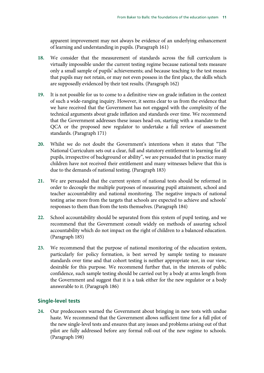apparent improvement may not always be evidence of an underlying enhancement of learning and understanding in pupils. (Paragraph 161)

- **18.** We consider that the measurement of standards across the full curriculum is virtually impossible under the current testing regime because national tests measure only a small sample of pupils' achievements; and because teaching to the test means that pupils may not retain, or may not even possess in the first place, the skills which are supposedly evidenced by their test results. (Paragraph 162)
- **19.** It is not possible for us to come to a definitive view on grade inflation in the context of such a wide-ranging inquiry. However, it seems clear to us from the evidence that we have received that the Government has not engaged with the complexity of the technical arguments about grade inflation and standards over time. We recommend that the Government addresses these issues head-on, starting with a mandate to the QCA or the proposed new regulator to undertake a full review of assessment standards. (Paragraph 171)
- **20.** Whilst we do not doubt the Government's intentions when it states that "The National Curriculum sets out a clear, full and statutory entitlement to learning for all pupils, irrespective of background or ability", we are persuaded that in practice many children have not received their entitlement and many witnesses believe that this is due to the demands of national testing. (Paragraph 183)
- **21.** We are persuaded that the current system of national tests should be reformed in order to decouple the multiple purposes of measuring pupil attainment, school and teacher accountability and national monitoring. The negative impacts of national testing arise more from the targets that schools are expected to achieve and schools' responses to them than from the tests themselves. (Paragraph 184)
- **22.** School accountability should be separated from this system of pupil testing, and we recommend that the Government consult widely on methods of assuring school accountability which do not impact on the right of children to a balanced education. (Paragraph 185)
- **23.** We recommend that the purpose of national monitoring of the education system, particularly for policy formation, is best served by sample testing to measure standards over time and that cohort testing is neither appropriate nor, in our view, desirable for this purpose. We recommend further that, in the interests of public confidence, such sample testing should be carried out by a body at arms length from the Government and suggest that it is a task either for the new regulator or a body answerable to it. (Paragraph 186)

## **Single-level tests**

**24.** Our predecessors warned the Government about bringing in new tests with undue haste. We recommend that the Government allows sufficient time for a full pilot of the new single-level tests and ensures that any issues and problems arising out of that pilot are fully addressed before any formal roll-out of the new regime to schools. (Paragraph 198)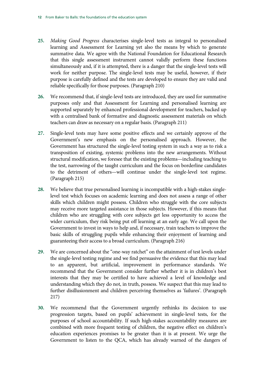- **25.** *Making Good Progress* characterises single-level tests as integral to personalised learning and Assessment for Learning yet also the means by which to generate summative data. We agree with the National Foundation for Educational Research that this single assessment instrument cannot validly perform these functions simultaneously and, if it is attempted, there is a danger that the single-level tests will work for neither purpose. The single-level tests may be useful, however, if their purpose is carefully defined and the tests are developed to ensure they are valid and reliable specifically for those purposes. (Paragraph 210)
- **26.** We recommend that, if single-level tests are introduced, they are used for summative purposes only and that Assessment for Learning and personalised learning are supported separately by enhanced professional development for teachers, backed up with a centralised bank of formative and diagnostic assessment materials on which teachers can draw as necessary on a regular basis. (Paragraph 211)
- **27.** Single-level tests may have some positive effects and we certainly approve of the Government's new emphasis on the personalised approach. However, the Government has structured the single-level testing system in such a way as to risk a transposition of existing, systemic problems into the new arrangements. Without structural modification, we foresee that the existing problems—including teaching to the test, narrowing of the taught curriculum and the focus on borderline candidates to the detriment of others—will continue under the single-level test regime. (Paragraph 215)
- **28.** We believe that true personalised learning is incompatible with a high-stakes singlelevel test which focuses on academic learning and does not assess a range of other skills which children might possess. Children who struggle with the core subjects may receive more targeted assistance in those subjects. However, if this means that children who are struggling with core subjects get less opportunity to access the wider curriculum, they risk being put off learning at an early age. We call upon the Government to invest in ways to help and, if necessary, train teachers to improve the basic skills of struggling pupils while enhancing their enjoyment of learning and guaranteeing their access to a broad curriculum. (Paragraph 216)
- **29.** We are concerned about the "one-way ratchet" on the attainment of test levels under the single-level testing regime and we find persuasive the evidence that this may lead to an apparent, but artificial, improvement in performance standards. We recommend that the Government consider further whether it is in children's best interests that they may be certified to have achieved a level of knowledge and understanding which they do not, in truth, possess. We suspect that this may lead to further disillusionment and children perceiving themselves as 'failures'. (Paragraph 217)
- **30.** We recommend that the Government urgently rethinks its decision to use progression targets, based on pupils' achievement in single-level tests, for the purposes of school accountability. If such high-stakes accountability measures are combined with more frequent testing of children, the negative effect on children's education experiences promises to be greater than it is at present. We urge the Government to listen to the QCA, which has already warned of the dangers of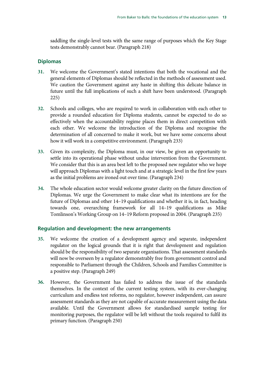saddling the single-level tests with the same range of purposes which the Key Stage tests demonstrably cannot bear. (Paragraph 218)

## **Diplomas**

- **31.** We welcome the Government's stated intentions that both the vocational and the general elements of Diplomas should be reflected in the methods of assessment used. We caution the Government against any haste in shifting this delicate balance in future until the full implications of such a shift have been understood. (Paragraph 225)
- **32.** Schools and colleges, who are required to work in collaboration with each other to provide a rounded education for Diploma students, cannot be expected to do so effectively when the accountability regime places them in direct competition with each other. We welcome the introduction of the Diploma and recognise the determination of all concerned to make it work, but we have some concerns about how it will work in a competitive environment. (Paragraph 233)
- **33.** Given its complexity, the Diploma must, in our view, be given an opportunity to settle into its operational phase without undue intervention from the Government. We consider that this is an area best left to the proposed new regulator who we hope will approach Diplomas with a light touch and at a strategic level in the first few years as the initial problems are ironed out over time. (Paragraph 234)
- **34.** The whole education sector would welcome greater clarity on the future direction of Diplomas. We urge the Government to make clear what its intentions are for the future of Diplomas and other 14–19 qualifications and whether it is, in fact, heading towards one, overarching framework for all 14–19 qualifications as Mike Tomlinson's Working Group on 14–19 Reform proposed in 2004. (Paragraph 235)

## **Regulation and development: the new arrangements**

- **35.** We welcome the creation of a development agency and separate, independent regulator on the logical grounds that it is right that development and regulation should be the responsibility of two separate organisations. That assessment standards will now be overseen by a regulator demonstrably free from government control and responsible to Parliament through the Children, Schools and Families Committee is a positive step. (Paragraph 249)
- **36.** However, the Government has failed to address the issue of the standards themselves. In the context of the current testing system, with its ever-changing curriculum and endless test reforms, no regulator, however independent, can assure assessment standards as they are not capable of accurate measurement using the data available. Until the Government allows for standardised sample testing for monitoring purposes, the regulator will be left without the tools required to fulfil its primary function. (Paragraph 250)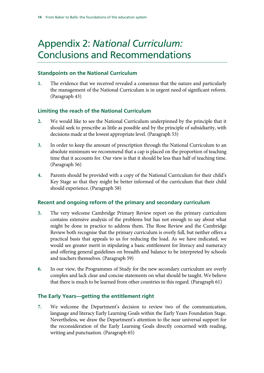## Appendix 2: *National Curriculum:*  Conclusions and Recommendations

## **Standpoints on the National Curriculum**

**1.** The evidence that we received revealed a consensus that the nature and particularly the management of the National Curriculum is in urgent need of significant reform. (Paragraph 43)

## **Limiting the reach of the National Curriculum**

- **2.** We would like to see the National Curriculum underpinned by the principle that it should seek to prescribe as little as possible and by the principle of subsidiarity, with decisions made at the lowest appropriate level. (Paragraph 53)
- **3.** In order to keep the amount of prescription through the National Curriculum to an absolute minimum we recommend that a cap is placed on the proportion of teaching time that it accounts for. Our view is that it should be less than half of teaching time. (Paragraph 56)
- **4.** Parents should be provided with a copy of the National Curriculum for their child's Key Stage so that they might be better informed of the curriculum that their child should experience. (Paragraph 58)

## **Recent and ongoing reform of the primary and secondary curriculum**

- **5.** The very welcome Cambridge Primary Review report on the primary curriculum contains extensive analysis of the problems but has not enough to say about what might be done in practice to address them. The Rose Review and the Cambridge Review both recognise that the primary curriculum is overly full, but neither offers a practical basis that appeals to us for reducing the load. As we have indicated, we would see greater merit in stipulating a basic entitlement for literacy and numeracy and offering general guidelines on breadth and balance to be interpreted by schools and teachers themselves. (Paragraph 59)
- **6.** In our view, the Programmes of Study for the new secondary curriculum are overly complex and lack clear and concise statements on what should be taught. We believe that there is much to be learned from other countries in this regard. (Paragraph 61)

## **The Early Years—getting the entitlement right**

**7.** We welcome the Department's decision to review two of the communication, language and literacy Early Learning Goals within the Early Years Foundation Stage. Nevertheless, we draw the Department's attention to the near universal support for the reconsideration of the Early Learning Goals directly concerned with reading, writing and punctuation. (Paragraph 65)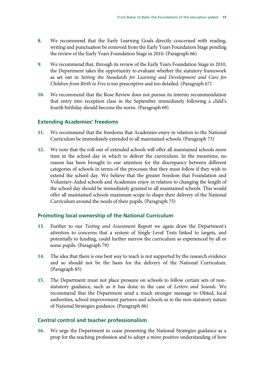- **8.** We recommend that the Early Learning Goals directly concerned with reading, writing and punctuation be removed from the Early Years Foundation Stage pending the review of the Early Years Foundation Stage in 2010. (Paragraph 66)
- **9.** We recommend that, through its review of the Early Years Foundation Stage in 2010, the Department takes the opportunity to evaluate whether the statutory framework as set out in *Setting the Standards for Learning and Development and Care for Children from Birth to Five* is too prescriptive and too detailed. (Paragraph 67)
- **10.** We recommend that the Rose Review does not pursue its interim recommendation that entry into reception class in the September immediately following a child's fourth birthday should become the norm. (Paragraph 69)

## **Extending Academies' freedoms**

- **11.** We recommend that the freedoms that Academies enjoy in relation to the National Curriculum be immediately extended to all maintained schools. (Paragraph 73)
- **12.** We note that the roll-out of extended schools will offer all maintained schools more time in the school day in which to deliver the curriculum. In the meantime, no reason has been brought to our attention for the discrepancy between different categories of schools in terms of the processes that they must follow if they wish to extend the school day. We believe that the greater freedom that Foundation and Voluntary-Aided schools and Academies enjoy in relation to changing the length of the school day should be immediately granted to all maintained schools. This would offer all maintained schools maximum scope to shape their delivery of the National Curriculum around the needs of their pupils. (Paragraph 75)

## **Promoting local ownership of the National Curriculum**

- **13.** Further to our *Testing and Assessment* Report we again draw the Department's attention to concerns that a system of Single Level Tests linked to targets, and potentially to funding, could further narrow the curriculum as experienced by all or some pupils. (Paragraph 79)
- **14.** The idea that there is one best way to teach is not supported by the research evidence and so should not be the basis for the delivery of the National Curriculum. (Paragraph 85)
- **15.** The Department must not place pressure on schools to follow certain sets of nonstatutory guidance, such as it has done in the case of *Letters and Sounds*. We recommend that the Department send a much stronger message to Ofsted, local authorities, school improvement partners and schools as to the non-statutory nature of National Strategies guidance. (Paragraph 86)

## **Central control and teacher professionalism**

**16.** We urge the Department to cease presenting the National Strategies guidance as a prop for the teaching profession and to adopt a more positive understanding of how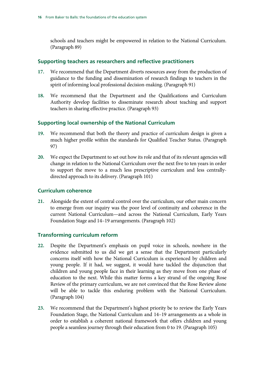schools and teachers might be empowered in relation to the National Curriculum. (Paragraph 89)

## **Supporting teachers as researchers and reflective practitioners**

- **17.** We recommend that the Department diverts resources away from the production of guidance to the funding and dissemination of research findings to teachers in the spirit of informing local professional decision-making. (Paragraph 91)
- **18.** We recommend that the Department and the Qualifications and Curriculum Authority develop facilities to disseminate research about teaching and support teachers in sharing effective practice. (Paragraph 93)

## **Supporting local ownership of the National Curriculum**

- **19.** We recommend that both the theory and practice of curriculum design is given a much higher profile within the standards for Qualified Teacher Status. (Paragraph 97)
- **20.** We expect the Department to set out how its role and that of its relevant agencies will change in relation to the National Curriculum over the next five to ten years in order to support the move to a much less prescriptive curriculum and less centrallydirected approach to its delivery. (Paragraph 101)

## **Curriculum coherence**

**21.** Alongside the extent of central control over the curriculum, our other main concern to emerge from our inquiry was the poor level of continuity and coherence in the current National Curriculum—and across the National Curriculum, Early Years Foundation Stage and 14–19 arrangements. (Paragraph 102)

## **Transforming curriculum reform**

- **22.** Despite the Department's emphasis on pupil voice in schools, nowhere in the evidence submitted to us did we get a sense that the Department particularly concerns itself with how the National Curriculum is experienced by children and young people. If it had, we suggest, it would have tackled the disjunction that children and young people face in their learning as they move from one phase of education to the next. While this matter forms a key strand of the ongoing Rose Review of the primary curriculum, we are not convinced that the Rose Review alone will be able to tackle this enduring problem with the National Curriculum. (Paragraph 104)
- **23.** We recommend that the Department's highest priority be to review the Early Years Foundation Stage, the National Curriculum and 14–19 arrangements as a whole in order to establish a coherent national framework that offers children and young people a seamless journey through their education from 0 to 19. (Paragraph 105)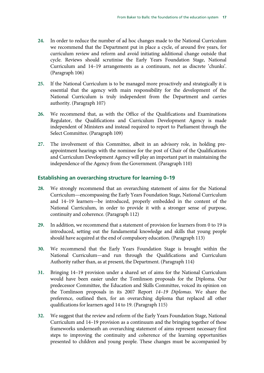- **24.** In order to reduce the number of ad hoc changes made to the National Curriculum we recommend that the Department put in place a cycle, of around five years, for curriculum review and reform and avoid initiating additional change outside that cycle. Reviews should scrutinise the Early Years Foundation Stage, National Curriculum and 14–19 arrangements as a continuum, not as discrete 'chunks'. (Paragraph 106)
- **25.** If the National Curriculum is to be managed more proactively and strategically it is essential that the agency with main responsibility for the development of the National Curriculum is truly independent from the Department and carries authority. (Paragraph 107)
- **26.** We recommend that, as with the Office of the Qualifications and Examinations Regulator, the Qualifications and Curriculum Development Agency is made independent of Ministers and instead required to report to Parliament through the Select Committee. (Paragraph 109)
- **27.** The involvement of this Committee, albeit in an advisory role, in holding preappointment hearings with the nominee for the post of Chair of the Qualifications and Curriculum Development Agency will play an important part in maintaining the independence of the Agency from the Government. (Paragraph 110)

## **Establishing an overarching structure for learning 0–19**

- **28.** We strongly recommend that an overarching statement of aims for the National Curriculum—encompassing the Early Years Foundation Stage, National Curriculum and 14–19 learners—be introduced, properly embedded in the content of the National Curriculum, in order to provide it with a stronger sense of purpose, continuity and coherence. (Paragraph 112)
- **29.** In addition, we recommend that a statement of provision for learners from 0 to 19 is introduced, setting out the fundamental knowledge and skills that young people should have acquired at the end of compulsory education. (Paragraph 113)
- **30.** We recommend that the Early Years Foundation Stage is brought within the National Curriculum—and run through the Qualifications and Curriculum Authority rather than, as at present, the Department. (Paragraph 114)
- **31.** Bringing 14–19 provision under a shared set of aims for the National Curriculum would have been easier under the Tomlinson proposals for the Diploma. Our predecessor Committee, the Education and Skills Committee, voiced its opinion on the Tomlinson proposals in its 2007 Report *14–19 Diplomas*. We share the preference, outlined then, for an overarching diploma that replaced all other qualifications for learners aged 14 to 19. (Paragraph 115)
- **32.** We suggest that the review and reform of the Early Years Foundation Stage, National Curriculum and 14–19 provision as a continuum and the bringing together of these frameworks underneath an overarching statement of aims represent necessary first steps to improving the continuity and coherence of the learning opportunities presented to children and young people. These changes must be accompanied by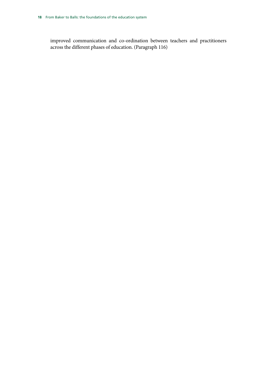improved communication and co-ordination between teachers and practitioners across the different phases of education. (Paragraph 116)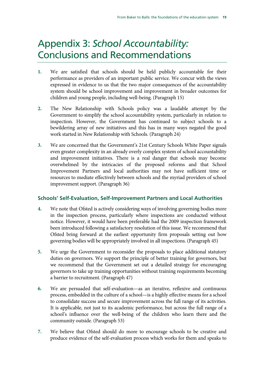## Appendix 3: *School Accountability:* Conclusions and Recommendations

- **1.** We are satisfied that schools should be held publicly accountable for their performance as providers of an important public service. We concur with the views expressed in evidence to us that the two major consequences of the accountability system should be school improvement and improvement in broader outcomes for children and young people, including well-being. (Paragraph 15)
- **2.** The New Relationship with Schools policy was a laudable attempt by the Government to simplify the school accountability system, particularly in relation to inspection. However, the Government has continued to subject schools to a bewildering array of new initiatives and this has in many ways negated the good work started in New Relationship with Schools. (Paragraph 24)
- **3.** We are concerned that the Government's 21st Century Schools White Paper signals even greater complexity in an already overly complex system of school accountability and improvement initiatives. There is a real danger that schools may become overwhelmed by the intricacies of the proposed reforms and that School Improvement Partners and local authorities may not have sufficient time or resources to mediate effectively between schools and the myriad providers of school improvement support. (Paragraph 36)

## **Schools' Self-Evaluation, Self-Improvement Partners and Local Authorities**

- **4.** We note that Ofsted is actively considering ways of involving governing bodies more in the inspection process, particularly where inspections are conducted without notice. However, it would have been preferable had the 2009 inspection framework been introduced following a satisfactory resolution of this issue. We recommend that Ofsted bring forward at the earliest opportunity firm proposals setting out how governing bodies will be appropriately involved in all inspections. (Paragraph 45)
- **5.** We urge the Government to reconsider the proposals to place additional statutory duties on governors. We support the principle of better training for governors, but we recommend that the Government set out a detailed strategy for encouraging governors to take up training opportunities without training requirements becoming a barrier to recruitment. (Paragraph 47)
- **6.** We are persuaded that self-evaluation—as an iterative, reflexive and continuous process, embedded in the culture of a school—is a highly effective means for a school to consolidate success and secure improvement across the full range of its activities. It is applicable, not just to its academic performance, but across the full range of a school's influence over the well-being of the children who learn there and the community outside. (Paragraph 53)
- **7.** We believe that Ofsted should do more to encourage schools to be creative and produce evidence of the self-evaluation process which works for them and speaks to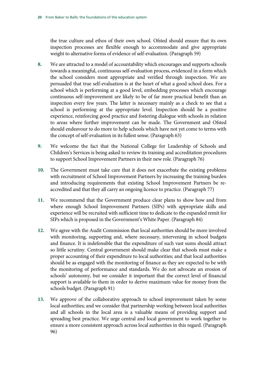the true culture and ethos of their own school. Ofsted should ensure that its own inspection processes are flexible enough to accommodate and give appropriate weight to alternative forms of evidence of self-evaluation. (Paragraph 59)

- **8.** We are attracted to a model of accountability which encourages and supports schools towards a meaningful, continuous self-evaluation process, evidenced in a form which the school considers most appropriate and verified through inspection. We are persuaded that true self-evaluation is at the heart of what a good school does. For a school which is performing at a good level, embedding processes which encourage continuous self-improvement are likely to be of far more practical benefit than an inspection every few years. The latter is necessary mainly as a check to see that a school is performing at the appropriate level. Inspection should be a positive experience, reinforcing good practice and fostering dialogue with schools in relation to areas where further improvement can be made. The Government and Ofsted should endeavour to do more to help schools which have not yet come to terms with the concept of self-evaluation in its fullest sense. (Paragraph 63)
- **9.** We welcome the fact that the National College for Leadership of Schools and Children's Services is being asked to review its training and accreditation procedures to support School Improvement Partners in their new role. (Paragraph 76)
- **10.** The Government must take care that it does not exacerbate the existing problems with recruitment of School Improvement Partners by increasing the training burden and introducing requirements that existing School Improvement Partners be reaccredited and that they all carry an ongoing licence to practice. (Paragraph 77)
- **11.** We recommend that the Government produce clear plans to show how and from where enough School Improvement Partners (SIPs) with appropriate skills and experience will be recruited with sufficient time to dedicate to the expanded remit for SIPs which is proposed in the Government's White Paper. (Paragraph 84)
- **12.** We agree with the Audit Commission that local authorities should be more involved with monitoring, supporting and, where necessary, intervening in school budgets and finance. It is indefensible that the expenditure of such vast sums should attract so little scrutiny. Central government should make clear that schools must make a proper accounting of their expenditure to local authorities; and that local authorities should be as engaged with the monitoring of finance as they are expected to be with the monitoring of performance and standards. We do not advocate an erosion of schools' autonomy, but we consider it important that the correct level of financial support is available to them in order to derive maximum value for money from the schools budget. (Paragraph 91)
- **13.** We approve of the collaborative approach to school improvement taken by some local authorities; and we consider that partnership working between local authorities and all schools in the local area is a valuable means of providing support and spreading best practice. We urge central and local government to work together to ensure a more consistent approach across local authorities in this regard. (Paragraph 96)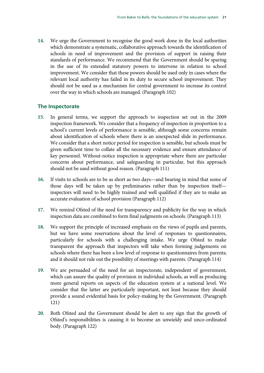**14.** We urge the Government to recognise the good work done in the local authorities which demonstrate a systematic, collaborative approach towards the identification of schools in need of improvement and the provision of support in raising their standards of performance. We recommend that the Government should be sparing in the use of its extended statutory powers to intervene in relation to school improvement. We consider that these powers should be used only in cases where the relevant local authority has failed in its duty to secure school improvement. They should not be used as a mechanism for central government to increase its control over the way in which schools are managed. (Paragraph 102)

## **The Inspectorate**

- **15.** In general terms, we support the approach to inspection set out in the 2009 inspection framework. We consider that a frequency of inspection in proportion to a school's current levels of performance is sensible, although some concerns remain about identification of schools where there is an unexpected slide in performance. We consider that a short notice period for inspection is sensible, but schools must be given sufficient time to collate all the necessary evidence and ensure attendance of key personnel. Without-notice inspection is appropriate where there are particular concerns about performance, and safeguarding in particular, but this approach should not be used without good reason. (Paragraph 111)
- **16.** If visits to schools are to be as short as two days—and bearing in mind that some of those days will be taken up by preliminaries rather than by inspection itself inspectors will need to be highly trained and well qualified if they are to make an accurate evaluation of school provision (Paragraph 112)
- **17.** We remind Ofsted of the need for transparency and publicity for the way in which inspection data are combined to form final judgments on schools. (Paragraph 113)
- **18.** We support the principle of increased emphasis on the views of pupils and parents, but we have some reservations about the level of responses to questionnaires, particularly for schools with a challenging intake. We urge Ofsted to make transparent the approach that inspectors will take when forming judgements on schools where there has been a low level of response to questionnaires from parents; and it should not rule out the possibility of meetings with parents. (Paragraph 114)
- **19.** We are persuaded of the need for an inspectorate, independent of government, which can assure the quality of provision in individual schools, as well as producing more general reports on aspects of the education system at a national level. We consider that the latter are particularly important, not least because they should provide a sound evidential basis for policy-making by the Government. (Paragraph 121)
- **20.** Both Ofsted and the Government should be alert to any sign that the growth of Ofsted's responsibilities is causing it to become an unwieldy and unco-ordinated body. (Paragraph 122)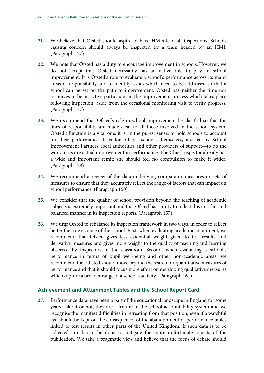- **21.** We believe that Ofsted should aspire to have HMIs lead all inspections. Schools causing concern should always be inspected by a team headed by an HMI. (Paragraph 127)
- **22.** We note that Ofsted has a duty to encourage improvement in schools. However, we do not accept that Ofsted necessarily has an active role to play in school improvement. It is Ofsted's role to evaluate a school's performance across its many areas of responsibility and to identify issues which need to be addressed so that a school can be set on the path to improvement. Ofsted has neither the time nor resources to be an active participant in the improvement process which takes place following inspection, aside from the occasional monitoring visit to verify progress. (Paragraph 137)
- **23.** We recommend that Ofsted's role in school improvement be clarified so that the lines of responsibility are made clear to all those involved in the school system. Ofsted's function is a vital one: it is, in the purest sense, to hold schools to account for their performance. It is for others—schools themselves, assisted by School Improvement Partners, local authorities and other providers of support—to do the work to secure actual improvement in performance. The Chief Inspector already has a wide and important remit: she should feel no compulsion to make it wider. (Paragraph 138)
- **24.** We recommend a review of the data underlying comparator measures or sets of measures to ensure that they accurately reflect the range of factors that can impact on school performance. (Paragraph 150)
- **25.** We consider that the quality of school provision beyond the teaching of academic subjects is extremely important and that Ofsted has a duty to reflect this in a fair and balanced manner in its inspection reports. (Paragraph 157)
- **26.** We urge Ofsted to rebalance its inspection framework in two ways, in order to reflect better the true essence of the school. First, when evaluating academic attainment, we recommend that Ofsted gives less evidential weight given to test results and derivative measures and gives more weight to the quality of teaching and learning observed by inspectors in the classroom. Second, when evaluating a school's performance in terms of pupil well-being and other non-academic areas, we recommend that Ofsted should move beyond the search for quantitative measures of performance and that it should focus more effort on developing qualitative measures which capture a broader range of a school's activity. (Paragraph 161)

## **Achievement and Attainment Tables and the School Report Card**

**27.** Performance data have been a part of the educational landscape in England for some years. Like it or not, they are a feature of the school accountability system and we recognise the manifest difficulties in retreating from that position, even if a watchful eye should be kept on the consequences of the abandonment of performance tables linked to test results in other parts of the United Kingdom. If such data is to be collected, much can be done to mitigate the more unfortunate aspects of the publication. We take a pragmatic view and believe that the focus of debate should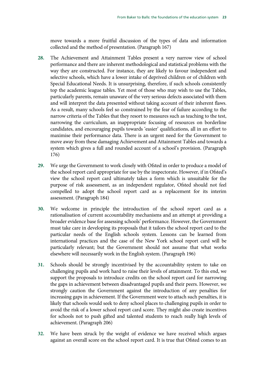move towards a more fruitful discussion of the types of data and information collected and the method of presentation. (Paragraph 167)

- **28.** The Achievement and Attainment Tables present a very narrow view of school performance and there are inherent methodological and statistical problems with the way they are constructed. For instance, they are likely to favour independent and selective schools, which have a lower intake of deprived children or of children with Special Educational Needs. It is unsurprising, therefore, if such schools consistently top the academic league tables. Yet most of those who may wish to use the Tables, particularly parents, remain unaware of the very serious defects associated with them and will interpret the data presented without taking account of their inherent flaws. As a result, many schools feel so constrained by the fear of failure according to the narrow criteria of the Tables that they resort to measures such as teaching to the test, narrowing the curriculum, an inappropriate focusing of resources on borderline candidates, and encouraging pupils towards 'easier' qualifications, all in an effort to maximise their performance data. There is an urgent need for the Government to move away from these damaging Achievement and Attainment Tables and towards a system which gives a full and rounded account of a school's provision. (Paragraph 176)
- **29.** We urge the Government to work closely with Ofsted in order to produce a model of the school report card appropriate for use by the inspectorate. However, if in Ofsted's view the school report card ultimately takes a form which is unsuitable for the purpose of risk assessment, as an independent regulator, Ofsted should not feel compelled to adopt the school report card as a replacement for its interim assessment. (Paragraph 184)
- **30.** We welcome in principle the introduction of the school report card as a rationalisation of current accountability mechanisms and an attempt at providing a broader evidence base for assessing schools' performance. However, the Government must take care in developing its proposals that it tailors the school report card to the particular needs of the English schools system. Lessons can be learned from international practices and the case of the New York school report card will be particularly relevant; but the Government should not assume that what works elsewhere will necessarily work in the English system. (Paragraph 196)
- **31.** Schools should be strongly incentivised by the accountability system to take on challenging pupils and work hard to raise their levels of attainment. To this end, we support the proposals to introduce credits on the school report card for narrowing the gaps in achievement between disadvantaged pupils and their peers. However, we strongly caution the Government against the introduction of any penalties for increasing gaps in achievement. If the Government were to attach such penalties, it is likely that schools would seek to deny school places to challenging pupils in order to avoid the risk of a lower school report card score. They might also create incentives for schools not to push gifted and talented students to reach really high levels of achievement. (Paragraph 206)
- **32.** We have been struck by the weight of evidence we have received which argues against an overall score on the school report card. It is true that Ofsted comes to an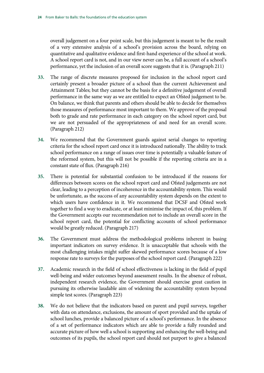overall judgement on a four point scale, but this judgement is meant to be the result of a very extensive analysis of a school's provision across the board, relying on quantitative and qualitative evidence and first-hand experience of the school at work. A school report card is not, and in our view never can be, a full account of a school's performance, yet the inclusion of an overall score suggests that it is. (Paragraph 211)

- **33.** The range of discrete measures proposed for inclusion in the school report card certainly present a broader picture of a school than the current Achievement and Attainment Tables; but they cannot be the basis for a definitive judgement of overall performance in the same way as we are entitled to expect an Ofsted judgement to be. On balance, we think that parents and others should be able to decide for themselves those measures of performance most important to them. We approve of the proposal both to grade and rate performance in each category on the school report card, but we are not persuaded of the appropriateness of and need for an overall score. (Paragraph 212)
- **34.** We recommend that the Government guards against serial changes to reporting criteria for the school report card once it is introduced nationally. The ability to track school performance on a range of issues over time is potentially a valuable feature of the reformed system, but this will not be possible if the reporting criteria are in a constant state of flux. (Paragraph 216)
- **35.** There is potential for substantial confusion to be introduced if the reasons for differences between scores on the school report card and Ofsted judgements are not clear, leading to a perception of incoherence in the accountability system. This would be unfortunate, as the success of any accountability system depends on the extent to which users have confidence in it. We recommend that DCSF and Ofsted work together to find a way to eradicate, or at least minimise the impact of, this problem. If the Government accepts our recommendation not to include an overall score in the school report card, the potential for conflicting accounts of school performance would be greatly reduced. (Paragraph 217)
- **36.** The Government must address the methodological problems inherent in basing important indicators on survey evidence. It is unacceptable that schools with the most challenging intakes might suffer skewed performance scores because of a low response rate to surveys for the purposes of the school report card. (Paragraph 222)
- **37.** Academic research in the field of school effectiveness is lacking in the field of pupil well-being and wider outcomes beyond assessment results. In the absence of robust, independent research evidence, the Government should exercise great caution in pursuing its otherwise laudable aim of widening the accountability system beyond simple test scores. (Paragraph 223)
- **38.** We do not believe that the indicators based on parent and pupil surveys, together with data on attendance, exclusions, the amount of sport provided and the uptake of school lunches, provide a balanced picture of a school's performance. In the absence of a set of performance indicators which are able to provide a fully rounded and accurate picture of how well a school is supporting and enhancing the well-being and outcomes of its pupils, the school report card should not purport to give a balanced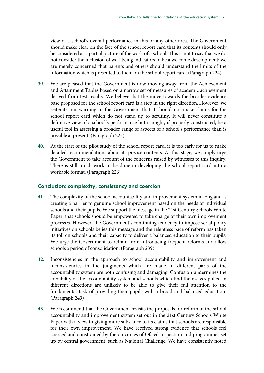view of a school's overall performance in this or any other area. The Government should make clear on the face of the school report card that its contents should only be considered as a partial picture of the work of a school. This is not to say that we do not consider the inclusion of well-being indicators to be a welcome development: we are merely concerned that parents and others should understand the limits of the information which is presented to them on the school report card. (Paragraph 224)

- **39.** We are pleased that the Government is now moving away from the Achievement and Attainment Tables based on a narrow set of measures of academic achievement derived from test results. We believe that the move towards the broader evidence base proposed for the school report card is a step in the right direction. However, we reiterate our warning to the Government that it should not make claims for the school report card which do not stand up to scrutiny. It will never constitute a definitive view of a school's performance but it might, if properly constructed, be a useful tool in assessing a broader range of aspects of a school's performance than is possible at present. (Paragraph 225)
- **40.** At the start of the pilot study of the school report card, it is too early for us to make detailed recommendations about its precise contents. At this stage, we simply urge the Government to take account of the concerns raised by witnesses to this inquiry. There is still much work to be done in developing the school report card into a workable format. (Paragraph 226)

## **Conclusion: complexity, consistency and coercion**

- **41.** The complexity of the school accountability and improvement system in England is creating a barrier to genuine school improvement based on the needs of individual schools and their pupils. We support the message in the 21st Century Schools White Paper, that schools should be empowered to take charge of their own improvement processes. However, the Government's continuing tendency to impose serial policy initiatives on schools belies this message and the relentless pace of reform has taken its toll on schools and their capacity to deliver a balanced education to their pupils. We urge the Government to refrain from introducing frequent reforms and allow schools a period of consolidation. (Paragraph 239)
- **42.** Inconsistencies in the approach to school accountability and improvement and inconsistencies in the judgments which are made in different parts of the accountability system are both confusing and damaging. Confusion undermines the credibility of the accountability system and schools which find themselves pulled in different directions are unlikely to be able to give their full attention to the fundamental task of providing their pupils with a broad and balanced education. (Paragraph 249)
- **43.** We recommend that the Government revisits the proposals for reform of the school accountability and improvement system set out in the 21st Century Schools White Paper with a view to giving more substance to its claims that schools are responsible for their own improvement. We have received strong evidence that schools feel coerced and constrained by the outcomes of Ofsted inspection and programmes set up by central government, such as National Challenge. We have consistently noted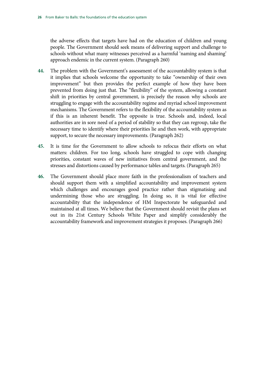the adverse effects that targets have had on the education of children and young people. The Government should seek means of delivering support and challenge to schools without what many witnesses perceived as a harmful 'naming and shaming' approach endemic in the current system. (Paragraph 260)

- **44.** The problem with the Government's assessment of the accountability system is that it implies that schools welcome the opportunity to take "ownership of their own improvement" but then provides the perfect example of how they have been prevented from doing just that. The "flexibility" of the system, allowing a constant shift in priorities by central government, is precisely the reason why schools are struggling to engage with the accountability regime and myriad school improvement mechanisms. The Government refers to the flexibility of the accountability system as if this is an inherent benefit. The opposite is true. Schools and, indeed, local authorities are in sore need of a period of stability so that they can regroup, take the necessary time to identify where their priorities lie and then work, with appropriate support, to secure the necessary improvements. (Paragraph 262)
- **45.** It is time for the Government to allow schools to refocus their efforts on what matters: children. For too long, schools have struggled to cope with changing priorities, constant waves of new initiatives from central government, and the stresses and distortions caused by performance tables and targets. (Paragraph 265)
- **46.** The Government should place more faith in the professionalism of teachers and should support them with a simplified accountability and improvement system which challenges and encourages good practice rather than stigmatising and undermining those who are struggling. In doing so, it is vital for effective accountability that the independence of HM Inspectorate be safeguarded and maintained at all times. We believe that the Government should revisit the plans set out in its 21st Century Schools White Paper and simplify considerably the accountability framework and improvement strategies it proposes. (Paragraph 266)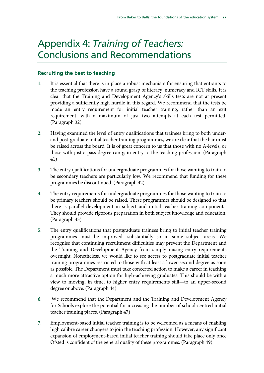## Appendix 4: *Training of Teachers:* Conclusions and Recommendations

## **Recruiting the best to teaching**

- **1.** It is essential that there is in place a robust mechanism for ensuring that entrants to the teaching profession have a sound grasp of literacy, numeracy and ICT skills. It is clear that the Training and Development Agency's skills tests are not at present providing a sufficiently high hurdle in this regard. We recommend that the tests be made an entry requirement for initial teacher training, rather than an exit requirement, with a maximum of just two attempts at each test permitted. (Paragraph 32)
- **2.** Having examined the level of entry qualifications that trainees bring to both underand post-graduate initial teacher training programmes, we are clear that the bar must be raised across the board. It is of great concern to us that those with no A-levels, or those with just a pass degree can gain entry to the teaching profession. (Paragraph 41)
- **3.** The entry qualifications for undergraduate programmes for those wanting to train to be secondary teachers are particularly low. We recommend that funding for these programmes be discontinued. (Paragraph 42)
- **4.** The entry requirements for undergraduate programmes for those wanting to train to be primary teachers should be raised. These programmes should be designed so that there is parallel development in subject and initial teacher training components. They should provide rigorous preparation in both subject knowledge and education. (Paragraph 43)
- **5.** The entry qualifications that postgraduate trainees bring to initial teacher training programmes must be improved—substantially so in some subject areas. We recognise that continuing recruitment difficulties may prevent the Department and the Training and Development Agency from simply raising entry requirements overnight. Nonetheless, we would like to see access to postgraduate initial teacher training programmes restricted to those with at least a lower-second degree as soon as possible. The Department must take concerted action to make a career in teaching a much more attractive option for high-achieving graduates. This should be with a view to moving, in time, to higher entry requirements still—to an upper-second degree or above. (Paragraph 44)
- **6.** We recommend that the Department and the Training and Development Agency for Schools explore the potential for increasing the number of school-centred initial teacher training places. (Paragraph 47)
- **7.** Employment-based initial teacher training is to be welcomed as a means of enabling high calibre career changers to join the teaching profession. However, any significant expansion of employment-based initial teacher training should take place only once Ofsted is confident of the general quality of these programmes. (Paragraph 49)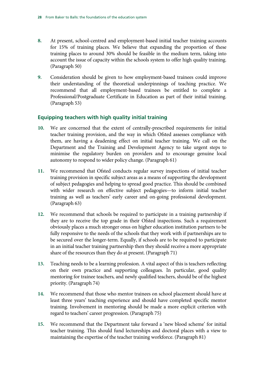- **8.** At present, school-centred and employment-based initial teacher training accounts for 15% of training places. We believe that expanding the proportion of these training places to around 30% should be feasible in the medium term, taking into account the issue of capacity within the schools system to offer high quality training. (Paragraph 50)
- **9.** Consideration should be given to how employment-based trainees could improve their understanding of the theoretical underpinnings of teaching practice. We recommend that all employment-based trainees be entitled to complete a Professional/Postgraduate Certificate in Education as part of their initial training. (Paragraph 53)

## **Equipping teachers with high quality initial training**

- **10.** We are concerned that the extent of centrally-prescribed requirements for initial teacher training provision, and the way in which Ofsted assesses compliance with them, are having a deadening effect on initial teacher training. We call on the Department and the Training and Development Agency to take urgent steps to minimise the regulatory burden on providers and to encourage genuine local autonomy to respond to wider policy change. (Paragraph 61)
- **11.** We recommend that Ofsted conducts regular survey inspections of initial teacher training provision in specific subject areas as a means of supporting the development of subject pedagogies and helping to spread good practice. This should be combined with wider research on effective subject pedagogies—to inform initial teacher training as well as teachers' early career and on-going professional development. (Paragraph 63)
- **12.** We recommend that schools be required to participate in a training partnership if they are to receive the top grade in their Ofsted inspections. Such a requirement obviously places a much stronger onus on higher education institution partners to be fully responsive to the needs of the schools that they work with if partnerships are to be secured over the longer-term. Equally, if schools are to be required to participate in an initial teacher training partnership then they should receive a more appropriate share of the resources than they do at present. (Paragraph 71)
- **13.** Teaching needs to be a learning profession. A vital aspect of this is teachers reflecting on their own practice and supporting colleagues. In particular, good quality mentoring for trainee teachers, and newly qualified teachers, should be of the highest priority. (Paragraph 74)
- **14.** We recommend that those who mentor trainees on school placement should have at least three years' teaching experience and should have completed specific mentor training. Involvement in mentoring should be made a more explicit criterion with regard to teachers' career progression. (Paragraph 75)
- **15.** We recommend that the Department take forward a 'new blood scheme' for initial teacher training. This should fund lectureships and doctoral places with a view to maintaining the expertise of the teacher training workforce. (Paragraph 81)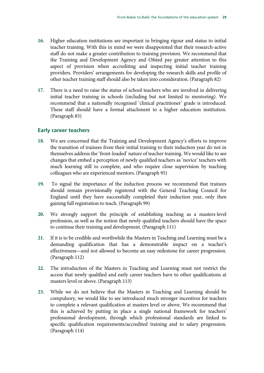- **16.** Higher education institutions are important in bringing rigour and status to initial teacher training. With this in mind we were disappointed that their research-active staff do not make a greater contribution to training provision. We recommend that the Training and Development Agency and Ofsted pay greater attention to this aspect of provision when accrediting and inspecting initial teacher training providers. Providers' arrangements for developing the research skills and profile of other teacher training staff should also be taken into consideration. (Paragraph 82)
- **17.** There is a need to raise the status of school teachers who are involved in delivering initial teacher training in schools (including but not limited to mentoring). We recommend that a nationally recognised 'clinical practitioner' grade is introduced. These staff should have a formal attachment to a higher education institution. (Paragraph 83)

## **Early career teachers**

- **18.** We are concerned that the Training and Development Agency's efforts to improve the transition of trainees from their initial training to their induction year do not in themselves address the 'front-loaded' nature of teacher training. We would like to see changes that embed a perception of newly qualified teachers as 'novice' teachers with much learning still to complete, and who require close supervision by teaching colleagues who are experienced mentors. (Paragraph 95)
- **19.** To signal the importance of the induction process we recommend that trainees should remain provisionally registered with the General Teaching Council for England until they have successfully completed their induction year, only then gaining full registration to teach. (Paragraph 99)
- **20.** We strongly support the principle of establishing teaching as a masters-level profession, as well as the notion that newly qualified teachers should have the space to continue their training and development. (Paragraph 111)
- **21.** If it is to be credible and worthwhile the Masters in Teaching and Learning must be a demanding qualification that has a demonstrable impact on a teacher's effectiveness—and not allowed to become an easy milestone for career progression. (Paragraph 112)
- **22.** The introduction of the Masters in Teaching and Learning must not restrict the access that newly qualified and early career teachers have to other qualifications at masters level or above. (Paragraph 113)
- **23.** While we do not believe that the Masters in Teaching and Learning should be compulsory, we would like to see introduced much stronger incentives for teachers to complete a relevant qualification at masters level or above. We recommend that this is achieved by putting in place a single national framework for teachers' professional development, through which professional standards are linked to specific qualification requirements/accredited training and to salary progression. (Paragraph 114)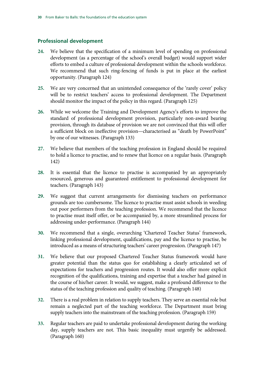## **Professional development**

- **24.** We believe that the specification of a minimum level of spending on professional development (as a percentage of the school's overall budget) would support wider efforts to embed a culture of professional development within the schools workforce. We recommend that such ring-fencing of funds is put in place at the earliest opportunity. (Paragraph 124)
- **25.** We are very concerned that an unintended consequence of the 'rarely cover' policy will be to restrict teachers' access to professional development. The Department should monitor the impact of the policy in this regard. (Paragraph 125)
- **26.** While we welcome the Training and Development Agency's efforts to improve the standard of professional development provision, particularly non-award bearing provision, through its database of provision we are not convinced that this will offer a sufficient block on ineffective provision—characterised as "death by PowerPoint" by one of our witnesses. (Paragraph 133)
- **27.** We believe that members of the teaching profession in England should be required to hold a licence to practise, and to renew that licence on a regular basis. (Paragraph 142)
- **28.** It is essential that the licence to practise is accompanied by an appropriately resourced, generous and guaranteed entitlement to professional development for teachers. (Paragraph 143)
- **29.** We suggest that current arrangements for dismissing teachers on performance grounds are too cumbersome. The licence to practise must assist schools in weeding out poor performers from the teaching profession. We recommend that the licence to practise must itself offer, or be accompanied by, a more streamlined process for addressing under-performance. (Paragraph 144)
- **30.** We recommend that a single, overarching 'Chartered Teacher Status' framework, linking professional development, qualifications, pay and the licence to practise, be introduced as a means of structuring teachers' career progression. (Paragraph 147)
- **31.** We believe that our proposed Chartered Teacher Status framework would have greater potential than the status quo for establishing a clearly articulated set of expectations for teachers and progression routes. It would also offer more explicit recognition of the qualifications, training and expertise that a teacher had gained in the course of his/her career. It would, we suggest, make a profound difference to the status of the teaching profession and quality of teaching. (Paragraph 148)
- **32.** There is a real problem in relation to supply teachers. They serve an essential role but remain a neglected part of the teaching workforce. The Department must bring supply teachers into the mainstream of the teaching profession. (Paragraph 159)
- **33.** Regular teachers are paid to undertake professional development during the working day, supply teachers are not. This basic inequality must urgently be addressed. (Paragraph 160)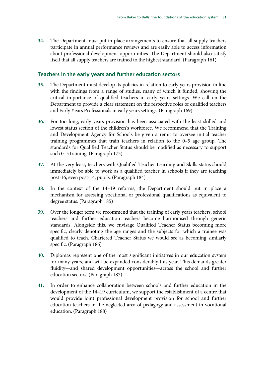**34.** The Department must put in place arrangements to ensure that all supply teachers participate in annual performance reviews and are easily able to access information about professional development opportunities. The Department should also satisfy itself that all supply teachers are trained to the highest standard. (Paragraph 161)

## **Teachers in the early years and further education sectors**

- **35.** The Department must develop its policies in relation to early years provision in line with the findings from a range of studies, many of which it funded, showing the critical importance of qualified teachers in early years settings. We call on the Department to provide a clear statement on the respective roles of qualified teachers and Early Years Professionals in early years settings. (Paragraph 169)
- **36.** For too long, early years provision has been associated with the least skilled and lowest status section of the children's workforce. We recommend that the Training and Development Agency for Schools be given a remit to oversee initial teacher training programmes that train teachers in relation to the 0–5 age group. The standards for Qualified Teacher Status should be modified as necessary to support such 0–5 training. (Paragraph 175)
- **37.** At the very least, teachers with Qualified Teacher Learning and Skills status should immediately be able to work as a qualified teacher in schools if they are teaching post-16, even post-14, pupils. (Paragraph 184)
- **38.** In the context of the 14–19 reforms, the Department should put in place a mechanism for assessing vocational or professional qualifications as equivalent to degree status. (Paragraph 185)
- **39.** Over the longer term we recommend that the training of early years teachers, school teachers and further education teachers become harmonised through generic standards. Alongside this, we envisage Qualified Teacher Status becoming more specific, clearly denoting the age ranges and the subjects for which a trainee was qualified to teach. Chartered Teacher Status we would see as becoming similarly specific. (Paragraph 186)
- **40.** Diplomas represent one of the most significant initiatives in our education system for many years, and will be expanded considerably this year. This demands greater fluidity—and shared development opportunities—across the school and further education sectors. (Paragraph 187)
- **41.** In order to enhance collaboration between schools and further education in the development of the 14–19 curriculum, we support the establishment of a centre that would provide joint professional development provision for school and further education teachers in the neglected area of pedagogy and assessment in vocational education. (Paragraph 188)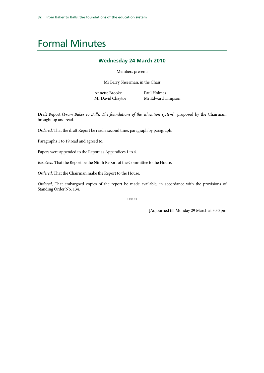## Formal Minutes

### **Wednesday 24 March 2010**

Members present:

Mr Barry Sheerman, in the Chair

Annette Brooke Mr David Chaytor Paul Holmes Mr Edward Timpson

Draft Report (*From Baker to Balls: The foundations of the education system*), proposed by the Chairman, brought up and read.

*Ordered*, That the draft Report be read a second time, paragraph by paragraph.

Paragraphs 1 to 19 read and agreed to.

Papers were appended to the Report as Appendices 1 to 4.

*Resolved,* That the Report be the Ninth Report of the Committee to the House.

*Ordered*, That the Chairman make the Report to the House.

*Ordered*, That embargoed copies of the report be made available, in accordance with the provisions of Standing Order No. 134.

\*\*\*\*\*\*

[Adjourned till Monday 29 March at 3.30 pm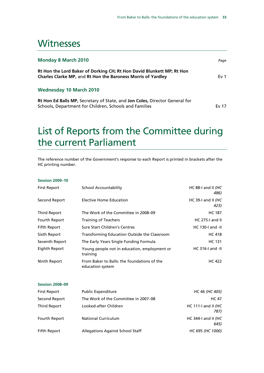## **Witnesses**

| <b>Monday 8 March 2010</b>                                                                                                                   | Page            |
|----------------------------------------------------------------------------------------------------------------------------------------------|-----------------|
| Rt Hon the Lord Baker of Dorking CH; Rt Hon David Blunkett MP; Rt Hon<br><b>Charles Clarke MP, and Rt Hon the Baroness Morris of Yardley</b> | Ev <sub>1</sub> |
| <b>Wednesday 10 March 2010</b>                                                                                                               |                 |
| Rt Hon Ed Balls MP, Secretary of State, and Jon Coles, Director General for<br>Schools, Department for Children, Schools and Families        | Ev 17           |

## List of Reports from the Committee during the current Parliament

The reference number of the Government's response to each Report is printed in brackets after the HC printing number.

### **Session 2009–10**

| <b>First Report</b> | School Accountability                                           | HC 88-I and II ( $HC$<br>486) |
|---------------------|-----------------------------------------------------------------|-------------------------------|
| Second Report       | <b>Elective Home Education</b>                                  | HC 39-I and II $(HC)$<br>423) |
| Third Report        | The Work of the Committee in 2008–09                            | <b>HC 187</b>                 |
| Fourth Report       | <b>Training of Teachers</b>                                     | HC 275-I and II               |
| Fifth Report        | Sure Start Children's Centres                                   | $HC$ 130-I and -II            |
| Sixth Report        | Transforming Education Outside the Classroom                    | <b>HC 418</b>                 |
| Seventh Report      | The Early Years Single Funding Formula                          | <b>HC 131</b>                 |
| Eighth Report       | Young people not in education, employment or<br>training        | $HC$ 316-I and -II            |
| Ninth Report        | From Baker to Balls: the foundations of the<br>education system | <b>HC 422</b>                 |

### **Session 2008–09**

| <b>First Report</b> | <b>Public Expenditure</b>               | HC 46 (HC 405)                 |
|---------------------|-----------------------------------------|--------------------------------|
| Second Report       | The Work of the Committee in 2007–08    | <b>HC 47</b>                   |
| Third Report        | Looked-after Children                   | HC 111-I and II ( $HC$<br>787) |
| Fourth Report       | <b>National Curriculum</b>              | HC 344-I and II ( $HC$<br>645) |
| Fifth Report        | <b>Allegations Against School Staff</b> | HC 695 (HC 1000)               |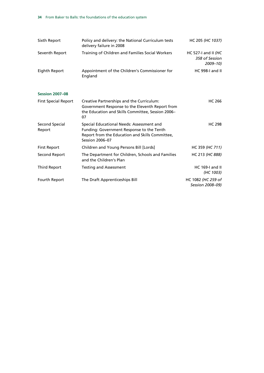| Sixth Report                | Policy and delivery: the National Curriculum tests<br>delivery failure in 2008                                                                               | HC 205 (HC 1037)                                     |
|-----------------------------|--------------------------------------------------------------------------------------------------------------------------------------------------------------|------------------------------------------------------|
| Seventh Report              | Training of Children and Families Social Workers                                                                                                             | HC 527-I and II ( $HC$<br>358 of Session<br>2009–10) |
| Eighth Report               | Appointment of the Children's Commissioner for<br>England                                                                                                    | HC 998-I and II                                      |
| <b>Session 2007-08</b>      |                                                                                                                                                              |                                                      |
| <b>First Special Report</b> | Creative Partnerships and the Curriculum:<br>Government Response to the Eleventh Report from<br>the Education and Skills Committee, Session 2006-<br>07      | <b>HC 266</b>                                        |
| Second Special<br>Report    | Special Educational Needs: Assessment and<br>Funding: Government Response to the Tenth<br>Report from the Education and Skills Committee,<br>Session 2006-07 | <b>HC 298</b>                                        |
| <b>First Report</b>         | Children and Young Persons Bill [Lords]                                                                                                                      | HC 359 (HC 711)                                      |
| Second Report               | The Department for Children, Schools and Families<br>and the Children's Plan                                                                                 | HC 213 (HC 888)                                      |
| Third Report                | <b>Testing and Assessment</b>                                                                                                                                | $HC$ 169-L and II<br>(HC 1003)                       |
| Fourth Report               | The Draft Apprenticeships Bill                                                                                                                               | HC 1082 (HC 259 of<br>Session 2008-09)               |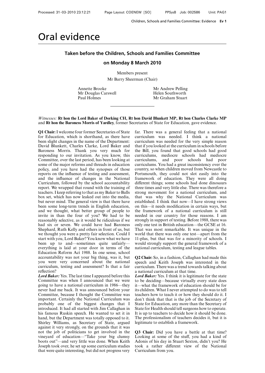### **Taken before the Children, Schools and Families Committee**

### **on Monday 8 March 2010**

Members present

Mr Barry Sheerman (Chair)

Annette Brooke Mr Andrew Pelling Mr Douglas Carswell Helen Southworth Paul Holmes Mr Graham Stuart

*Witnesses:* **Rt hon the Lord Baker of Dorking CH, Rt hon David Blunkett MP, Rt hon Charles Clarke MP** and **Rt hon the Baroness Morris of Yardley**, former Secretaries of State for Education, gave evidence.

**Q1 Chair:**I welcome four former Secretaries of State for Education, which is shorthand, as there have been slight changes in the name of the Department: David Blunkett, Charles Clarke, Lord Baker and Baroness Morris. Thank you very much for responding to our invitation. As you know, this Committee, over the last period, has been looking at some of the major reforms and threads in education policy, and you have had the synopses of those reports on the influence of testing and assessment, and the influence of changes in the National Curriculum, followed by the school accountability report. We wrapped that round with the training of teachers. I keep referring to that as my Baker to Balls box set, which has now leaked out into the media, but never mind. The general view is that there have been some long-term trends in English education, and we thought, what better group of people to invite in than the four of you? We had to be reasonably selective, as it would be ridiculous if we had six or seven. We could have had Baroness Shephard, Ruth Kelly and others in front of us, but we thought you were a pretty fair selection. Could I start with you, Lord Baker? You know what we have been up to and—sometimes quite unfairly everything is laid at your door in terms of the Education Reform Act 1988. In one sense, school accountability was not your big thing, was it, but you were very concerned about the national curriculum, testing and assessment? Is that a fair reflection?

*Lord Baker:* Yes. The last time I appeared before this Committee was when I announced that we were going to have a national curriculum in 1986—they never had me back. It was announced before your Committee, because I thought the Committee was important. Certainly the National Curriculum was probably one of the biggest changes that I introduced. It had all started with Jim Callaghan in his famous Ruskin speech. He wanted to set it in hand, but the Department was totally opposed to it. Shirley Williams, as Secretary of State, argued against it very strongly, on the grounds that it was not the job of politicians to get involved in the vineyard of education—"Take your big clumsy boots out"—and very little was done. When Keith Joseph took over, he set up some curriculum studies that were quite interesting, but did not progress very

far. There was a general feeling that a national curriculum was needed. I think a national curriculum was needed for the very simple reason that if you looked at the curriculum in schools before the Bill, you found that good schools had good curriculums, mediocre schools had mediocre curriculums, and poor schools had poor curriculums. You had a great inconsistency over the country, so when children moved from Newcastle to Portsmouth, they could not slot easily into the framework of education. They were all doing different things; some schools had done dinosaurs three times and very little else. There was therefore a strong movement for a national curriculum, and that was why the National Curriculum was established. I think that now—I have strong views on this—it needs modification in certain ways, but the framework of a national curriculum is still needed in our country for those reasons. I am strongly in support of testing. Before 1988, there was only one test in British education—the GCSE at 16. That was most remarkable. It was unique in the world that there was only one test—apart from the 11-plus, but that was for a minority of schools. I would strongly support the general framework of a national curriculum, testing and league tables.

**Q2 Chair:** So, in a fashion, Callaghan had made this speech and Keith Joseph was interested in the curriculum. There was a trend towards talking about a national curriculum at that time.

*Lord Baker:* Yes. I think it is legitimate for the state to be deciding—because virtually every state does it—what the framework of education should be for its children. What I never attempted to do was to tell teachers how to teach it or how they should do it. I don't think that that is the job of the Secretary of State for Education, any more than the Secretary of State for Health should tell surgeons how to operate. It is up to teachers to decide how it should be done. The professionalism of teachers decides it, but it is legitimate to establish a framework.

**Q3 Chair:** Did you have a battle at that time? Looking at some of the stuff, you had a kind of Adonis of his day in Stuart Sexton, didn't you? He took a rather different view of the National Curriculum from you.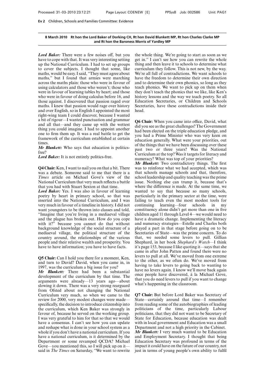Lord Baker: There were a few noises off, but you have to cope with that. It was very interesting setting up the National Curriculum. I had to set up groups to cover the subjects. I thought that some, like maths, would be easy. I said, "They must agree about maths," but I found that armies were marching across the maths plain: those who were in favour of using calculators and those who weren't; those who were in favour of learning tables by heart; and those who were in favour of doing calculus before 16, and those against. I discovered that passion raged over maths. I knew that passion would rage over history and over English, so in English I appointed the most right-wing team I could discover, because I wanted a bit of rigour—I wanted punctuation and grammar and all that—and they came up with the wettest thing you could imagine. I had to appoint another one to firm them up. It was a real battle to get the framework of the curriculum established at certain times.

*Mr Blunkett:* Who says that education is politicsfree?

*Lord Baker:* It is not entirely politics-free.

**Q4 Chair:** Ken, I want to nail you on that a bit. There was a debate. Someone said to me that there is a *Times* article on Michael Gove's view of the National Curriculum that very much reflects a battle that you had with Stuart Sexton at that time.

*Lord Baker:* Yes. I was also in favour of learning poetry by heart in primary school, so that was inserted into the National Curriculum, and I was very much in favour of a timeline in history. I did not want youngsters to be thrown into classes and told, "Imagine that you're living in a mediaeval village and the plague has broken out. How do you cope with it?" because you cannot do that without background knowledge of the social structure of a mediaeval village, the political structure of the country around, the relationships of the various people and their relative wealth and prosperity. You have to have information; you have to have facts.

**Q5 Chair:** Can I hold you there for a moment, Ken, and turn to David? David, when you came in, in 1997, was the curriculum a big issue for you?

*Mr Blunkett:* There had been a substantial development of the curriculum by that time. The arguments were already—13 years ago—about slowing it down. There was a very strong rearguard from Ofsted about not changing the National Curriculum very much, so when we came to the review for 2000, very modest changes were made specifically, the decision to introduce citizenship into the curriculum, which Ken Baker was strongly in favour of, because he served on the working group. I was very grateful to him for that so that we would have a consensus. I can't see how you can update and reshape what is done in your school system as a whole if you don't have a national curriculum. If you have a national curriculum, is it determined by the Department or some revamped QCDA? Michael Gove—you mentioned this, so I will pick up on it said in *The Times* on Saturday, "We want to rewrite

the whole thing. We're going to start as soon as we get in." I can't see how you can rewrite the whole thing and then leave it to schools to determine what curriculum they follow. This is not new, by the way. We're all full of contradictions. We want schools to have the freedom to determine their own direction and to determine their own phonics, so long as they teach phonics. We want to pick up on them when they don't teach the phonics that we like, like Ken's history lessons and the way we teach poetry. So all Education Secretaries, or Children and Schools Secretaries, have these contradictions inside their head.

**Q6 Chair:** When you came into office, David, what did you see as the great challenges? The Government had been elected on the triple education pledge, and you had a Prime Minister who was very keen on education generally. What were your priorities, out of the things that we have been discussing over these past two or three years? Was the National Curriculum at the top? Was it targets for literacy and numeracy? What was top of your priorities?

*Mr Blunkett:* Two contradictory things. The first was to reinforce what we had accepted, which was that schools manage schools and that, therefore, school leadership and quality teaching was the prime issue. Nothing else can trump it, because that's where the difference is made. At the same time, we wanted to say that because so many schools, particularly in the primary sector at the time, were failing to teach even the most modest tools for continuing learning—four schools in my constituency alone didn't get more than one in five children aged 11 through Level 4—we would need to have a dramatic change. Implementing the literacy and numeracy strategies—Estelle and Charles both played a part in that stage before going on to be Secretaries of State—was the prime concern. To do that, we needed some levers to pull. Gillian Shephard, in her book *Shephard's Watch*—I think it's page 153, because I like quoting it—says that she came in after John Patten and found there were no levers to pull at all. We've moved from one extreme to the other, as we often do. We've moved from having to take levers to going back to wanting to have no levers again. I know we'll move back again once people have discovered, a` la Michael Gove, that you do need levers to pull if you want to change what's happening in the classroom.

**Q7 Chair:** But before Lord Baker was Secretary of State—certainly around that time—I remember from reading some of the autobiographies of leading politicians of the time, particularly Labour politicians, that they did not want to be Secretary of State for Education, because education was dealt with in local government and Education was a small Department and not a high priority in the Cabinet. *Mr Blunkett:* I very much wanted to be Education and Employment Secretary. I thought that being Education Secretary was profound in terms of the impact it could have on the future of our country, not just in terms of young people's own ability to fulfil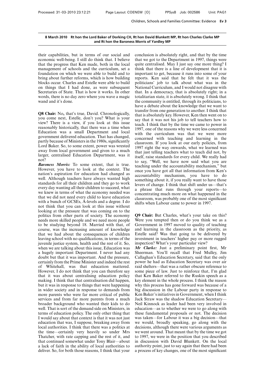their capabilities, but in terms of our social and economic well-being. I still do think that. I believe that the progress that Ken made, both in the local management of schools and the curriculum, set a foundation on which we were able to build and to bring about further reforms, which is how building blocks occur. Charles and Estelle were able to build on things that I had done, as were subsequent Secretaries of State. That is how it works. In other words, there is no day zero where you wave a magic wand and it's done.

**Q8 Chair:** No**,** that's true, David. Chronologically, you come next, Estelle, don't you? What is your view? There is a view, if you look at this issue reasonably historically, that there was a time when Education was a small Department and local government delivered education. That has changed, partly because of Ministers in the 1980s, significantly Lord Baker. So, to some extent, power was wrested away from local government and given to a much larger, centralised Education Department, was it not?

*Baroness Morris:* To some extent, that is true. However, you have to look at the context. The nation's aspiration for education had changed as well. Although teachers have always wanted high standards for all their children and they go to work every day wanting all their children to succeed, what we knew in terms of what the economy needed was that we did not need every child to leave education with a bunch of GCSEs, A-levels and a degree. I do not think that you can look at this issue without looking at the pressure that was coming on to the politics from other parts of society. The economy needs more skilled people and we need more people to be studying beyond 18. Married with that, of course, was the increasing amount of knowledge that we had about the consequences of children leaving school with no qualifications, in terms of the juvenile justice system, health and the rest of it. So, when we are talking about this issue, Education was a hugely important Department. I never had any doubt but that it was important. And the pressure, certainly from the Prime Minister and indeed the rest of Whitehall, was that education mattered. However, I do not think that you can therefore say that it was about centralising education policy making. I think that that centralisation did happen, but it was in response to things that were happening in wider society and in response to demands from more parents who were far more critical of public services and from far more parents from a much broader background who wanted their kids to do well. That is sort of the demand side on Ministers, in terms of education policy. The only other thing that I would say about that context is that it was not just education that was, I suppose, breaking away from local authorities. I think that there was a politics at the time—certainly very heavily so under Mrs Thatcher, with rate capping and the rest of it, and that continued somewhat under Tony Blair—about a lack of faith in the ability of local authorities to deliver. So, for both those reasons, I think that your

conclusion is absolutely right, and that by the time that we got to the Department in 1997, things were quite centralised. May I just say one more thing? I think that there is a line of development that it is important to get, because it runs into some of your reports. Ken said that he felt that it was the politicians' job to talk about what was in the National Curriculum, and I would not disagree with that. In a democracy, that is absolutely right; in a totalitarian state, it is absolutely wrong. I think that the community is entitled, through its politicians, to have a debate about the knowledge that we want to transfer from one generation to another. I think that that is absolutely key. However, Ken then went on to say that it was not his job to tell teachers how to teach. I think that by the time we came to power in 1997, one of the reasons why we were less concerned with the curriculum was that we were more concerned with teaching and learning in the classroom. If you look at our early policies, from 1997 right the way onwards, what we learned was that just telling teachers what to teach did not, by itself, raise standards for every child. We really had to say, "Well, we have now said what you are teaching under the accountability mechanism," but once you have got all that information from Ken's accountability mechanism, you have to do something about it, if you really want to have those levers of change. I think that shift under us—that's a phrase that runs through your reports—to concentrating much more on what happened in the classroom, was probably one of the most significant shifts when Labour came to power in 1997.

**Q9 Chair:** But Charles, what's your take on this? Were you tempted then or do you think we as a Government in 1997 moved to quality of teaching and learning in the classroom as the priority, as Estelle said? Was that going to be delivered by investment in teachers' higher pay or more rugged inspection? What's your particular view?

*Mr Clarke:* Just a preliminary point first, Mr Sheerman. You'll recall that Fred Mulley, Jim Callaghan's Education Secretary, said that the only power he had as Education Secretary was over air raid shelters—that was a rather obscure reference to some piece of law. Just to reinforce that, I'm glad that Ken Baker referred to the Ruskin speech as a key element in the whole process. I think the reason why this process has gone forward was because of a big discussion in the Labour party in response to Ken Baker's initiatives in Government, when I think Jack Straw was the shadow Education Secretary— Neil Kinnock as leader had been very involved in education—as to whether we were to go along with these fundamental proposals or not. The decision was taken—for Labour it was a big decision—that we would, broadly speaking, go along with the decisions, although there were various arguments as we went around. That meant that by the time we got to 1997, we were in the position that you described in discussion with David Blunkett. On the local authority point, just to say again that there had been a process of key changes, one of the most significant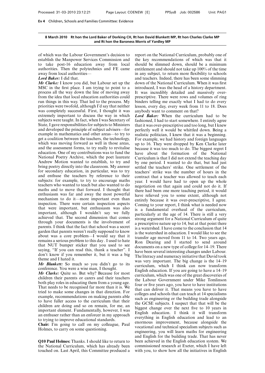of which was the Labour Government's decision to establish the Manpower Services Commission and to take post-16 education away from local authorities. Then the polytechnics and FE came away from local authorities—

*Lord Baker:* I did that.

*Mr Clarke:* I know you did, but Labour set up the MSC in the first place. I am trying to point to a process all the way down the line of moving away from the idea that local education authorities could run things in this way. That led to the process. My priorities were twofold, although I'd say that neither was completely successful. First, I thought it was extremely important to discuss the way in which subjects were taught. In fact, when I was Secretary of State, I gave responsibilities for subjects to Ministers and developed the principle of subject advisers—for example in mathematics and other areas—to try to get a coalition between the teachers, the technology, which was moving forward as well in those areas, and the assessment forms, to try really to revitalise education. One of my contributions was to fund the National Poetry Archive, which the poet laureate Andrew Motion wanted to establish, to try and bring poetry directly into the classroom. My answer for secondary education, in particular, was to try and enthuse the teachers by reference to their subjects: for example, to try to encourage maths teachers who wanted to teach but also wanted to do maths and to move that forward. I thought that enthusiasm was far and away the most powerful mechanism to do it—more important even than inspection. There were certain inspection aspects that were important, but enthusiasm was also important, although I wouldn't say we fully achieved that. The second dimension that comes through your documents is the involvement of parents. I think that the fact that school was a secret garden that parents weren't really supposed to know about was a core problem—I would say that it remains a serious problem to this day . I used to hate that NUT bumper sticker that you used to see saying, "If you can read this, thank a teacher". I don't know if you remember it, but it was a big theme and I hated it.

*Mr Blunkett:* So much so you didn't go to its conference. You were a wise man, I thought.

*Mr Clarke:* Quite so. But why? Because for most children their parents or carers and their teachers both play roles in educating them from a young age. That needs to be recognised far more than it is. We tried to make some changes in that direction. For example, recommendations on making parents able to have fuller access to the curriculum that their children are doing and so on remain, for me, an important element. Fundamentally, however, I was an enthuser rather than an enforcer in my approach to trying to improve educational standards.

**Chair:** I'm going to call on my colleague, Paul Holmes, to carry on some questioning.

**Q10 Paul Holmes:** Thanks. I should like to return to the National Curriculum, which has already been touched on. Last April, this Committee produced a report on the National Curriculum, probably one of the key recommendations of which was that it should be slimmed down, should be a minimum entitlement and should not take up 100% of the time in any subject, to return more flexibility to schools and teachers. Indeed, there has been some slimming down of the National Curriculum. When it was first introduced, I was the head of a history department. It was incredibly detailed and massively overprescriptive. There were rows and volumes of ring binders telling me exactly what I had to do every lesson, every day, every week from 11 to 18. Does anybody want to comment on that?

*Lord Baker:* When the curriculum had to be fashioned, I had to start somewhere. I entirely agree that it was over-prescriptive and too long, but I knew perfectly well it would be whittled down. Being a realistic politician, I knew that it was a beginning. For example, we had history and foreign languages up to 16. They were dropped by Ken Clarke later because it was too much to do. The biggest regret I have about the formation of the National Curriculum is that I did not extend the teaching day by one period. I wanted to do that, but had just settled the teachers' strike. One settlement of the teachers' strike was the number of hours in the contract that a teacher was allowed to teach each year. I would have had to open up the whole negotiation on that again and could not do it. If there had been one more teaching period, it would have relieved you to some extent, although not entirely because it was over-prescriptive, I agree. Coming to your report, I think what is needed now is a fundamental overhaul of the curriculum, particularly at the age of 14. There is still a very strong argument for a National Curriculum of quite a prescriptive nature up to 14, but at that point there is a watershed. I have come to the conclusion that 14 is the watershed in education. I would like to see the transfer age moved from 11 to 14. Two years ago, Ron Dearing and I started to send around documents on a new type of college for 14–19. There have been several interesting changes under Labour. The literacy and numeracy initiative that David took was very important. The big change is the 14–19 curriculum, which I think can now transform English education. If you are going to have a 14–19 curriculum, which was one of the great discoveries of the Labour Government under Mike Tomlinson four or five years ago, you have to have institutions that can deliver it. That means you have to have colleges and schools that can teach at 14 specialisms such as engineering or the building trade alongside the GCSE subjects. I suspect that that will be the biggest change over the next five to 10 years in English education. I think it will transform everything in English education and lead to an enormous improvement, because alongside the vocational and technical specialism subjects such as engineering, you will learn maths for engineering and English for the building trade. That has never been achieved in the English education system. We commissioned research at Exeter, which I have left with you, to show how all the initiatives in English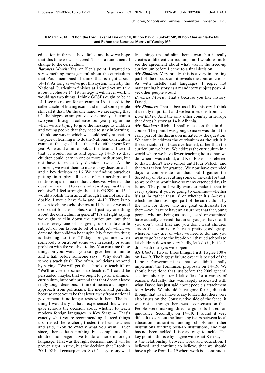education in the past have failed and how we hope that this time we will succeed. This is a fundamental change to the curriculum.

*Baroness Morris:* Yes, on Ken's point, I wanted to say something more general about the curriculum that Paul mentioned. I think that is right about 14–19. As long as we've got this system whereby the National Curriculum finishes at 16 and yet we talk about a cohesive 14–19 strategy, it will never work. I would say two things. I think GCSEs ought to be at 14. I see no reason for an exam at 16. It used to be called a school leaving exam and in fact some people still call it that. On the one hand, we are saying that it's the biggest exam you've ever done, yet it comes two years through a cohesive four-year programme when we are trying to give the message to children and young people that they need to stay in learning. I think one way in which we could really ratchet up the pace of learning is to do the National Curriculum exams at the age of 14, at the end of either year 8 or year 9. I would want to look at the details. If we did that, it would free us and open up 14–19 so that children could learn in one or more institutions, but not have to make key decisions twice. At the moment, we want them to make a key decision at 14 and a key decision at 16. We are finding ourselves putting into play all sorts of partnerships and relationships to make that cohesive, whereas the question we ought to ask is, what is stopping it being cohesive? I feel strongly that it is GCSEs at 16. I would abolish them and, although I am not sure it's doable, I would have 5–14 and 14–19. There is no reason to change schools now at 11, because we used to do that for the 11-plus. Can I just say one thing about the curriculum in general? It's all right saying we ought to thin down the curriculum, but that means every one of us giving up our favourite subject, or our favourite bit of a subject, which we demand that children be taught. My favourite thing is listening to the "Today" programme when somebody is on about some woe in society or some problem with the youth of today. You can time these things on your watch; you can give them a minute and a half before someone says, "Why don't the schools teach this?" Too often, politicians respond by saying, "We will get the schools to teach it" or "We'll advise the schools to teach it." I could be persuaded, maybe, that we ought to go for a slimmer curriculum, but don't pretend that that doesn't leave really tough decisions. I think it means a change of approach from politicians, the media and parents, because once you take that lever away from national government, it no longer rests with them. The last thing I would say is that I experienced this when I gave schools the decision about whether to teach modern foreign languages in Key Stage 4. That's exactly what you're recommending. I freed things up, trusted the teachers, trusted the head teachers and said, "You do exactly what you want." Ever since, there's been nothing but complaints that children no longer have to do a modern foreign language. That was the right decision, and it will be proven right in time, but the decision that I took in 2001–02 had consequences. So it's easy to say we'll free things up and slim them down, but it really creates a different curriculum, and I would want to see the agreement about what was in the freed-up curriculum before I came to a final decision.

*Mr Blunkett:* Very briefly, this is a very interesting part of the discussion; it reveals the contradictions. As with Estelle and languages, I regret not maintaining history as a mandatory subject post-14, yet other people would—

*Baroness Morris:* That's because you like history, David.

*Mr Blunkett:* That is because I like history. I think it's really important and we learn lessons from it.

*Lord Baker:* And the only other country in Europe that drops history at 14 is Albania.

*Mr Blunkett:* Right. I shall reflect on that in due course. The point I was going to make was about the early part of the discussion initiated by the question. We actually address the curriculum as though it is the curriculum that was overloaded, rather than the curriculum we have. We address the curriculum in a world where we have fewer teaching hours than we did when I was a child, and Ken Baker has referred to that. I didn't leave school until four o'clock, and that was taken for granted. We now have extended days to compensate for that, but I gather the Secretary of State is cutting some of the cash for that, so we perhaps won't have so many extended days in future. The point I really want to make is that in every sphere, if you're going to examine—whether it's at 14 rather than 16 or whether it's A-levels, which are the most rigid part of the curriculum, by the way, for those who are great enthusiasts for them—you have to have an assurance that the young people who are being assessed, tested or examined have actually covered that area; you just have to. If you don't want that and you don't want children across the country to have a pretty good grasp, wherever they are, of what we need to do, and you want to go back to the free-for-all that led schools to let children down so very badly, let's do it, but let's do it with our eyes wide open.

*Mr Clarke:* Two or three things. First, I agree 100% on 14–19. The biggest failure over this period of the Labour Government is that we didn't finally implement the Tomlinson proposals on 14–19. We should have done that just before the 2005 general election, shortly after I left office, for a variety of reasons. Actually, that was largely associated with what David has just said about people's attachment to A-levels. We should have gone for it, difficult though that was. I have to say to Ken that there were also issues on the Conservative side of the fence; it was not as though there was a consensus on this. People were making direct arguments based on ignorance. Secondly, on 14–19, I found it very difficult to sort out the financing issues between local education authorities funding schools and other institutions funding post-16 institutions, and that has not been tackled. It is very tough to tackle. The key point—this is why I agree with what Ken says is the relationship between work and education. I believed, and continue to believe, that we should have a phase from 14–19 where work is a continuous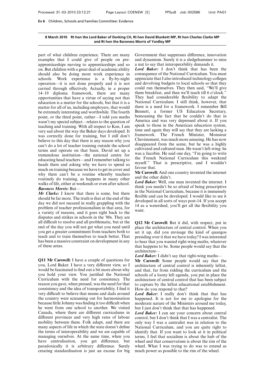part of what children experience. There are many examples that I could give of people on preapprenticeships moving to apprenticeships and so on. But children with a great deal of academic ability should also be doing more work experience in schools. Work experience is a fly-by-night operation—it is not done properly and it is not carried through effectively. Actually, in a proper 14–19 diploma framework, there are many opportunities that have a virtue of saying not that education is a matter for the schools, but that it is a matter for all of us, including employers, that would be extremely interesting and worthwhile. The fourth point, or the third point, rather—I told you maths wasn't my special subject—relates to the question of teaching and training. With all respect to Ken, I am very sad about the way the Baker days developed. It was correctly done for training, but I still don't believe to this day that there is any reason why you can't do a lot of teacher training outside the school terms and operate on that basis. David set up a tremendous institution—the national centre for educating head teachers—and I remember talking to heads there and asking why we have to spend so much on training because we have to get in cover and why there can't be a routine whereby teachers routinely do training, as happens in many other walks of life, either at weekends or even after school. *Baroness Morris:* But—

*Mr Clarke:* I know that there is some, but there should be far more. The truth is that at the end of the day we did not succeed in really grappling with the problem of teacher professionalism in that area, for a variety of reasons, and it goes right back to the disputes and strikes in schools in the '80s. They are all difficult to resolve and all problematic, but at the end of the day you will not get what you need until you get a greater commitment from teachers both to teach and to train themselves to teach better. That has been a massive constraint on development in any of these areas.

**Q11 Mr Carswell:** I have a couple of questions for you, Lord Baker. I have a very different view, so I would be fascinated to find out a bit more about why you hold your view. You justified the National Curriculum with the need for consistency. The reason you gave, when pressed, was the need for that consistency and the idea of transportability. I find it very difficult to believe that mums and dads around the country were screaming out for harmonisation because little Johnny was finding it too difficult when he went from one school to another. We visited Canada, where there are different curriculums in different provinces and very high rates of labour mobility between them. Folk adapt, and there are many aspects of life in which the state doesn't define the terms of interoperability and we are capable of managing ourselves. At the same time, when you have centralisation, you get difference, but paradoxically it is arbitrary difference. Surely creating standardisation is just an excuse for big

Government that suppresses difference, innovation and dynamism. Surely it is a sledgehammer to miss a nut to say that interoperability demands it.

*Lord Baker:* I don't think that has been the consequence of the National Curriculum. You must appreciate that I also introduced technology colleges and devolving budgets to local schools so that they could run themselves. They then said, "We'll give them breakfast, and then we'll teach till 6 o'clock." They had considerable flexibility to adapt the National Curriculum. I still think, however, that there is a need for a framework. I remember Bill Bennett, a former US Education Secretary, bemoaning the fact that he couldn't do that in America and was very depressed about it. If you speak to those in the American education system, time and again they will say that they are lacking a framework. The French Minister, Monsieur Chevènement, was much more amusing. He has now disappeared from the scene, but he was a highly cultivated and cultured man. He wasn't left-wing: he was a Jacobin. He said one day, "I'm going to write the French National Curriculum this weekend myself." That is prescriptive, and I wouldn't favour that.

**Mr Carswell:** And one country invented the internet and the other didn't.

*Lord Baker:* Well, one man invented the internet. I think you needn't be so afraid of being prescriptive in the National Curriculum, because it is immensely flexible and can be developed. I would like to see it developed in all sorts of ways post-14. If you accept 14 as a watershed, you'll get all the flexibility you want.

**Q12 Mr Carswell:** But it did, with respect, put in place the architecture of central control. When you set it up, did you envisage the kind of quangos presiding over it that we have today? I was interested to hear that you wanted right-wing maths, whatever that happens to be. Some people would say that the architecture—

*Lord Baker:* I didn't say that right-wing maths—

**Mr Carswell:** Some people would say that the architecture of central control is inherently leftist, and that, far from ridding the curriculum and the schools of a loony left agenda, you put in place the architecture of central control that has been subject to capture by the leftist educational establishment. How do you respond to that?

*Lord Baker:* I really don't think that that has happened. It is not for me to apologise for the moderate nature of the Ministers around me today, but I just don't think that that has happened.

*Lord Baker:* I can see your concern about central control, but I don't think that I was a centralist. The only way I was a centralist was in relation to the National Curriculum, and you are quite right to identify that. If you want to look at it in political terms, I feel that socialism is about the hub of the wheel and that conservatism is about the rim of the wheel. What I was trying to do was to extend as much power as possible to the rim of the wheel.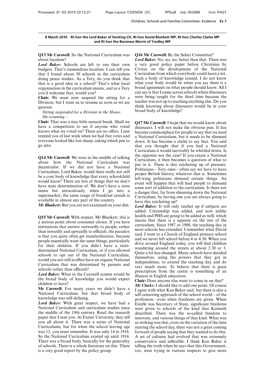**Q13 Mr Carswell:** So the National Curriculum was about localism?

*Lord Baker:* Schools are left to run their own budgets. That's tremendous localism. I can tell you that I found about 50 schools in the curriculum doing peace studies. As a Tory, do you think that that is a good idea in a school? That's what local organisation in the curriculum means, and as a Tory you'd welcome that, would you?

**Chair:** We must now suspend the sitting for a Division, but I want us to resume as soon as we are quorate.

### *Sitting suspended for a Division in the House. On resuming—*

**Chair:** That was a nice little natural break. Shall we have a competition to see if anyone who voted knows what we voted on? There are no offers. I just remind you of last week when we had free votes and everyone looked like lost sheep, asking which pen to go into.

**Q14 Mr Carswell:** We were in the middle of talking about how the National Curriculum was decentralist. If we did not have a National Curriculum, Lord Baker, would there really not still be a core body of knowledge that every schoolchild would know? There are lots of things that we don't have state determination of. We don't have a state menu but miraculously, when I go into a supermarket, the same range of breakfast cereals is available in almost any part of the country.

*Mr Blunkett:* But you are not examined on your diet.

**Q15 Mr Carswell:** With respect, Mr Blunkett, this is a serious point about consumer choice. If you have institutions that answer outwardly to people, rather than inwardly and upwardly to officials, the paradox is that you quite often get standardisation, because people essentially want the same things, particularly for their children. If you didn't have a statedetermined National Curriculum, or if you allowed schools to opt out of the National Curriculum, would you not still in effect have an organic National Curriculum that was determined by parents and schools rather than officials?

*Lord Baker:* What in the Carswell system would be the broad body of knowledge you would expect children to have?

**Mr Carswell:** For many years we didn't have a National Curriculum, but that broad body of knowledge was self-defining.

*Lord Baker:* With great respect, we have had a National Curriculum and curriculum studies since the middle of the 19th century. Read the research paper that I sent you. At Exeter University, they tell you all about it. There was a series of National Curriculums, but for when the school leaving age was 12, you must remember. It was only 14 in 1918. So the National Curriculum existed up until 1914. There was a broad body, basically for the generality of schools. There is a whole literature on this. There is a very good report by the policy group.

**Q16 Mr Carswell:** By the Select Committee?

*Lord Baker:* No, no, no; better than that. There was a very good policy paper before Christmas by Civitas on the development of the National Curriculum from which everybody could learn a lot. Such a body of knowledge existed. I do not know what your body would be when you say there is a broad agreement on what people should know. All I can say is that I came across schools where dinosaurs were being taught for the third time because the teacher was not up to teaching anything else. Do you think knowing about dinosaurs would be in your broad body of knowledge?

**Q17 Mr Carswell:** I hope that we would know about dinosaurs. I will not make the obvious pun. It has become commonplace for people to say that we need a National Curriculum, but it needs to be slimmed down. It has become a cliché to say that. You said that you thought that if you had a National Curriculum it would inevitably be whittled down. Is the opposite not the case? If you create a National Curriculum, it then becomes a question of what to put in it. There is this ratcheting up of pressure. Politicians—Tory ones—often say we have to have proper British history, whatever that is. Sometimes left-wing politicians demand certain things. An event will happen that will lead people to demand some sort of addition to the curriculum. Is there not a danger that, far from slimming down the National Curriculum, by having one you are always going to have this ratcheting up?

*Lord Baker:* It will only ratchet up if subjects are added. Citizenship was added, and now public health and PHS are going to be added as well, which means that there is a squeeze on the rest of the curriculum. Since 1987 or 1988, the teaching day in most schools has extended. I remember what David said. I went to a Church of England primary school and we never left school before 4 or 4.30. When you drive around England today, you will find children wandering around the streets at about 2.30 or 3. Quite a lot has changed. Many schools have decided themselves, using the powers that they got in independence, to extend the teaching day and do very much more. To believe that there is great prescription from the centre is something of an illusion in English education.

**Chair:** Does anyone else want to come in on that?

*Mr Clarke:* I should like to add one point. Of course I agree with what Ken Baker said, but there is also a self-censoring approach of the school world—of the profession—even when freedoms are given. When Estelle was Secretary of State, significant freedoms were given to schools of the kind that Kenneth described. There was the so-called freedom to innovate, and various things of that kind. What was so striking was that, even on the variation of the time starting the school day, there was not a great coming forward of people saying that they wanted to do this. A set of cultures had evolved that was extremely conservative and inflexible. I think Ken Baker is telling the truth when he says that this Government, too, were trying in various respects to give more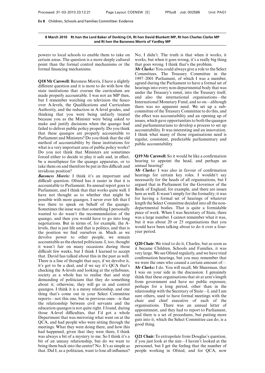powers to local schools to enable them to take on certain areas. The question is a more deeply cultural point than the formal control mechanisms or the formal financing mechanisms.

**Q18 Mr Carswell:** Baroness Morris, I have a slightly different question and it is more to do with how the state institutions that oversee the curriculum are made properly accountable. I was not an MP then, but I remember watching on television the fiasco over A-levels, the Qualifications and Curriculum Authority, and the reduction in A-level grades, and thinking that you were being unfairly treated because you as the Minister were being asked to make and justify decisions when the quango had failed to deliver public policy properly. Do you think that these quangos are properly accountable to Parliament and Ministers? Do you think that the old method of accountability by these institutions for what is a very important area of public policy works? Do you not think that Ministers are sometimes forced either to decide to play it safe and, in effect, be a mouthpiece for the quango apparatus, or to take them on and therefore be put in this difficult and invidious position?

*Baroness Morris:* I think it's an important and difficult question. Of sted has it easier in that it is accountable to Parliament. Its annual report goes to Parliament, and I think that that works quite well. I have not thought as to whether that might be possible with more quangos. I never ever felt that I was there to speak on behalf of the quango. Sometimes the issue was that something I personally wanted to do wasn't the recommendation of the quango, and then you would have to go into long negotiations. But in terms of, for example, the Alevels, that is just life and that is politics, and that is the position we find ourselves in. Much as we devolve power to other people, we remain accountable as the elected politicians. I, too, thought it wasn't fair on many occasions during those difficult few weeks, but I think I learned to accept that. David has talked about this in the past as well. There is a line of thought that says, if we devolve it, it's got to be a deal, and if we say it's QCA that's checking the A-levels and looking at the syllabuses, society as a whole has to realise that and stop demanding of politicians that they do something about it; otherwise, they will go in and control quangos. I think it is a messy relationship, and one thing that's come out in your Select Committee reports—not this one, but in previous ones—is that the relationship between civil servants and the education quangos is not quite right. I found, during those A-level difficulties, that I'd got a whole Department that was mirroring what went on at the QCA, and had people who were sitting through the meetings. What they were doing there, and how this had happened, given that they were there, I think was always a bit of a mystery to me. So I think it's a bit of an uneasy relationship, but do we want to bring them back into the centre? No. It's as simple as that. Did I, as a politician, want to lose all influence? No, I didn't. The truth is that when it works, it works, but when it goes wrong, it's a really big thing that goes wrong. I think that's the problem.

*Mr Clarke:* You could always give a role to the Select Committees. The Treasury Committee in the 1997–2001 Parliament, of which I was a member, agreed during the Parliament to have a formal set of hearings into every non-departmental body that was under the Treasury's remit, into the Treasury itself, and also the international organisations—the International Monetary Fund, and so on—although there was no apparent need. We set up a subcommittee of the Treasury Committee to do this, and the effect was accountability and an opening up of issues, which gave opportunities to both the quangos and parliamentarians to develop a process to set up accountability. It was interesting and an innovation. I think what many of those organisations need is regular, consistent, predictable parliamentary and public accountability.

**Q19 Mr Carswell:** So it would be like a confirmation hearing to appoint the head, and perhaps an annual hearing?

*Mr Clarke:* I was also in favour of confirmation hearings for certain key roles. I wouldn't say necessarily for the heads of all organisations, but I argued that in Parliament for the Governor of the Bank of England, for example, and there are issues here as well. It wasn't simply for the formality; it was for having a formal set of hearings of whatever length the Select Committee decided into all the nondepartmental bodies. That is quite a formidable piece of work. When I was Secretary of State, there was a large number. I cannot remember what it was, but it was about 20 or 25 organisations that you would have been talking about to do it over a fouryear period.

**Q20 Chair:** We tried to do it, Charles, but as soon as it became Children, Schools and Families, it was very large. We see Ofsted regularly, and we have tried confirmation hearings, but you may remember that we were the ones who caused a certain amount of— *Mr Clarke:* I do. You will recall, Mr Sheerman, that I was on your side in the discussion. I genuinely think that these organisations that sit at arm's length from government and have no public exposure, perhaps for a long period, other than in the relationship with the Secretary of State—I, and I am sure others, used to have formal meetings with the chair and chief executive of each of the organisations. There was an annual letter of appointment, and they had to report to Parliament, and there is a set of procedures, but putting more guts into it, which the Select Committee can do, is a good thing.

**Q21 Chair:** To extrapolate from Douglas's question, if you just look at the size—I haven't looked at the personnel, but I get the feeling that the number of people working in Ofsted, and for QCA, now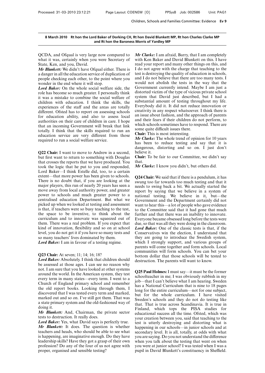QCDA, and Ofqual is very large now compared to what it was, certainly when you were Secretary of State, Ken, and you, David.

*Mr Blunkett:* We didn't have Ofqual either. There is a danger in all the education service of duplication of people checking each other, to the point where you wonder in the end where it will stop.

*Lord Baker:* On the whole social welfare side, the role has become so much greater. I personally think it was a mistake to combine the social welfare of children with education. I think the skills, the experiences of the staff and the areas are totally different. Ofsted has to report on assessing schools for education ability, and also to assess local authorities on their care of children in care. I hope that an incoming Government will break that link totally. I think that the skills required to run an education service are very different from those required to run a social welfare service.

**Q22 Chair:** I want to move to Andrew in a second, but first want to return to something with Douglas that crosses the reports that we have produced. You took the logic that he put to you and responded, Lord Baker—I think Estelle did, too, to a certain extent—that more power has been given to schools. There is no doubt that, if you are looking at the major players, this run of nearly 20 years has seen a move away from local authority power, and greater power to schools and much greater power to a centralised education Department. But what we picked up when we looked at testing and assessment is that, if teachers were so busy teaching to the test, the space to be inventive, to think about the curriculum and to innovate was squeezed out of them. There was a real problem. If you expect that kind of innovation, flexibility and so on at school level, you do not get it if you have so many tests and so many teachers' lives dominated by them.

*Lord Baker:* I am in favour of a testing regime.

### **Q23 Chair:** At seven; 11; 14; 16; 18?

*Lord Baker:* Absolutely. I think that children should be assessed at those ages. I can see no reason why not. I am sure that you have looked at other systems around the world. In the American system, they test every term in many states—every term. I went to a Church of England primary school and remember the old report books. Looking through them, I discovered that I was tested every term and marked, marked out and so on. I've still got them. That was a state primary system and the old-fashioned way of doing it.

*Mr Blunkett:* And, Chairman, the private sector tests to destruction. It really does.

*Lord Baker:* Yes, what David says is perfectly true. *Mr Blunkett:* It does. The question is whether teachers and heads, who should be able to see what is happening, are imaginative enough. Do they have leadership skills? Have they got a grasp of their own profession? Do any of the four of us not agree with proper, organised and sensible testing?

*Mr Clarke:* I am afraid, Barry, that I am completely with Ken Baker and David Blunkett on this. I have read your report and many other things on this, and I do not agree with the charge that teaching to the test is destroying the quality of education in schools, and I do not believe that there are too many tests. I would not abolish the tests in the way that the Government currently intend. Maybe I am just a distorted victim of the type of vicious private school system that David just described, but I had a substantial amount of testing throughout my life. Everybody did it. It did not reduce innovation or creativity in any respect whatsoever. I think there is an issue about fashion, and the approach of parents and their fears if their children do not perform, to which schools sometimes have to respond. There are some quite difficult issues there.

**Chair:** This is most interesting.

*Mr Clarke:* The whole trend of opinion for 10 years has been to reduce testing and say that it is dangerous, distorting and so on. I just don't believe it.

**Chair:** To be fair to our Committee, we didn't say that.

*Mr Clarke:* I know you didn't, but others did.

**Q24 Chair:** We said that if there is a pendulum, it has swung too far towards too much testing and that it needs to swing back a bit. We actually started the report by saying that we believe in a system of national testing. We believe in it, but—the Government and the Department certainly did not want to hear this—a lot of people who gave evidence to the Committee said that it had gone that much further and that there was an inability to innovate. Everyone became obsessed long before the tests were due, so that was all they were doing in the classroom. *Lord Baker:* One of the classic tests is that, if the Conservatives win the election, I understand that they are going to introduce the Swedish system, which I strongly support, and various groups of parents will come together and form schools. Local communities will form schools. You can bet your bottom dollar that those schools will be tested to destruction. The parents will want to know.

**Q25 Paul Holmes:** I must say—it must be the former schoolteacher in me; I was obviously rubbish in my job—that I can't believe what I am hearing. Sweden has a National Curriculum that is nine to 18 pages long for the entire curriculum—not for one subject, but for the whole curriculum. I have visited Sweden's schools and they do not do testing like that. That is true across Scandinavia. It is true in Finland, which tops the PISA studies for educational success all the time. Ofsted, which was your creation between you, said that teaching to the test is utterly destroying and distorting what is happening in our schools—in junior schools and at secondary level. It is all, totally, at odds with what you are saying. Do you not understand the difference when you talk about the testing that went on when you were at junior school? I was tested when I was a pupil in David Blunkett's constituency in Sheffield.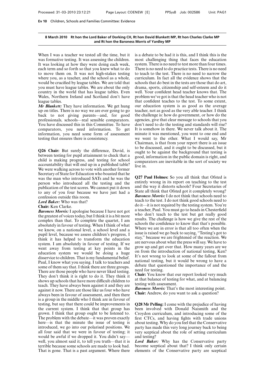When I was a teacher we tested all the time, but it was formative testing. It was assessing the children. It was looking at how they were doing each week, each term and so forth so that you knew what to do to move them on. It was not high-stakes testing where you, as a teacher, and the school as a whole, would be crucified by league tables. We are told that you must have league tables. We are about the only country in the world that has league tables. Even Wales, Northern Ireland and Scotland don't have league tables.

*Mr Blunkett:* They have information. We get hung up on titles. There is no way we are ever going to go back to not giving parents—and, for good professionals*,* schools—real sensible comparators. You have discussed this in this Committee. To have comparators, you need information. To get information, you need some form of assessment testing that ensures there is consistency.

**Q26 Chair:** But surely the difference, David, is between testing for pupil attainment to check that a child is making progress, and testing for school accountability that will end up in a published table? We were walking across to vote with another former Secretary of State for Education who boasted that he was the man who introduced SATs and he was the person who introduced all the testing and the publication of the test scores. We cannot put it down to any of you four because we have just had a confession outside this room.

*Lord Baker:* Who was that?

### **Chair:** Ken Clarke.

*Baroness Morris:* I apologise because I have not got the greatest of voices today, but I think it is a bit more complex than that. To complete the quartet, I am absolutely in favour of testing. When I think of what we know, on a national level, a school level and a pupil level, because we assess children's progress, I think it has helped to transform the education system. I am absolutely in favour of testing. If we went away from testing at key points in the education system we would be doing a huge disservice to children. That is my fundamental belief. Paul, I know what you saying. I talk to teachers and some of them say that. I think there are three groups. There are those people who have never liked testing. They don't think it is right to do it. They think it shows up schools that have more difficult children to teach. They have always been against it and they are against it now. There are those like us four who have always been in favour of assessment, and then there is a group in the middle who I think are in favour of testing, but say that there could be improvements in the current system. I think that that group has grown. I think that group ought to be listened to. The problem with the debate—it was proven exactly here—is that the minute the issue of testing is introduced, we go into our polarised positions. We all four said that we were in favour of testing; it would be awful if we dropped it. You didn't say well, you almost said it, to tell you truth—that it is terrible because some schools are made to look bad. That is gone. That is a past argument. Where there is a debate to be had it is this, and I think this is the most challenging thing that faces the education system. There is no need to test more than four times. There is no need to do practice tests. There is no need to teach to the test. There is no need to narrow the curriculum. In fact all the evidence shows that the schools that do best in the tests are those that do art, drama, sports, citizenship and self-esteem and do it well. Your confident head teacher knows that. The problem we've got is that the head teacher who is not that confident teaches to the test. To some extent, our education system is as good as the average teacher, not as good as the very able teacher. I think the challenge is: how do government, or how do the agencies, give that clear message to schools that you don't need to do the testing and standards will rise? It is somehow in there. We never talk about it. The minute it was mentioned, you went to one end and we went to the other. What I would say, Mr Chairman, is that from your report there is an issue to be discussed, and it ought to be discussed, but it ought to be against the background that testing is good, information in the public domain is right, and comparators are inevitable in the sort of society we live in.

**Q27 Paul Holmes:** So you all think that Ofsted is entirely wrong in its report on teaching to the test and the way it distorts schools? Four Secretaries of State all think that Ofsted got it completely wrong? *Baroness Morris:* I do not think that schools need to teach to the test. I do not think good schools need to do it—it is not required by the testing system. You're a teacher, Paul. You must go to heads in Chesterfield who don't teach to the test but get really good results. The challenge is how we give the rest of the schools the confidence to know that that's possible. Where we are in error is that all too often when the issue is raised we go back to saying, "Testing's got to stay," because we are frightened of the reaction. We are nervous about what the press will say. We have to grow up and get over that. How many years are we on from the introduction of national testing, Ken? It's not wrong to look at some of the fallout from national testing, but it would be wrong to have a debate that questioned the importance of and the need for testing.

**Chair:** You know that our report looked very much at that balance of testing for what, and at balancing testing with assessment.

*Baroness Morris:* That's the most interesting point. **Chair:** Andrew, do you want to ask a question?

**Q28 Mr Pelling:** I come with the prejudice of having been involved with Donald Naismith and the Croydon curriculum, and introducing some of the first CTCs, and having fights with trade unions about testing. Why do you feel that the Conservative party has made this very long journey back to being very sceptical about the role of setting curriculum and testing?

*Lord Baker:* Why has the Conservative party become sceptical about that? I think only certain elements of the Conservative party are sceptical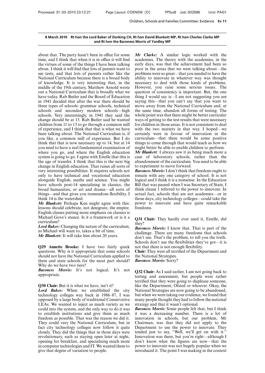about that. The party hasn't been in office for some time, and I think that when it is in office it will find the virtues of some of the things I have been talking about. I think it will find that lots of parents want to see tests, and that lots of parents rather like the National Curriculum because there is a broad body of knowledge. It is very interesting that, in the middle of the 19th century, Matthew Arnold wrote out a National Curriculum that is broadly what we have today. Rab Butler and the Board of Education in 1941 decided that after the war there should be three types of schools: grammar schools, technical schools and secondary modern schools—high schools. Very interestingly, in 1941 they said the change should be at 13. Rab Butler said he wanted children from 11 to 13 to go through a common mill of experience, and I think that that is what we have been talking about. The National Curriculum is, if you like, a common mill of experience. But I do think that that is now necessary up to 14, but at 14 you need to have a real fundamental examination of where you go, and where the English education system is going to go. I agree with Estelle that this is the age of transfer. I think that this is the next big change in English education. That raises all sorts of very interesting possibilities. It requires schools not only to have technical and vocational education alongside English, maths and science. You might have schools post-14 specialising in classics, the broad humanities, or art and drama—all sorts of things—and that gives you tremendous flexibility. I think 14 is the watershed.

*Mr Blunkett:* Perhaps Ken might agree with this: lessons should celebrate, not denigrate, the empire. English classes putting more emphasis on classics is Michael Gove's stance. Is it a framework or is it a curriculum?

*Lord Baker:* Changing the nature of the curriculum, as Michael will want to, takes a bit of time.

*Mr Blunkett:* It will take him about 20 years.

**Q29 Annette Brooke:** I have two fairly quick questions. Why is it appropriate that some schools should not have the National Curriculum applied to them and state schools for the most part should? Why do we have two tiers?

*Baroness Morris:* It's not logical. It's not appropriate.

**Q30 Chair:** But it is what we have, isn't it?

*Lord Baker:* When we established the city technology colleges way back in 1986–87, I was opposed by a large body of traditional Conservative LEAs. We wanted to inject as much variety as we could into the system, and the only way to do it was to establish institutions and give them as much freedom as possible. That was the reason we did it. They could vary the National Curriculum, but in fact city technology colleges now follow it quite closely. They did the things that in those days were revolutionary, such as staying open later at night, opening for breakfast, and specialising much more in computer technologies and IT. We wanted them to give that degree of variation to people.

*Mr Clarke:* A similar logic worked with the academies. The theory with the academies, in the early days, was that the achievement had been so poor in the areas that we were talking about—the problems were so great—that you needed to have the ability to innovate in whatever way was thought necessary to deal with those kinds of problems. However, you raise some serious issues. The question of consistency is important. But, the one thing I would say is—I am not suggesting you are saying this—that you can't say that you want to move away from the National Curriculum and, at the same time, abandon all forms of testing. The whole point was that there might be better curricular ways of getting to the test results that were necessary for children in those areas. It is not consistent to deal with the two matters in that way. I hoped—we certainly were in favour of innovation in the curriculum—that there would be some positive things to come through that would teach us how we might better be able to enable children to perform.

*Mr Blunkett:* I always saw it as being much more a case of laboratory schools, rather than the abandonment of the curriculum. You need to be able to experiment to move forward.

*Baroness Morris:*I don't think that freedom ought to remain with any one category of school. It is not logical and I think it is a nonsense. In the Education Bill that was passed when I was Secretary of State, I think clause 1 referred to the power to innovate. In actual fact, schools that are not academies—or in those days, city technology colleges—could take the power to innovate and have quite remarkable freedoms.

**Q31 Chair:** They hardly ever used it, Estelle, did they?

*Baroness Morris:* I know that. That is part of the challenge. There are many freedoms that schools don't use. That's the problem, to tell you the truth. Schools don't use the flexibilities they've got—it is not that there is not enough flexibility.

**Chair:** They were all terrified of the Department and the National Strategies.

*Baroness Morris:* Sorry?

**Q32 Chair:** As I said earlier, I am not going back to testing and assessment, but people were rather terrified that they were going to displease someone, like the Department, Ofsted or whoever. Okay, the National Strategies are now going to be abandoned, but when we were taking our evidence, we found that many people thought they had to follow the national strategy and that it wasn't optional.

*Baroness Morris:* Some people felt that, but I think it was a decreasing number. There is a lot of innovation in schools, but our problem, Mr Chairman, was that they did not apply to the Department to use the power to innovate. They tended just to say, "Well, we'll get on with it." Innovation was there, but you're right—although I don't know what the figures are now—that the power to innovate was not hugely popular when we introduced it. The point I was making in the context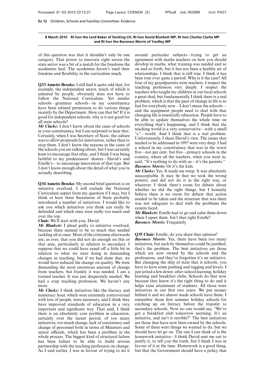of this question was that it shouldn't only be one category. That power to innovate right across the state sector was a bit of a match for the freedoms the academies had. The academies haven't used their freedom and flexibility in the curriculum much.

**Q33 Annette Brooke:** I still find it quite odd that, for example, the independent sector, much of which is admired by people, obviously does not have to follow the National Curriculum. Yet similar schools—grammar schools—in my constituency have been refused permission to do various things recently by the Department. How can that be? If it is good for independent schools, why is it not good for all state schools?

*Mr Clarke:* I don't know about the cases of schools in your constituency, but I am surprised to hear that. Certainly, when I was Secretary of State, the culture was to allow proposals for innovation, rather than to stop them. I don't know the reasons in the cases of the schools you are talking about, but I was certainly keen to encourage that ethic, and I think I was being faithful to my predecessors' desires—David's and Estelle's—to encourage innovation of that type. But I don't know enough about the detail of what you're actually describing.

**Q34 Annette Brooke:** My second brief question is on initiative overload. I will exclude the National Curriculum aspect from my question if I may, but I think at least three Secretaries of State probably introduced a number of initiatives. I would like to ask you which initiatives you think can really be defended and which ones were really too much and over the top.

**Chair:** We'll start with you, David.

*Mr Blunkett:* I plead guilty to initiative overload, because there seemed to be so much that needed tackling all at once. Most of the criticisms afterwards are, as ever, that you did not do enough on this or that area, particularly in relation to secondary. I suppose that we could have eased off a little bit in relation to what we were doing in demanding changes in teaching, but if we had done that, we would have reduced the change on quality. We were demanding the most enormous amount of change from teachers, but frankly it was needed. I am a trained teacher. It was just desperately needed. We had a crap teaching profession. We haven't any more.

*Mr Clarke:* I think initiatives like the literacy and numeracy hour, which were extremely controversial with lots of people, were necessary, and I think they have improved standards of education in a very important and significant way. That said, I think there is an absolutely core problem in education, certainly over the recent period, of too many initiatives, too much change, lack of consistency and change of personnel both in terms of Ministers and senior officials, which has been a problem in the whole process. The biggest kind of structural failure has been failure to be able to build serious partnership with the teaching profession on change. As I said earlier, I was in favour of trying to do it around particular subjects—trying to get an agreement with maths teachers on how you should develop in maths, what training was needed and so on and so forth; but it has not been a healthy set of relationships. I think that is still true. I think it has been true over quite a period. Why is it the case? All four of my grandparents were teachers. I respect the teaching profession very deeply. I respect the teachers who taught my children in our local schools a great deal; but fundamentally I think there is a real problem, which is that the pace of change in life is so fast for everybody now—I don't mean the schools and the equipment people need to deal with that changing life is essentially education. People have to be able to update themselves the whole time on everything that's happening, and I think that the teaching world is a very conservative—with a small "c"—world. And I think that is a real problem. Unfortunately, I share David's view. The issues that needed to be addressed in 1997 were very deep. I had a school in my constituency that was in the worst five—not per cent. but five—primary schools in the country, where all the teachers, when you went in, said, "It's nothing to do with us—it's the parents."

*Baroness Morris:* Or it's the kids.

*Mr Clarke:* Yes. It made me weep. It was absolutely unacceptable. It may be that we took the wrong powers, and did not do it in the right way, or whatever. I think there's room for debate about whether we did the right things, but I honestly believe there is no room for debate that action needed to be taken and the structure that was there was not adequate to deal with the problems the system faced.

*Mr Blunkett:* Estelle had to go and calm them down when I upset them. Isn't that right Estelle? *Baroness Morris:* Frequently.

**Q35 Chair:** Estelle, do you share that opinion?

*Baroness Morris:* Yes, there have been too many initiatives, but each by themselves could be justified; that's the problem. The best initiatives are those which are now owned by the schools and the professions, and they've forgotten it's an initiative. But changing the ship of state that is schools, you have to have some pushing and tugging and levers. I just jotted a few down: after-school learning, holiday learning and breakfast clubs. Schools do that now because they know it's the right thing to do and it helps raise attainment of students. All those were initiatives in our first two years. We put money behind it and we almost made schools have them. I remember those first summer holiday schools for catching up on literacy before the transfer to secondary schools. Now no one would say, "We've got a breakfast club tomorrow morning. It's an initiative, and isn't it terrible?" The best initiatives are those that have now been owned by the schools. Some of them were things we wanted to do, but we should have let go on. The one I can think of is the homework initiative—I think David sent me out to justify it, to tell you the truth, but I think I was in favour of it at the time. Homework is a good thing, but that the Government should have a policy that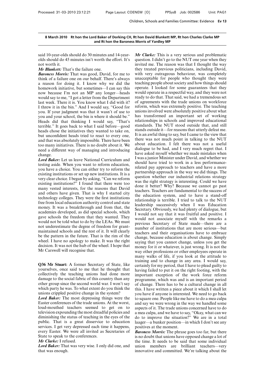said 10-year-olds should do 30 minutes and 14-yearolds should do 45 minutes isn't worth the effort. It's not worth it.

*Mr Blunkett:* That's the failure one.

*Baroness Morris:* That was good, David, for me to think of a failure one on our behalf. There's always a reason for doing it. I know why we did the homework initiative, but sometimes—I can say this now because I'm not an MP any longer—heads would say to me, "I got a letter from the Department last week. There it is. You know what I did with it? I threw it in the bin." And I would say, "Good for you. If your judgment was that it wasn't of use to you and your school, the bin is where it should be." Heads did that thinking I would say, "That's terrible." It goes back to what I said before—good heads chose the initiatives they wanted to take on, but unconfident heads tried to react to every one, and that was absolutely impossible. There have been too many initiatives. There is no doubt about it. We need a different way of managing and introducing change.

*Lord Baker:* Let us leave National Curriculum and testing aside. When you want to reform education, you have a choice. You can either try to reform the existing institutions or set up new institutions. It is a very clear choice. I began by asking, "Can we reform existing institutions?" I found that there were too many vested interests, for the reasons that David and others have given. That is why I started city technology colleges. They were the first institutions free from local education authority control and state money. It was a breakthrough and from that, the academies developed, as did special schools, which gave schools the freedom that they wanted. They would not be told what to do by the LEAs. We must not underestimate the degree of freedom for grantmaintained schools and the rest of it. It will clearly be the pattern in the future. That is the rim of the wheel. I have no apology to make. It was the right decision. It was not the hub of the wheel. I hope that Mr Carswell will recognise that.

**Q36 Mr Stuart:** A former Secretary of State, like yourselves, once said to me that he thought that collectively the teaching unions had done more damage to the social fabric of this country than any other group since the second world war. I won't say which party he was. To what extent do you think the unions crippled positive change in the system?

*Lord Baker:* The most depressing things were the Easter conferences of the trade unions. At the worst, loud-mouthed teachers seemed to get on to television expounding the most dreadful policies and diminishing the status of teaching in the eyes of the public. That is a great disservice to education services. I get very depressed each time it happens, every Easter. We were all invited as Secretaries of State to speak to the conferences.

*Mr Clarke:* I refused.

*Lord Baker:* That was very wise. I only did one, and that was enough.

*Mr Clarke:* This is a very serious and problematic question. I didn't go to the NUT one year when they invited me. The reason was that I thought the way they treated previous politicians, including David, with very outrageous behaviour, was completely unacceptable for people who thought they were teaching people about society and how things should operate. I looked for some guarantees that they would operate in a respectful way, and they were not ready to do that. That said, we had a tremendous set of agreements with the trade unions on workforce reform, which was extremely positive. The teaching unions involved were absolutely positive about what has transformed an important set of working relationships in schools and improved educational standards. The NUT stood outside that, and still stands outside it—for reasons that utterly defeat me. It is an awful thing to say, but I came to the view that there was not much point in talking to the NUT about education. I felt there was not a useful dialogue to be had, and I very much regret that. I have asked myself whether we made mistakes when I was a junior Minister under David, and whether we should have tried to work in a less performancerelated pay approach to teachers and have a more partnership approach in the way we did things. The question whether our industrial relations strategy was the right strategy is interesting. Could we have done it better? Why? Because we cannot go past teachers. Teachers are fundamental to the success of the education system, and to have a stand-off relationship is terrible. I tried to talk to the NUT leadership successively when I was Education Secretary. Obviously, we had plenty of dialogue, but I would not say that it was fruitful and positive. I would not associate myself with the remarks a previous Secretary of State made—there are a number of institutions that are more serious—but teachers and their organisations have to embrace change, because education is about change. Simply saying that you cannot change, unless you get the money for it or whatever, is just wrong. It is not the way other professions or other employees operate in many walks of life, if you look at the attitude to training and to change in any area. I would say, certainly for my period, that I have to plead guilty to having failed to put it on the right footing, with the important exception of the work force reform programme, which was and is an important period of change. There has to be a cultural change in all this. I have written a piece about it which I shall let you have if anyone is interested. We need to go back to square one. People like me have to do a mea culpa and say we were wrong in the way we handled some aspects of it. The trade unions concerned have to do a mea culpa, and we have to say, "Okay, what can we do to improve the situation?" We are in a total laager—a bunker position—in which I don't see any positives at the moment.

*Baroness Morris:* The phrase goes too far, but there is no doubt that unions have opposed change a lot of the time. It needs to be said that some individual union members are brilliant teachers—very innovative and committed. We're talking about the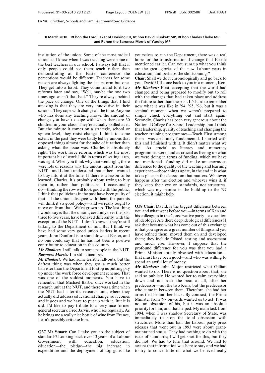institution of the union. Some of the most radical unionists I knew when I was teaching were some of the best teachers in our school. I always felt that if only people could see them teach rather than demonstrating at the Easter conference the perceptions would be different. Teachers for some reason are always fighting the last reform but one. They get into a habit. They come round to it two reforms later and say, "Well, maybe the one two times ago wasn't that bad." They're always behind the pace of change. One of the things that I find amazing is that they are very innovative in their schools. They cope with change all the time. Anyone who has done any teaching knows the amount of change you have to cope with when there are 30 children in your class. They're actually skilled at it. But the minute it comes on a strategic, school or system level, they resist change. I think to some extent in the past they were badly led by unions that opposed things almost for the sake of it rather than asking what the issue was. Charles is absolutely right. The work force reform, which was the most important bit of work I did in terms of setting it up, was right. When you think why that went right, there were lots of reasons why the unions, apart from the NUT—and I don't understand that either—wanted to buy into it at the time. If there is a lesson to be learned, Charles, it's probably about trying to buy them in, rather than politicians—I occasionally do—thinking the row will look good with the public. I think that politicians in the past have been guilty of that—if the unions disagree with them, the parents will think it's a good policy—and we really ought to move on from that. We've grown up. The last thing I would say is that the unions, certainly over the past three to five years, have behaved differently, with the exception of the NUT—I don't know if they're still talking to the Department or not. But I think we have had some very good union leaders in recent years. John Dunford is to stand down at Easter, and no one could say that he has not been a positive contributor to education in this country.

*Mr Blunkett:* I still talk to some people in the NUT. *Baroness Morris:* I'm still a member.

*Mr Blunkett:* We had some terrible fall-outs, but the daftest thing was when they got a much better barrister than the Department to stop us putting pay up under the work force development scheme. That was one of the saddest moments. You have to remember that Michael Barber once worked in the research unit at the NUT, and there was a time when the NUT had a terrific research unit, where they actually did address educational change, so it comes and it goes and we have to put up with it. But it is sad. I'd like to pay tribute to a very nice former general secretary, Fred Jarvis, who I see regularly. As he brings me a really nice bottle of wine from France, I can't possibly criticise him.

**Q37 Mr Stuart:** Can I take you to the subject of standards? Looking back over 13 years of a Labour Government with education, education, education—the pledge—the big increase in expenditure and the deployment of top guns like yourselves to run the Department, there was a real hope for the transformational change that Estelle mentioned earlier. Can you sum up what you think are the great glories of the new Labour years in education, and perhaps the shortcomings?

**Chair:** Shall we do it chronologically and go back to you, David? I'll come back to you in a moment, Ken. *Mr Blunkett:* First, accepting that the world had changed and being prepared to modify but to roll with the changes that had taken place and address the future rather than the past. It's hard to remember now what it was like in '94, '95, '96, but it was a seminal moment when we weren't prepared to simply chuck everything out and start again. Secondly, Charles has been very generous about the National College for School Leadership, but I think that leadership, quality of teaching and changing the teacher training programmes—Teach First among them—was absolutely fundamental. I started with this and I finished with it. It didn't matter what we did. As crucial as literacy and numeracy programmes were, and as crucial as freeing up what we were doing in terms of funding, which we have not mentioned—funding did make an enormous difference to the quality of the teaching and learning experience—those things apart, in the end it is what takes place in the classroom that matters. Whatever happens after the election and whoever wins it, if they keep their eye on standards, not structures, which was my mantra in the build-up to the '97 election, it might help.

Q38 Chair: David, is the biggest difference between you and what went before you—in terms of Ken and his colleagues in the Conservative party—a question of ideology? Are there deep ideological differences? I ask that because what has come out of this exchange is that you agree on a great number of things and you have refined them, moved them on and developed them; they include Ofsted, testing and assessment and much else. However, I suppose that the profound difference for you was that you had a Prime Minister totally obsessed with education that must have been good—and who was willing to spend an awful lot of money.

*Mr Blunkett:* John Major restricted what Gillian wanted to do. There is no question about that; she said so publicly. He wanted her to calm everything down and not rock the boat at all, after her predecessor—not the two Kens, but the predecessor who came in between them. Therefore, she had her arms tied behind her back. By contrast, the Prime Minister from '97 onwards wanted us to act. It was not an obsession of his, but it was an absolute priority for him, and that helped. My main task from 1994, when I was shadow Secretary of State, was immediately to stop the total obsession with structures. More than half the Labour party press releases that went out in 1993 were about grantmaintained status. They had nothing to do with the issue of standards; I will get shot for this, but they did not. We had to turn that around. We had to accept that information was here to stay and we had to try to concentrate on what we believed really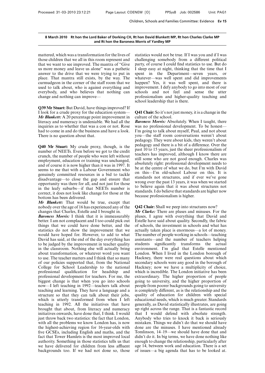mattered, which was a transformation for the lives of those children that we all in this room represent and that we want to see improved. The mantra of "Give us more money and leave us alone" was a pathetic answer to the drive that we were trying to put in place. That mantra still exists, by the way. The curmudgeon in the corner of the staff room that we used to talk about, who is against everything and everybody, and who believes that nothing can change and nothing can improve—

**Q39 Mr Stuart:** But David, have things improved? If I look for a crude proxy for the education system— *Mr Blunkett:* A 20 percentage point improvement in literacy and numeracy is undeniable. We had all the inquiries as to whether that was a con or not. Rose had to come in and do the business and have a look. There is no question about that.

**Q40 Mr Stuart:** My crude proxy, though, is the number of NEETs. Even before we got to the credit crunch, the number of people who were left without employment, education or training was unchanged, and of course it is now higher than it was in 1997. It seems to me that with a Labour Government who genuinely committed resources in a bid to tackle disadvantage—to close the gap and ensure that opportunity was there for all, and not just for those in the leafy suburbs—if that NEETs number is correct, it does not look like change for those at the bottom has been delivered.

*Mr Blunkett:* That would be true, except that nobody over the age of 16 has experienced any of the changes that Charles, Estelle and I brought in.

*Baroness Morris:* I think that it is immeasurably better. I am not complacent and I too could pick out things that we could have done better, and the statistics do not show the improvement that we would have hoped for. However, to add to what David has said, at the end of the day everything has to be judged by the improvement in teacher quality in the classroom. Nothing else will actually bring about transformation, or whatever word you want to use. The teacher matters and I think that so many of our policies supported that, from the National College for School Leadership to the national professional qualification for headship and professional development for teachers. For me, the biggest change is that when you go into schools now—I left teaching in 1992—teachers talk about teaching and learning. They have a language and a structure so that they can talk about their jobs, which is utterly transformed from when I left teaching in 1992. All the initiatives that have brought that about, from literacy and numeracy initiatives onwards, have done that, I think. I would just throw back two statistics: the fact that London, with all the problems we know London has, is now the highest-achieving region for 16-year-olds with five GCSEs, including English and maths, and the fact that Tower Hamlets is the most improved local authority. Something in those statistics tells us that we have delivered for children from less affluent backgrounds too. If we had not done so, those

statistics would not be true. If I was you and if I was challenging somebody from a different political party, of course I could find statistics to use. But do I sleep easy at night, thinking that the time that I spent in the Department—seven years, or whatever—was well spent and did improvements happen? Yes, it was well spent, and there is improvement. I defy anybody to go into most of our schools and not feel and sense the utter professionalism and higher-quality teaching and school leadership that is there.

**Q41 Chair:** So it's not just money, it is a change in the culture of the school.

*Baroness Morris:* Absolutely. When I taught, there was no professional development. To be honest— I'm going to talk about myself, Paul, and not about you—the staff room conversations weren't about pedagogy. They were about kids, they weren't about pedagogy and there is a bit of a difference. Over the past 10 to 15 years, just the sheer professionalism of teachers has improved, although I know there are still some who are not good enough. Charles was absolutely right: professional development needs to be at the centre of what we do, but I'm with David on this—I'm old-school Labour on this. It is standards not structures, and if ever we've gone wrong over the past 13 years, it was when we started to believe again that it was about structures not standards. I do believe that standards are higher now because professionalism is higher.

### **Q42 Chair:** Shall we peep into structures now?

*Mr Clarke:* There are pluses and minuses. For the pluses, I agree with everything that David and Estelle have said about quality. Secondly, the fabric of schools, the investment in schools and what has actually taken place is enormous—a lot of money. The number of people working in schools—teaching assistants—and the number of teachers helping students significantly transforms the actual environment. I'm glad that Estelle mentioned London. When I lived in the London borough of Hackney, there were real questions about which secondary schools were any good in the borough of Hackney; now we have a multiplicity of choice, which is incredible. The London initiative has been extraordinary. The higher proportion of people going to university, and the higher proportion of people from poorer backgrounds going to university is completely different, as is the relationship and the quality of education for children with special educational needs, which is much greater. Standards generally, as David statistically illustrates, are going up right across the range. That is a fantastic record that I would defend with absolute strength. Anybody who tries to knock it back is seriously mistaken. Things we didn't do that we should have done are the minuses. I have mentioned already Tomlinson, 14–19—we should have done that and didn't do it. In big terms, we have done nothing like enough to change the relationship, particularly after age 14, between work and education. There is a set of issues—a big agenda that has to be looked at.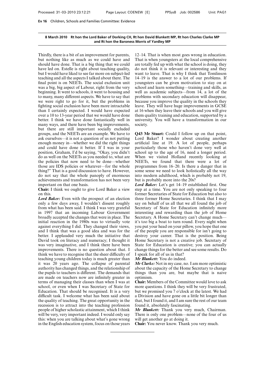Thirdly, there is a bit of an improvement for parents, but nothing like as much as we could have and should have done. That is a big thing that we could have led on. Estelle is right about teaching quality, but I would have liked to see far more on subject-led teaching and all the aspects I talked about there. The final point is on NEETs. The social exclusion unit was a big, big aspect of Labour, right from the very beginning. It went to schools, it went to housing and to many, many different aspects. We have to say that we were right to go for it, but the problems in fighting social exclusion have been more intractable than I certainly expected. I would have expected over a 10 to 13-year period that we would have done better. I think we have done fantastically well in many ways, and there have been big improvements, but there are still important socially excluded groups, and the NEETs are an example. We have to ask ourselves—it is not a question of us not putting enough money in—whether we did the right things and could have done it better. If I was in your position, Graham, I'd be saying, "Okay, you didn't do as well on the NEETs as you needed to, what are the policies that now need to be done—whether those are IDS policies or whatever—for the whole thing?" That is a good discussion to have. However, do not say that the whole panoply of enormous achievements and transformation has not been very important on that one basis.

**Chair:** I think we ought to give Lord Baker a view on this.

*Lord Baker:* Even with the prospect of an election only a few days away, I wouldn't dissent roughly from what has been said. I think I was very grateful in 1997 that an incoming Labour Government broadly accepted the changes that were in place. The initial reaction in the 1980s was to virtually vote against everything I did. They changed their views, and I think that was a good idea and was for the better. I applauded very much the initiative that David took on literacy and numeracy; I thought it was very imaginative, and I think there have been improvements. There is no question about that. I think we have to recognise that the sheer difficulty of teaching young children today is much greater than it was 20 years ago. The collapse of parental authority has changed things, and the relationship of the pupils to teachers is different. The demands that are made on teachers now are infinitely greater in terms of managing their classes than when I was at school, or even when I was Secretary of State for Education. That should be recognised. It is a very difficult task. I welcome what has been said about the quality of teaching. The great opportunity in the recession is to attract into the teaching profession people of higher scholastic attainment, which I think will be very, very important indeed. I would only say this: when you are talking about what's gone wrong in the English education system, focus on those years 12–14. That is when most goes wrong in education. That is when youngsters at the local comprehensive are totally fed up with what the school is doing, they do not think it is relevant or interesting and they want to leave. That is why I think that Tomlinson 14–19 is the answer to a lot of our problems. If youngsters can be given motivation to stay on at school and learn something—training and skills, as well as academic subjects—from 14, a lot of the problems with secondary education will disappear, because you improve the quality in the schools they leave. They will have huge improvements in GCSE at 16 when they leave their schools and you will give them quality training and education, supported by a university. You will have a transformation in our society.

**Q43 Mr Stuart:** Could I follow up on that point, Lord Baker? I wonder about creating another artificial line at 19. A lot of people, perhaps particularly those who haven't done very well at school up to the age of 16, need a longer period. When we visited Holland recently looking at NEETs, we found that there were a lot of programmes from 16–20. Is there a danger that in some sense we need to look holistically all the way into modern adulthood, which is probably not 19, but is probably more into the 20s?

*Lord Baker:* Let's get 14–19 established first. One step at a time. You are not only speaking to four former Secretaries of State for Education but also to three former Home Secretaries. I think that I may say on behalf of us all that we all found the job of Secretary of State for Education infinitely more interesting and rewarding than the job of Home Secretary. A Home Secretary can't change much it's too big a boat to turn round. Every night when you put your head on your pillow, you hope that one of the people you are responsible for isn't going to destroy your career. That is the position. Being Home Secretary is not a creative job. Secretary of State for Education is creative; you can actually change things for the better and see some results. Do I speak for all of us in that?

*Mr Blunkett:* You do indeed.

*Mr Clarke:* Not in my case, no. I am more optimistic about the capacity of the Home Secretary to change things than you are, but maybe that is naive optimism.

**Chair:** Members of the Committee would love to ask more questions. I think they will be very frustrated, but we promised you 7 o'clock at the latest. We had a Division and have gone on a little bit longer than that, but I found it, and I am sure the rest of our team found it, absolutely fascinating.

*Mr Blunkett:* Thank you very much, Chairman. There is only one problem—none of the four of us will get another go at doing it.

**Chair:** You never know. Thank you very much.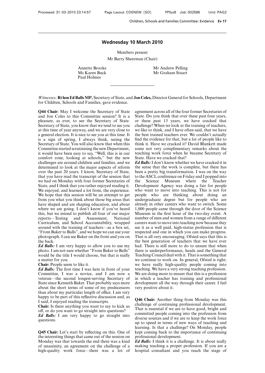### **Wednesday 10 March 2010**

Members present

Mr Barry Sheerman (Chair)

Paul Holmes

Annette Brooke<br>
Mr Andrew Pelling<br>
Mr Graham Stuart Mr Graham Stuart

*Witnesses:* **Rt hon Ed Balls MP,** Secretary of State, and **Jon Coles,** Director General for Schools, Department for Children, Schools and Families, gave evidence.

**Q44 Chair:** May I welcome the Secretary of State and Jon Coles to this Committee session? It is a pleasure, as ever, to see the Secretary of State. Secretary of State, you know that we tend to see you at this time of year anyway, and we are very close to a general election. It is nice to see you at this time. It is a sign of spring, I always think, seeing the Secretary of State. You will also know that when this Committee started scrutinising the new Department, it would have been easy to say, "Well, this is in our comfort zone, looking at schools," but the new challenges are around children and families, and we determined to look at the major aspects of reform over the past 20 years. I know, Secretary of State, that you have read the transcript of the session that we had on Monday with four former Secretaries of State, and I think that you rather enjoyed reading it. We enjoyed, and learned a lot from, the experience. We hope that this session will be an attempt to get from you what you think about those big areas that have shaped and are shaping education, and about where we are going. I don't know if you've heard this, but we intend to publish all four of our major<br>reports—Testing and Assessment, National reports—Testing and Assessment, Curriculum, and School Accountability, wrapped around with the training of teachers—as a box set, "From Baker to Balls", and we hope we can use your photograph. I can see Baker on the front and you on the back.

*Ed Balls:* I am very happy to allow you to use my photo. I am not sure whether "From Baker to Balls" would be the title I would choose, but that is really a matter for you.

**Chair:** People seem to like it.

*Ed Balls:* The first time I was here in front of your Committee, I was a novice, and I am now a veteran—the second longest-serving Secretary of State since Kenneth Baker. That probably says more about the short terms of some of my predecessors than about my particular length of office. I am very happy to be part of this reflective discussion and, as I said, I enjoyed reading the transcripts.

**Chair:** Is there anything you want to say to kick us off, or do you want to go straight into questions?

*Ed Balls:* I am very happy to go straight into questions.

**Q45 Chair:** Let's start by reflecting on this. One of the interesting things that came out of the session on Monday was that towards the end there was a kind of unanimity, an agreement on the challenge of a high-quality work force—there was a lot of agreement across all of the four former Secretaries of State. Do you think that over these past four years, or these past 13 years, we have cracked that challenge? When we look at the training of teachers, we like to think, and I have often said, that we have the best trained teachers ever. We couldn't actually find the evidence for that, but a lot of people like to think it. Have we cracked it? David Blunkett made some not very complimentary remarks about the teaching work force when he became Secretary of State. Have we cracked that?

*Ed Balls:*I don't know whether we have cracked it in the sense that the work is complete, but there has been a pretty big transformation. I was on the way to the ASCL conference on Friday and I popped into the Science Museum where the Teacher Development Agency was doing a fair for people who want to move into teaching. This is not for people who are thinking about doing an undergraduate degree but for people who are already in other careers who want to switch. Some 1,000 people came through the door of the Science Museum in the first hour of the two-day event. A number of men and women from a range of different careers want to move into teaching now because they see it as a well paid, high-status profession that is respected and one in which you can make progress. That is all very encouraging. Ofsted says that this is the best generation of teachers that we have ever had. There is still more to do to ensure that when there is underperformance, heads and the General Teaching Council deal with it. That is something that we continue to work on. In general, Ofsted is right; we have really high-quality people coming into teaching. We have a very strong teaching profession. We are doing more to ensure that this is a profession in which a teacher has training and professional development all the way through their career. I feel very positive about it.

**Q46 Chair:** Another thing from Monday was this challenge of continuing professional development. That is essential if we are to have good, bright and committed people coming into the profession from diverse sources and if we are to keep the work force up to speed in terms of new ways of teaching and learning. Is that a challenge? On Monday, people kept coming back to the importance of continuing professional development.

*Ed Balls:* I think it is a challenge. It is about really making teaching a proper profession. If you are a hospital consultant and you reach the stage of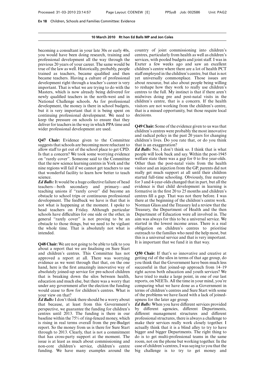becoming a consultant in your late 30s or early 40s, you would have been doing research, training and professional development all the way through the previous 20 years of your career. The same would be true of the law as well. Historically, probably, people trained as teachers, became qualified and then became teachers. Having a culture of professional development right through a teacher's career is very important. That is what we are trying to do with the Masters, which is now already being delivered for newly qualified teachers in the north-west and in National Challenge schools. As for professional development, the money is there in school budgets, but it is very important that it is being spent on continuing professional development. We need to keep the pressure on schools to ensure that they deliver for teachers in the way in which PPA time and wider professional development are used.

**Q47 Chair:** Evidence given to the Committee suggests that schools are becoming more reluctant to allow staff to get out of the school place to get CPD. Is that a concern? We took some worrying evidence on "rarely cover". Someone said to the Committee that the new science learning centres in York and the nine regions will fail if we cannot get teachers to use that wonderful facility to learn how better to teach science.

*Ed Balls:*It would be a huge collective failure of head teachers—both secondary and primary—and teaching unions if "rarely cover" did become an obstacle to school trips or continuous professional development. The feedback we have is that that is not what is happening at the moment. I spoke to head teachers on Friday. Although particular schools have difficulties for one side or the other, in general "rarely cover" is not proving to be an obstacle to those things, but we need to be vigilant the whole time. That is absolutely not what is intended.

**Q48 Chair:** We are not going to be able to talk to you about a report that we are finalising on Sure Start and children's centres. This Committee has not approved a report at all. There was worrying evidence as we went through that that, on the one hand, here is the first amazingly innovative way of absolutely joined-up service for pre-school children that is breaking down the silos between health, education and much else, but there was a worry that under any government after the election the funding would cease to flow for children's centres. What is your view on that?

*Ed Balls:*I don't think there should be a worry about that because, at least from this Government's perspective, we guarantee the funding for children's centres until 2013. The funding is there in our baseline within the 75% of ring-fenced money, which is rising in real terms overall from the pre-Budget report. So the money from us is there for Sure Start through to 2013. Clearly, that is not a commitment that has cross-party support at the moment. The issue is at least as much about commissioning and non-core children's service, children's centre funding. We have many examples around the

country of joint commissioning into children's centres, particularly from health as well as children's services, with pooled budgets and joint staff. I was in Exeter a few weeks ago and saw an excellent children's centre where there are a lot of health PCT staff employed in the children's centre, but that is not yet universally commonplace. Those issues are about resource, but also about people being willing to reshape how they work to really use children's centres to the full. My instinct is that if there aren't midwives doing pre and post-natal visits in the children's centre, that is a concern. If the health visitors are not working from the children's centre, that is a missed opportunity, but those require local decisions.

**Q49 Chair:** Some of the evidence given to us was that children's centres were probably the most innovative and radical policy in the past 20 years for changing children's lives. Do you rate that, or do you think that is an exaggeration?

*Ed Balls:* No, I don't think so. I think that is what people will look back and say. Within the post-1945 welfare state there was a gap for 0 to five year-olds. Other than the post-natal visits from the health visitor and an injection from the GP, parents did not really get much support at all until their children started full-time schooling. Obviously, free nursery for 3 and 4-year-olds changed that in part, but all the evidence is that child development in learning is formative in the first 20 to 25 months and children's centres fill a gap. That was not there before. I was there at the beginning of the children's centre work. Norman Glass and the Treasury led a review that the Treasury, the Department of Health and the then Department of Education were all involved in. The aim was always for this to be a universal service. We started in the lowest income areas. There is a real obligation on children's centres to prioritise outreach to the families who need the help most, but this is a universal service and that is very important. It is important that we fund it in that way.

**Q50 Chair:** If that's so innovative and creative at getting rid of the silos in terms of that age group, do you think that the Government have been much less successful in that joined-up approach from 14–19 right across both education and youth services? We have tried to make a large point, in one of our last reports, on NEETs. All the time in your mind, you're comparing what we have done as a Government in terms of children's centres and Sure Start with some of the problems we have faced with a lack of joinedupness for the later age group.

*Ed Balls:* When you have different services provided by different agencies, different Departments, different management structures and different professional structures, there is always a challenge to make their services really work closely together. I actually think that it is a blind alley to try to have bigger and bigger Departments. The right thing to do is to get multi-professional teams in the same room, not on the phone but working together. In the case of children's centres, I was saying to you that the big challenge is to try to get money and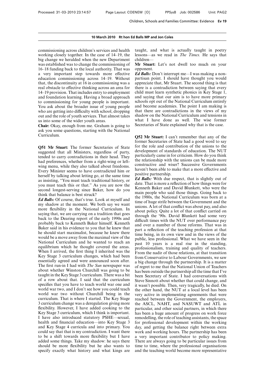commissioning across children's services and health working closely together. In the case of 14–19, the big change we heralded when the new Department was established was to change the commissioning of 16–18 funding back to the local authority. That was a very important step towards more effective education commissioning across 14–19. Without that, the discontinuity at 16 in commissioning was a real obstacle to effective thinking across an area for 14–19 provision. That includes entry to employment and foundation learning. Having a broad approach to commissioning for young people is important. You ask about the broader issue of young people who are getting into difficulty with school, dropping out and the role of youth services. That almost takes us into some of the wider youth areas.

**Chair:** Okay, enough from me. Graham is going to ask you some questions, starting with the National Curriculum.

**Q51 Mr Stuart:** The former Secretaries of State suggested that all Ministers, regardless of party, tended to carry contradictions in their head. They had preferences, whether from a right-wing or leftwing menu, while they also talked about freedoms. Every Minister seems to have contradicted him or herself by talking about letting go, at the same time as insisting, "You must teach traditional history, or you must teach this or that." As you are now the second longest-serving since Baker, how do you think that balance is best struck?

*Ed Balls:* Of course, that's true. Look at myself and my shadow at the moment. We both say we want more flexibility in the National Curriculum. In saying that, we are carrying on a tradition that goes back to the Dearing report of the early 1990s and probably back to Kenneth Baker himself. Kenneth Baker said in his evidence to you that he knew that he should start maximalist, because he knew there would be a move away from the maximal view of the National Curriculum and he wanted to reach an equilibrium which he thought covered the areas. When I arrived, the first thing I inherited was the Key Stage 3 curriculum changes, which had been essentially agreed and were announced soon after. The first run-in I had with *The Sun* newspaper was about whether Winston Churchill was going to be taught in the Key Stage 3 curriculum. There was a bit of a row about that. I said that the curriculum specifies that you have to teach world war one and world war two, and I don't see how you could teach world war two without Churchill being in the curriculum. That is where I started. The Key Stage 3 curriculum change was a deregulation giving more flexibility. However, I have added cooking to the Key Stage 3 curriculum, which I think is important. I have also introduced statutory PSHE—sexual, health and financial education—into Key Stage 3 and Key Stage 4 curricula and into primary. You could say that that is my contradiction. I want there to be a shift towards more flexibility but I have added some things. Take my shadow: he says there should be more flexibility but he also wants to specify exactly what history and what kings are

taught, and what is actually taught in poetry lessons—as we read in *The Times.* He says that children—

**Mr Stuart:** Let's not dwell too much on your opponent.

*Ed Balls:* Don't interrupt me—I was making a nonpartisan point. I should have thought you would appreciate that, Mr Stuart. The second thing is that there is a contradiction between saying that every child must learn synthetic phonics in Key Stage 1, and saying that our aim is to have more primary schools opt out of the National Curriculum entirely and become academies. The point I am making is that there are contradictions in the views of my shadow on the National Curriculum and tensions in what I have done as well. The wise former Secretaries of State explained why that is the case.

**Q52 Mr Stuart:** I can't remember that any of the former Secretaries of State had a good word to say for the role and contribution of the unions to the development of standards of education. The NUT particularly came in for criticism. How do you think the relationship with the unions can be made more constructive and wiser? Successive Governments haven't been able to make that a more effective and positive partnership.

*Ed Balls:* With due respect, that is slightly out of date. That is more a reflection of how things were for Kenneth Baker and David Blunkett, who were the main people who said those things. Going back to the 1980s, the National Curriculum was born at a time of huge strife between the Government and the unions. A lot of that conflict was about pay, and also about policy. Quite a lot of that conflict carried on through the '90s. David Blunkett had some very difficult times with the NUT over performance pay and over a number of those reforms. That was in part a reflection of the teaching profession at that time being, in its own view and in the views of the public, less professional. What we have seen in the past 10 years is a real rise in the standing, professionalism, training and quality of teachers. From the nadir of those relations, at that transition from Conservative to Labour Governments, we saw a big change through the partnership. It is a matter of regret to me that the National Union of Teachers has been outside the partnership all the time that I've been Secretary of State. I had conversations with Steve Sinnott about whether that could change, and it wasn't possible. Then, very tragically, he died. On the other hand, the NUT at a local level has been very active in implementing agreements that were reached between the Government, the employers, the ASCL, NAHT, and NASUWT and ATL in particular, and other social partners, in which there has been a huge amount of progress on work force remodelling, the role of teaching assistants, the space for professional development within the working day, and getting the balance right between extra work and working hours. The partnership has been a very important contributor to policy making. There are always going to be particular issues from time to time, where the professional organisations and the teaching world become more representative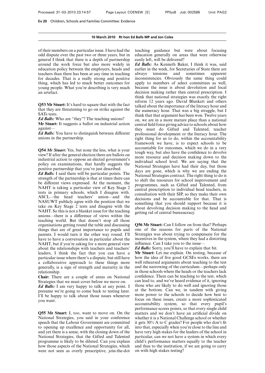of their members on a particular issue. I have had the odd dispute over the past two or three years, but in general I think that there is a depth of partnership around the work force but also more widely in education policy between the employers, heads and teachers than there has been at any time in teaching for decades. That is a really strong and positive thing, which has led to much better outcomes for young people. What you're describing is very much an artefact.

**Q53 Mr Stuart:** It's hard to square that with the fact that they are threatening to go on strike against the SATs tests.

*Ed Balls:* Who are "they"? The teaching unions?

**Mr Stuart:** It suggests a ballot on industrial action against—

*Ed Balls:* You have to distinguish between different unions in the partnership.

**Q54** *Mr Stuart:* Yes, but none the less, what is your view? If after the general election there are ballots on industrial action to oppose an elected government's policy on examinations, that hardly suggests the positive partnership that you've just described.

*Ed Balls:* I said there will be particular points. The strength of the partnership is that at times there can be different views expressed. At the moment, the NAHT is taking a particular view of Key Stage 2 tests in primary schools, which I disagree with. ASCL—the head teachers' union—and the NASUWT publicly agree with the position that we take on Key Stage 2 tests and disagree with the NAHT. So this is not a blanket issue for the teaching unions—there is a difference of views within the teaching world. But that doesn't stop all those organisations getting round the table and discussing things that are of great importance to pupils and parents. I would turn it the other way round. I'll have to have a conversation in particular about the NAHT, but if you're asking for a more general view about the relationships with teachers and teachers' leaders, I think the fact that you can have a particular issue where there's a dispute, but still have a collaborative approach to these things more generally, is a sign of strength and maturity in the relationship.

**Chair:** There are a couple of areas on National Strategies that we must cover before we move on.

*Ed Balls:* I am very happy to talk at any point. I presume we're going to come back to testing later. I'll be happy to talk about those issues whenever you want.

**Q55 Mr Stuart:** I, too, want to move on. On the National Strategies, you said in your conference speech that the Labour Government are committed to opening up excellence and opportunity for all, and yet there is a sense, with the closing down of the National Strategies, that the Gifted and Talented programme is likely to be diluted. Can you explain how those aspects of the National Strategies, which were not seen as overly prescriptive, join-the-dot

teaching guidance but were about focusing education generally on areas that were otherwise easily left, will be delivered?

*Ed Balls:* As Kenneth Baker, I think it was, said earlier in the week, for Secretaries of State there are always tensions and sometimes apparent inconsistencies. Obviously the same thing could apply to members of select committees as well, because the issue is about devolution and local decision making rather then central prescription. I think that national strategies was exactly the right reform 12 years ago. David Blunkett and others talked about the importance of the literacy hour and the numeracy hour. That was a big struggle, but I think that that argument has been won. Twelve years on, we are in a more mature place than a national central field force giving advice to schools about how they must do Gifted and Talented, teacher professional development or the literacy hour. The right thing for us to do, within the accountability framework we have, is to expect schools to be accountable for outcomes, which we do in a very tough way, but also have the confidence to devolve more resource and decision making down to the individual school level. We are saying that the National Strategies have had their day, but those days are gone, which is why we are ending the National Strategies contract. The right thing to do is to shift the resources for school improvement and programmes, such as Gifted and Talented, from central prescription to individual head teachers, in consultation with their SIP, so they make their own decisions and be accountable for that. That is something that you should support because it is about devolving decision making to the head and getting rid of central bureaucracy.

**Q56 Mr Stuart:** Can I follow on from that? Perhaps one of the reasons for parts of the National Strategies was about trying to compensate for the incentives in the system, where they had a distorting influence. Can I take you to the issue—

*Ed Balls:* Sorry, you'll have to explain that bit.

**Mr Stuart:** Let me explain. On testing, because of how the idea of five good GCSEs works, there are well rehearsed arguments about teaching to the test and the narrowing of the curriculum—perhaps only in those schools where the heads or the teachers lack confidence. There can be teaching to the test, which can lead to, and we've heard evidence of it, ignoring those who are likely to do well and ignoring those at the bottom. Can we, in tandem with giving more power to the schools to decide how best to focus on these issues, create a more sophisticated accountability system, so that every pupil's performance scores points, so that every single child matters and we don't have an artificial divide on whether it is a National Challenge school or whether it gets 30% A to C grades? For people who don't fit into that, especially when you're close to the line and have very high stakes for the leaders of the school in particular, can we not have a system in which every child's performance matters equally to the teacher and thus to the institution, if we are going to carry on with high stakes testing?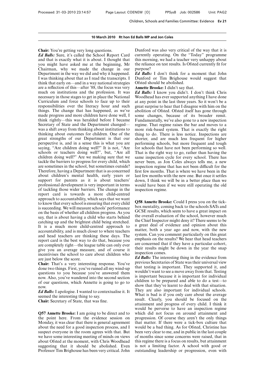### **Chair:** You're getting very long questions.

*Ed Balls:* Sure, it's called the School Report Card and that is exactly what it is about. I thought that you might have asked me at the beginning, Mr Chairman, why we made the change in our Department in the way we did and why it happened. I was thinking about that as I read the transcripts. I think that early on—and in a way national strategies are a reflection of this—after '88, the focus was very much on institutions and the profession. It was necessary in those stages to get in place the National Curriculum and force schools to face up to their responsibilities over the literacy hour and such things. The change that has happened, as we've made progress and more children have done well, I think rightly—this was heralded before I became Secretary of State and the Department changed was a shift away from thinking about institutions to thinking about outcomes for children. One of the great strengths of our Department is that our perspective is, and in a sense this is what you are saying, "Are children doing well?" It is not, "Are schools or teachers doing well?", but, "Are all children doing well?" Are we making sure that we tackle the barriers to progress for every child, which are sometimes in the school, but sometimes outside? Therefore, having a Department that is as concerned about children's mental health, early years or support for parents as it is about teachers' professional development is very important in terms of tackling those wider barriers. The change in the report card is towards a more child-centred approach to accountability, which says that we want to know that every school is ensuring that every child is succeeding. We will measure schools' performance on the basis of whether all children progress. As you say, that is about having a child who starts behind catching up and the brightest child being stretched. It is a much more child-centred approach to accountability, and is much closer to where teachers and head teachers are thinking these days. The report card is the best way to do that, because you are completely right—the league table can only ever give you an average measure, and of course it incentivises the school to care about children who are just below the score.

**Chair:** That's a very interesting response. You've done two things. First, you've ruined all my wind-up questions to you because you've answered them now. Also, you've wandered into the second section of our questions, which Annette is going to go to now.

*Ed Balls:* I apologise. I wanted to contextualise it. It seemed the interesting thing to say.

**Chair:** Secretary of State, that was fine.

**Q57 Annette Brooke:** I am going to be direct and to the point here. From the evidence session on Monday, it was clear that there is general agreement about the need for a good inspection process, and I suspect everyone in the room agrees with that. But we have some interesting meeting of minds on views about Ofsted at the moment, with Chris Woodhead suggesting that it should be abolished. Even Professor Tim Brighouse has been very critical. John

Dunford was also very critical of the way that it is currently operating. On the "Today" programme this morning, we had a teacher very unhappy about the reliance on test results. Is Ofsted currently fit for purpose?

*Ed Balls:* I don't think for a moment that John Dunford or Tim Brighouse would suggest that Ofsted should be abolished.

**Annette Brooke:** I didn't say that.

*Ed Balls:* I know you didn't. I don't think Chris Woodhead has ever supported anything I have done at any point in the last three years. So it won't be a great surprise to hear that I disagree with him on the abolition of Ofsted. Ofsted itself has gone through some changes, because of its broader remit. Fundamentally, we've also gone to a new inspection regime. That regime raises the bar and moves to a more risk-based system. That is exactly the right thing to do. There is less notice. Inspections are shorter, and are much less frequent for higher performing schools, but more frequent and tough for schools that have not been performing so well. That is the right way to go, rather than having the same inspection cycle for every school. There has never been, as Jon Coles always tells me, a new inspection regime that has not been difficult for the first few months. That is where we have been in the last few months with the new one. But once it settles down, I think we will be in a better place than we would have been if we were still operating the old inspection regime.

**Q58 Annette Brooke:** Could I press you on the tickbox mentality, coming back to the schools SATs and GCSE results, which seem to have a great impact on the overall evaluation of the school, however much the Chief Inspector might deny it? There seems to be a great deal of evidence and opinion about this matter, both a year ago and now, with the new system. Can you comment particularly on this great emphasis on the results? We hear that head teachers are concerned that if they have a particular cohort, their results might be down in the year the snap inspection comes.

*Ed Balls:* The interesting thing in the evidence from previous Secretaries of State was their universal view that testing is important. They supported it, and wouldn't want to see a move away from that. Testing is important because it is important for individual children to be prepared and able to do a test—to show that they've learnt to deal with that situation. They are also important for individual schools. What is bad is if you only care about the average result. Clearly, you should be focused on the attainment and progress of every child. I think it would be perverse to have an inspection regime which did not focus on around attainment and progression. Of course they aren't the only things that matter. If there were a tick-box culture that would be a bad thing. As for Ofsted, Christine has been very clear to me, and in public in the last couple of months since some concerns were raised, that in this regime there is a focus on results, but attainment is not a limiting factor. A school with good or outstanding leadership or progression, even with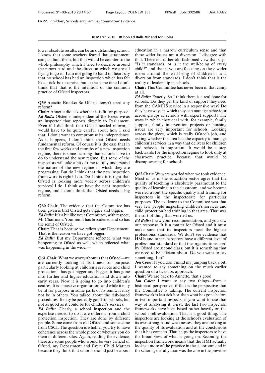lower absolute results, can be an outstanding school. I know that some teachers feared that attainment can just limit them, but that would be counter to the whole philosophy which I tried to describe around the report card and the direction which we are all trying to go in. I am not going to hand on heart say that no school has had an inspection which has felt like a tick-box exercise, but at the same time I don't think that that is the intention or the common practice of Ofsted inspectors.

**Q59 Annette Brooke:** So Ofsted doesn't need any reform?

**Chair:** Annette did ask whether it is fit for purpose. *Ed Balls:* Ofsted is independent of the Executive as an inspector that reports directly to Parliament. Even if I did think that Ofsted needed reform, I would have to be quite careful about how I said that. I don't want to compromise its independence. As it happens, I don't think that Ofsted needs fundamental reform. Of course it is the case that in the first few weeks and months of a new inspection regime, there is some learning that schools have to do to understand the new regime. But some of the inspectors will take a bit of time to fully understand the nature of the new regime in which they are progressing. But do I think that the new inspection framework is right? I do. Do I think it is right that Ofsted is looking more widely across children's services? I do. I think we have the right inspection regime, and I don't think that Ofsted needs a big reform.

**Q60 Chair:** The evidence that the Committee has been given is that Ofsted gets bigger and bigger.

*Ed Balls:*It's a bit like your Committee, with respect, Mr Chairman. Your remit has broadened and so has the remit of Ofsted.

**Chair:** That is because we reflect your Department. That is the reason we have got bigger.

*Ed Balls:* But my Department reflected what was happening to Ofsted as well, which reflected what was happening in the wider—

**Q61 Chair:** What we worry about is that Ofsted—we are currently looking at its fitness for purpose, particularly looking at children's services and child protection—has got bigger and bigger; it has gone into further and higher education and down into early years. Now it is going to go into children's centres. It is a massive organisation, and while it may be fit for purpose in some parts of its remit, it may not be in others. You talked about the risk-based procedures. It may be perfectly good for schools, but not as good as it could be for children's services.

*Ed Balls:* Clearly, a school inspection and the expertise needed to do it are different from a child protection inspection. They are done by different people. Some came from old Ofsted and some came from CSCI. The question is whether you try to have coherence across the whole piece or whether you do them in different silos. Again, reading the evidence, there are some people who would be very critical of Ofsted, my Department and Every Child Matters because they think that schools should just be about education in a narrow curriculum sense and that these wider issues are a diversion. I disagree with that. There is a rather old-fashioned view that says, "Is it standards, or is it the well-being of every child?" and that if you are focusing on these wider issues around the well-being of children it is a diversion from standards. I don't think that is the reality of leadership in schools.

**Chair:** This Committee has never been in that camp at all.

*Ed Balls:* Exactly. So I think there is a real issue for schools. Do they get the kind of support they need from the CAMHS service in a responsive way? Do they have ways in which they can manage behaviour across groups of schools with expert support? The ways in which they deal with, for example, family support, family intervention projects or housing issues are very important for schools. Looking across the piece, which is really Ofsted's job, and asking whether the area has the capacity to manage children's services in a way that delivers for children and schools, is important. It would be a step backwards for the inspection regime to look only at classroom practice, because that would be disempowering for schools.

**Q62 Chair:** We were worried when we took evidence. Most of us in the education sector agree that the quality of teaching is absolutely paramount to the quality of learning in the classroom, and we became worried about the specific quality and training for inspectors in the inspectorate for particular purposes. The evidence to the Committee was that very few people inspecting children's services and child protection had training in that area. That was the sort of thing that worried us.

*Ed Balls:* I saw your recommendation, and you saw our response. It is a matter for Ofsted and it must make sure that its inspectors meet the highest professional standards. We don't see evidence that HMIs and other inspectors have a different level of professional standard or that the organisations used by Ofsted are second class, but it is something that we need to be efficient about. Do you want to say something, Jon?

*Jon Coles:* If you don't mind my jumping back a bit, I wanted to say something on the much earlier question of a tick-box approach.

**Chair:** We are back to Annette, that's good.

*Jon Coles:* I want to say two things—from a historical perspective, if that is the perspective that the Committee is taking. The current inspection framework is less tick box than what has gone before in two important respects, if you want to use that way of analysing it. First, the last two inspection frameworks have been based rather heavily on the school's self-evaluation. That is a good thing. The inspectors are looking at the school's evaluation of its own strength and weaknesses; they are looking at the quality of its evaluation and at the conclusions that it has come to. That helps the inspectors to have the broad view of what is going on. Secondly, the inspection framework means that the HMI actually looks at more of the practice in the classroom and in the school generally than was the case in the previous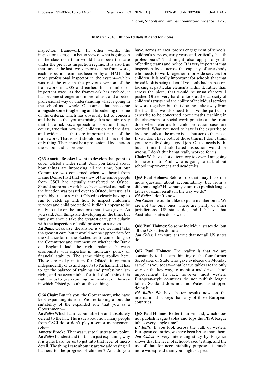inspection framework. In other words, the inspection team gets a better view of what is going on in the classroom than would have been the case under the previous inspection regime. It is also true that, under the last two versions of the framework, each inspection team has been led by an HMI—the most professional inspector in the system—which was not the case in the previous version of the framework in 2005 and earlier. In a number of important ways, as the framework has evolved, it has become stronger and more robust, and a better professional way of understanding what is going in the school as a whole. Of course, that has come alongside some toughening and broadening of some of the criteria, which has obviously led to concern and the issues that you are raising. It is not fair to say that it is a tick-box approach to inspection. It is, of course, true that how well children do and the data and evidence of that are important parts of the framework. That is as it should be, but it is not the only thing. There must be a professional look across the school and its process.

**Q63 Annette Brooke:** I want to develop that point to cover Ofsted's wider remit. Jon, you talked about how things are improving all the time, but our Committee was concerned when we heard from Dame Denise Platt that very few of the senior people from CSCI had actually transferred to Ofsted. Should more base work have been carried out before the function was passed over to Ofsted, because it is probably true to say that Ofsted is clearly having to run to catch up with how to inspect children's services and child protection? It didn't appear to be ready to take on the functions that it was given. As you said, Jon, things are developing all the time, but surely we should take the greatest care, particularly with the inspection of child protection services.

*Ed Balls:* Of course, the answer is yes, we must take the greatest care, but it would not be appropriate for the Chancellor of the Exchequer to come along to the Committee and comment on whether the Bank of England had the right balance between economists with expertise in monetary policy or financial stability. The same thing applies here. Those are really matters for Ofsted; it operates independently of us and reports to Parliament. It has to get the balance of training and professionalism right, and be accountable for it. I don't think it is right for us to give a running commentary on the way in which Ofsted goes about those things.

**Q64 Chair:** But it's you, the Government, who have kept expanding its role. We are talking about the suitability of the expanded role that you as a Government—

*Ed Balls:* Which I am accountable for and absolutely defend to the hilt. The issue about how many people from CSCI do or don't play a senior management role—

**Annette Brooke:** That was just to illustrate my point. *Ed Balls:*I understand that. I am just explaining why it is quite hard for us to get into that level of micro detail. The thing I care about is: are we addressing all barriers to the progress of children? And do you

have, across an area, proper engagement of schools, children's services, early years and, critically, health professionals? That might also apply to youth offending teams and police. It is very important that inspection looks across the capacity of everybody who needs to work together to provide services for children. It is really important for schools that that broad look is being taken. If you only had inspectors looking at particular elements within it, rather than across the piece, that would be unsatisfactory. I pushed Ofsted very hard to look at the capacity of children's trusts and the ability of individual services to work together, but that does not take away from the fact that we also need to have the particular expertise to be concerned about maths teaching in the classroom or social work practice at the front door when referrals for child protection cases are received. What you need to have is the expertise to look not only at the micro issue, but across the piece. If you don't have both of those things, I don't think you are really doing a good job. Ofsted needs both, but I think that silo-based inspection would be wrong. I don't think that really worked for us. **Chair:** We have a lot of territory to cover. I am going to move on to Paul, who is going to talk about

school improvement and academies.

**Q65 Paul Holmes:** Before I do that, may I ask one more question about accountability, but from a different angle? How many countries publish league tables of exam results in the way we do?

*Ed Balls:* I don't know.

*Jon Coles:* I wouldn't like to put a number on it. We are not the only ones. There are plenty of other jurisdictions. US states do, and I believe that Australian states do as well.

**Q66 Paul Holmes:** So some individual states do, but all the US states do not?

*Jon Coles:* I am sure it is true that not all US states do.

**Q67 Paul Holmes:** The reality is that we are constantly told—I am thinking of the four former Secretaries of State who gave evidence on Monday as well as you today—that league tables are the only way, or the key way, to monitor and drive school improvement. In fact, however, most western European-style countries do not publish league tables. Scotland does not and Wales has stopped doing it.

*Ed Balls:* We have better results now on the international surveys than any of those European countries.

**Q68 Paul Holmes:** Better than Finland, which does not publish league tables and tops the PISA league tables every single time?

*Ed Balls:* If you look across the bulk of western European countries, we have been better than them. *Jon Coles:* A very interesting study by Eurydice shows that the level of school-based testing, and the use of that for accountability purposes, is much more widespread than you might suspect.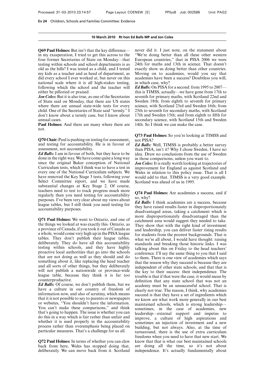Q69 Paul Holmes: But isn't that the key differencein my exasperation, I tried to get this across to the four former Secretaries of State on Monday—that testing within schools and school departments is as old as the hills? I was tested as a child, and I tested my kids as a teacher and as head of department, as did every school I ever worked at, but never on this national scale where it is all high-stakes testing, following which the school and the teacher will either be pilloried or praised.

*Jon Coles:* But it is also true, as one of the Secretaries of State said on Monday, that there are US states where there are annual state-wide tests for every child. One of the Secretaries of State said "termly." I don't know about a termly case, but I know about annual cases.

**Paul Holmes:** And there are many where there are not.

**Q70 Chair:** Paul is pushing on testing for assessment, and testing for accountability. He is in favour of assessment, not accountability.

*Ed Balls:* I am in favour of both, but they have to be done in the right way. We have come quite a long way since the original Baker conception of National Curriculum tests, which I think was to have a test in every one of the National Curriculum subjects. We have removed the Key Stage 3 tests, following your Select Committee report, and we have made substantial changes at Key Stage 2. Of course, teachers need to test to track progress much more regularly than you need testing for accountability purposes. I've been very clear about my views about league tables, but I still think you need testing for accountability purposes.

**Q71 Paul Holmes:** We went to Ontario, and one of the things we looked at was exactly this. Ontario, as a province of Canada, if you took it out of Canada as a whole, would come very high up in the PISA league tables. They don't publish their league tables, deliberately. They do have all this accountability testing within schools, and they have highly proactive local authorities that go into the schools that are not doing as well as they should and do something about it, like replacing the head teacher and all sorts of other things, but they deliberately will not publish a nationwide or province-wide league table, because they think it is far too counterproductive.

*Ed Balls:* Of course, we don't publish them, but we have a culture in our country of freedom of information now, and also of scrutiny, which means that it is not possible to say to parents or newspapers or websites, "You shouldn't have the information. You can't make these comparisons," and think that's going to happen. The issue is whether you can do this in a way which is fair rather than unfair and whether it is used properly in the accountability process rather than overemphasis being placed on particular measures. That's a challenge for us all.

**Q72 Paul Holmes:** In terms of whether you can claw back from here, Wales has stopped doing that, deliberately. We can move back from it. Scotland never did it. I just note, on the statement about "We're doing better than all these other western European countries," that in PISA 2006 we were 24th for maths and 13th in science. That doesn't exactly show us doing better than other countries. Moving on to academies, would you say that academies have been a success? Doubtless you will, in which case, why?

*Ed Balls:* On PISA for a second: from 1995 to 2007 this is TIMSS, actually—we have gone from 17th to seventh for primary maths, with Scotland 22nd and Sweden 18th; from eighth to seventh for primary science, with Scotland 23rd and Sweden 16th; from 25th to seventh for secondary maths, with Scotland 17th and Sweden 15th; and from eighth to fifth for secondary science, with Scotland 15th and Sweden 14th. So I think we can make the case.

**Q73 Paul Holmes:** So you're looking at TIMSS and not PISA?

*Ed Balls:* Well, TIMSS is probably a better survey than PISA, isn't it? Why I chose Sweden, I have no idea. Draw no conclusions from the use of Sweden in those comparisons, unless you want to.

Jon Coles: It is really worth looking at trajectories of improvement for England as against Scotland and Wales in relation to this policy issue. That is all I would add to that. TIMSS is a very good example. Scotland was ahead of us in 1995.

**Q74 Paul Holmes:** Are academies a success, and if so, why?

*Ed Balls:* I think academies are a success, because they have raised results faster in disproportionately disadvantaged areas, taking a catchment which is more disproportionately disadvantaged than the catchment area would suggest they needed to take. They show that with the right kind of investment and leadership, you can deliver faster rising results for students from the poorest backgrounds. That is what we're all about, I would have thought: raising standards and breaking those historic links. I was talking about this on Friday to the head teachers' conference. I'll say the same thing to you that I said to them. There is one view of academies which says that the reason why they succeed is because they are independent of other state schools, and that that is the key to their success: their independence. The trouble is that if that were the case, it would mean by definition that any state school that was not an academy must be an unsuccessful school. That is clearly not true. The reason, I think, why academies succeed is that they have a set of ingredients which we know are what work more generally in our best maintained schools, which is strong leadership sometimes, in the case of academies, new leadership—external support and impetus to improve, a culture of high aspirations and sometimes an injection of investment and a new building, but not always. Also, at the time of turnaround, there is the use of extra curriculum freedoms when you need to have that new start. We know that that is what our best maintained schools are doing all the time, so it's not about independence. It's actually fundamentally about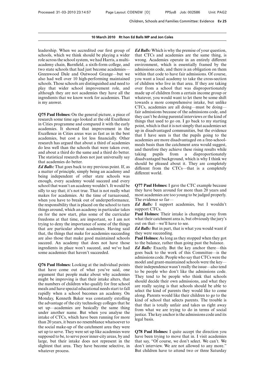leadership. When we accredited our first group of schools, which we think should be playing a wider role across the school system, we had Harris, a multiacademy chain, Barnfield, a sixth-form college, and two state schools that had just become academies— Greenwood Dale and Outwood Grange—but we also had well over 10 high-performing maintained schools. Those schools are distinguished and need to play that wider school improvement role, and although they are not academies they have all the ingredients that we know work for academies. That is my answer.

**Q75 Paul Holmes:** On the general picture, a piece of research some time ago looked at the old Excellence in Cities programme and compared it with the early academies. It showed that improvement in the Excellence in Cities areas was as fast as in the best academies, but cost a lot less financially. Other research has argued that about a third of academies do less well than the schools that were taken over, and about a third do the same and a third do better. The statistical research does not just universally say that academies do better.

*Ed Balls:* That goes back to my previous point. If, as a matter of principle, simply being an academy and being independent of other state schools was enough, every academy would succeed and every school that wasn't an academy wouldn't. It would be silly to say that; it's not true. That is not really what makes for academies. At the time of turnaround, when you have to break out of underperformance, the responsibility that is placed on the school to turn things around, which an academy in particular takes on for the new start, plus some of the curricular freedoms at that time, are important, so I am not trying to deny the importance of some of the things that are particular about academies. Having said that, the things that make for academies succeeding are also those that make good maintained schools succeed. An academy that does not have those ingredients in place won't succeed, and we've had some academies that haven't succeeded.

**Q76 Paul Holmes:** Looking at the individual points that have come out of what you've said, one argument that people make about why academies might be improving is that their intake alters, that the numbers of children who qualify for free school meals and have special educational needs start to fall rapidly when a school becomes an academy. On Monday, Kenneth Baker was constantly extolling the advantage of the city technology colleges that he set up—academies are basically the same thing under another name. But when you analyse the intake of CTCs, which have been running for more than 20 years, it bears no resemblance whatsoever to the social make-up of the catchment area they were set up to serve. They were set up like academies were supposed to be, to serve poor inner-city areas, by and large, but their intake does not represent in the slightest that area. They have become selective, in whatever process.

*Ed Balls:* Which is why the premise of your question, that CTCs and academies are the same thing, is wrong. Academies operate in an entirely different environment, which is essentially framed by the admissions code, and there is an obligation on them within that code to have fair admissions. Of course, you want a local academy to take the cross-section of children who live in that area. If they are taking over from a school that was disproportionately made up of children from a certain income group or whatever, you would want to let there be some shift towards a more comprehensive intake, but unlike CTCs, academies are all doing—must be doing fair admissions because of the admissions code, and they can't be doing parental interviews or the kind of things that used to go on. I go back to my starting point, which is that it is not simply that academies set up in disadvantaged communities, but the evidence that I have seen is that the pupils going to the academies are more disadvantaged on a free-schoolmeals basis than the catchment area would suggest, and therefore they achieve these rising results while taking pupils from a disproportionately disadvantaged background, which is why I think we should be pleased about it. They are completely different from the  $CTCs$ —that is a completely different world.

**Q77 Paul Holmes:** I gave the CTC example because they have been around for more than 20 years and most academies are too young to be judged properly. The evidence so far—

*Ed Balls:* I support academies, but I wouldn't support CTCs.

**Paul Holmes:** Their intake is changing away from what their catchment area is, but obviously the jury's out on that—we'll have to see.

*Ed Balls:* But in part, that is what you would want if they were succeeding.

**Paul Holmes:** As long as they stopped when they got to the balance, rather than going past the balance.

*Ed Balls:* Exactly. But the key anchor there—this goes back to the work of this Committee—is the admissions code. People who say that CTCs were the model and grant-maintained schools were the key their independence wasn't really the issue—also tend to be people who don't like the admissions code. They tend to be people who think that schools should decide their own admissions, and what they are really saying is that schools should be able to select the kind of parents they would like to come along. Parents would like their children to go to the kind of school that selects parents. The trouble is that that is totally unfair and takes us right away from what we are trying to do in terms of social justice. The key anchor is the admissions code and its legal basis.

**Q78 Paul Holmes:** I quite accept the direction you have been trying to move that in. I visit academies that say, "Of course, we don't select. We can't. We don't interview. We are not allowed to any more." But children have to attend two or three Saturday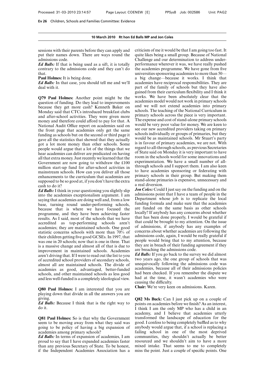sessions with their parents before they can apply and put their names down. There are ways round the admissions code.

*Ed Balls:* If that is being used as a sift, it is totally contrary to the admissions code and they can't do that.

**Paul Holmes:** It is being done.

*Ed Balls:* In that case, you should tell me and we'll deal with it.

**Q79 Paul Holmes:** Another point might be the question of funding. Do they lead to improvements because they get more cash? Kenneth Baker on Monday said that CTCs introduced breakfast clubs and after-school activities. They were given more money and therefore could afford to pay for that. A National Audit Office report on academies said on the front page that academies only get the same funding as schools but on the second or third page it gave all the statistics that showed that they actually got a lot more money than other schools. Some people would argue that a lot of the things that we hear academies can deliver are predicated on having all that extra money. Just recently we learned that the Government are now going to withdraw the £100 million start-up fund for after-school activities in mainstream schools. How can you deliver all those enhancements to the curriculum that academies are supposed to be so good at, if you don't have the extra cash to do it?

*Ed Balls:*I think in your questioning you slightly slip into the academies exceptionalism argument. I am saying that academies are doing well and, from a low base, turning round under-performing schools, because that is where we have focused the programme, and they have been achieving faster results. As I said, most of the schools that we have accredited as top-performing schools aren't academies; they are maintained schools. One good statistic concerns schools with more than 70% of their children getting five good GCSEs. In 1997, that was one in 20 schools; now that is one in three. That is a massive change and almost all of that is due to improvement in maintained schools. Academies aren't driving that. If I were to read out the list to you of accredited school providers of secondary schools, almost all are maintained schools. The divide of academies as good, advantaged, better-funded schools, and other maintained schools as less good and less well-funded is a completely ideological view.

**Q80 Paul Holmes:** I am interested that you are playing down that divide in all the answers you are giving.

*Ed Balls:* Because I think that is the right way to do it.

**Q81 Paul Holmes:** So is that why the Government seem to be moving away from what they said was going to be policy of having a big expansion of academies among primary schools?

*Ed Balls:* In terms of expansion of academies, I am proud to say that I have expanded academies faster than any previous Secretary of State. To be honest, if the Independent Academies Association has a

criticism of me it would be that I am going too fast. It quite likes being a small group. Because of National Challenge and our determination to address underperformance wherever it was, we have really pushed the academies programme. We have gone from five universities sponsoring academies to more than 50 a big change—because it works. I think that academies have reciprocal responsibilities. They are part of the family of schools but they have also gained from their curriculum flexibility and I think it works. We have been absolutely clear that the academies model would not work in primary schools and we will not extend academies into primary schools. The teaching of the National Curriculum in primary schools across the piece is very important. The expense and cost of stand-alone primary schools would be very poor value for money. We are keen to see our new accredited providers taking on primary schools individually or groups of primaries, but they would be as maintained schools. Mr Stuart's party is in favour of primary academies, we are not. With regard to all-through schools, as previous Secretaries of State said on Monday it is very important to have room in the schools world for some innovations and experimentation. We have a small number of allthrough schools and I support them. I am also keen to have academies sponsoring or federating with primary schools in their group. But making them stand-alone primaries is expensive, unnecessary and a real diversion.

*Jon Coles:* Could I just say on the funding and on the admissions point that I have a team of people in the Department whose job is to replicate the local funding formula and make sure that the academies are funded on the same basis as other schools locally? If anybody has any concerns about whether that has been done properly, I would be grateful if that could be brought to my attention. On the issue of admissions, if anybody has any examples of concerns about whether academies are following the admissions code, again, I would be really grateful if people would bring that to my attention, because they are in breach of their funding agreement if they are breaching the admissions code.

*Ed Balls:* If you go back to the survey we did almost two years ago, the one group of schools that was unequivocally following the admissions code was academies, because all of their admissions policies had been checked. If you remember the dispute we had at the time, it wasn't academies who were causing the difficulty.

**Chair:** We're very keen on admissions. Karen.

**Q82 Ms Buck:** Can I just pick up on a couple of points on academies before we finish? As an interest, I think I am the only MP who has a child in an academy, and I believe that academies utterly transformed the landscape of education for the good. I confess to being completely baffled as to why anybody would argue that, if a school is replacing a failing school in one of the most deprived communities, they shouldn't actually be better resourced and we shouldn't aim to have a more mixed intake. That seems to me to completely miss the point. Just a couple of specific points. One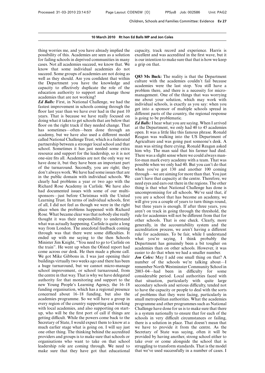thing worries me, and you have already implied the possibility of this. Academies are seen as a solution for failing schools in deprived communities in many cases. Not all academies succeed, we know that. We know that some individual academies do not succeed. Some groups of academies are not doing as well as they should. Are you confident that within the Department you have the knowledge and capacity to effectively duplicate the role of the education authority to support and change those academies that are not working?

*Ed Balls:* First, in National Challenge, we had the fastest improvement in schools coming through the floor last year than we have ever had in the past 10 years. That is because we have really focused on doing what it takes to get schools that are below that floor on the right track if they needed change. That has sometimes—often—been done through an academy, but we have also used a different model called National Challenge Trust, which is a federated partnership between a stronger local school and that school. Sometimes it has just needed some extra resource and support for the leadership, so it is not one-size fits all. Academies are not the only way we have done it, but they have been an important part of the turnaround. Secondly, you are right; they don't always work. We have had some issues that are in the public domain with individual schools. We clearly had problems a year or two ago with the Richard Rose Academy in Carlisle. We have also had documented issues with some of our multisponsors—just before Christmas with the United Learning Trust. In terms of individual schools, first of all, I did not feel as though we were in the right place when the problems happened with Richard Rose. What became clear was that nobody else really thought it was their responsibility to understand what was actually happening. Carlisle is quite a long way from London. The anecdotal feedback coming through was that there were some difficulties. It ended up with me saying to the then Schools Minister Jim Knight, "You need to go to Carlisle on the train". He went up when the Ofsted report had come across our desk. He then made a phone call. We got Mike Gibbons in. I was just opening their buildings virtually two weeks ago and there has been a huge turnaround, but we cannot micro-manage school improvement, or school turnaround, from the centre in that way. That is why we have delegated authority for that monitoring and support to the new Young People's Learning Agency, the 16–18 funding organisation, which has a regional presence concerned about 16–18 funding, but also the academies programme. So we will have a group in every region of the country supporting and working with local academies, and also supporting on startup, who will be the first port of call if things are getting difficult. While the powers come back to the Secretary of State, I would expect them to know at a much earlier stage what is going on. I will say just one other thing. The thinking behind the accredited providers and groups is to make sure that schools or organisations who want to take on that school leadership role are coming through. We need to make sure that they have got that educational capacity, track record and experience. Harris is excellent and was accredited in the first wave, but it is our intention to make sure that that is how we keep a grip on that.

**Q83 Ms Buck:** The reality is that the Department culture with the academies couldn't fail because academies were the last stop. You still have a problem there, and there is a necessity for micromanagement. One of the things that was worrying me about your solution, which may work with individual schools, is exactly as you say: when you get into a sponsor of multiple schools spread in different parts of the country, the regional response is going to be problematic.

*Ed Balls:* I hear what you are saying. When I arrived at the Department, we only had 40 to 45 academies open. It was a little like this famous phrase. Ronald Reagan was walking into the US Department of Agriculture and was going past someone's desk. A man was sitting there crying. Ronald Reagan asked him why. The man said that his farmer had died. There was a slight sense where we could always manfor-man mark every academy with a team. That was possible when we only had 40. But you can't do that when you've got 130 and another 100 coming through—we are aiming for more than that. You just can't have that capacity at the centre. Therefore, we need eyes and ears out there in the regions. The other thing is that what National Challenge has done is uncompromising for all schools. We've said that, if you are a school that has become an academy, we will give you a couple of years to turn things round, but three years is enough. If after three years, you aren't on track in going through the threshold, the rule for academies will not be different from that for other schools. That is one check. Clearly, more generally, in the accountability system and the accreditation process, we aren't having a different rule for academies. To be fair, while I understand what you're saying, I think probably the Department has genuinely been a bit tougher on academies than on other schools. However, it was easier to do that when we had a smaller number.

*Jon Coles:* May I add one small thing on that? A number of the schools we're talking about—I remember North Westminster Community School in 2003–04—had been in difficulty for some considerable period. Local authorities faced with that situation, particularly with quite large secondary schools and serious difficulty, tended not to have the capacity or people to deal with the sorts of problems that they were facing, particularly in small metropolitan authorities. What the academies programme and other programmes such as National Challenge have done for us is to make sure that there is a system nationally to ensure that for each of the schools in very difficult circumstances or failing, there is a solution in place. That doesn't mean that we have to provide it from the centre. As the Secretary of State was saying, often it will be provided by having another, strong school either to take over or come alongside the school that is struggling to transform standards. That is the model that we've used successfully in a number of cases. I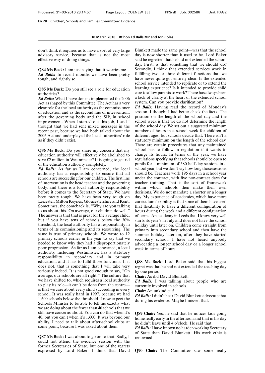don't think it requires us to have a sort of very large advisory service, because that is not the most effective way of doing things.

**Q84 Ms Buck:** I am just saying that it worries me. *Ed Balls:* In recent months we have been pretty tough, and rightly so.

**Q85 Ms Buck:** Do you still see a role for education authorities?

*Ed Balls:* What I have done is implemented the 2006 Act as shaped by this Committee. The Act has a very clear role for the local authority as the commissioner of education and as the second line of intervention, after the governing body and the SIP, in school improvement. When I started out this job, I said I thought that we had sent mixed messages in the recent past, because we had both talked about the 2006 Act and underplayed the local authorities' role as if they didn't exist.

**Q86 Ms Buck:** Do you share my concern that my education authority will effectively be abolished to save £2 million in Westminster? It is going to get rid of the education authority completely.

*Ed Balls:* As far as I am concerned, the local authority has a responsibility to ensure that all schools are succeeding for our children. The first line of intervention is the head teacher and the governing body, and there is a local authority responsibility before it comes to the Secretary of State. We have been pretty tough. We have been very tough on Leicester, Milton Keynes, Gloucestershire and Kent. Sometimes, the comeback is, "Why are you talking to us about this? On average, our children do well." The answer is that that is great for the average child, but if you have tens of schools below the 30% threshold, the local authority has a responsibility in terms of its commissioning and its resourcing. The same is true of primary schools. We wrote to 12 primary schools earlier in the year to say that we needed to know why they had a disproportionately poor progression. As far as I am concerned, a local authority, including Westminster, has a statutory responsibility in secondary and in primary education, and it has to fulfil those functions. If it does not, that is something that I will take very seriously indeed. It is not good enough to say, "On average, our schools are all right." The culture that we have shifted to, which requires a local authority to play its role—it can't be done from the centre is that we care about every child succeeding in every school. It was really hard in 1997, because we had 1,600 schools below the threshold. I now expect the Schools Minister to be able to tell me exactly what we are doing about the fewer than 40 schools that we still have concerns about. You can do that when it's 40, but you can't when it's 1,600. It was beyond our ability. I need to talk about after-school clubs at some point, because I was asked about them.

**Q87 Ms Buck:** I was about to go on to that. Sadly, I could not attend the evidence session with the former Secretaries of State, but one of the regrets expressed by Lord Baker—I think that David

Blunkett made the same point—was that the school day is now shorter than it used to be. Lord Baker said he regretted that he had not extended the school day. First, is that something that we should do? Secondly, I think that extended services work in fulfilling two or three different functions that we have never quite got entirely clear. Is the extended school service intended to replicate or to extend the learning experience? Is it intended to provide child care to allow parents to work? There has always been a lack of clarity at the heart of the extended school system. Can you provide clarification?

*Ed Balls:* Having read the record of Monday's session, I thought I had better check the facts. The position on the length of the school day and the school week is that we do not determine the length of the school day. We set out a suggested minimum number of hours in a school week for children of different ages, but schools decide that. There isn't a statutory minimum on the length of the school day. There are certain procedures that any maintained school has to follow in regulation if it wants to change its hours. In terms of the year, we have regulations specifying that schools should be open to pupils for a minimum of 380 half-day sessions in a school year, but we don't say how long those sessions should be. Teachers work 195 days in a school year under the contract, with five non-contact days for teacher training. That is the sort of framework within which schools then make their own decisions. We do not mandate a shorter or a longer day. My experience of academies, which have more curriculum flexibility, is that some of them have used that flexibility to have a different configuration of hours during the week and a different configuration of terms. An academy in Leeds that I know very well starts its year 7 in July and does not have the school holiday until later on. Children come straight from primary into secondary school and then have the summer holiday later on, after they have started secondary school. I have not heard anybody advocating a longer school day or a longer school week in terms of hours.

**Q88 Ms Buck:** Lord Baker said that his biggest regret was that he had not extended the teaching day by one period.

**Chair:** As did David Blunkett.

*Ed Balls:* I was talking about people who are currently involved in schools.

**Chair:** An unkind cut!

*Ed Balls:* I didn't hear David Blunkett advocate that during his evidence. Maybe I missed that.

**Q89 Chair:** Yes, he said that he notices kids going home really early in the afternoon and that in his day he didn't leave until 4 o'clock. He said that.

*Ed Balls:*I have known no harder-working Secretary of State than David Blunkett. His work ethic is renowned.

**Q90 Chair:** The Committee saw some really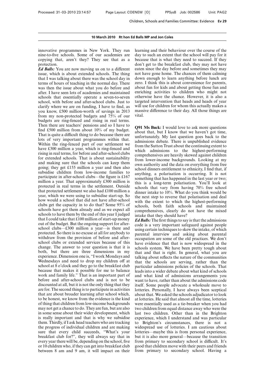innovative programmes in New York. They run nine-to-five schools. Some of our academies are copying that, aren't they? They see that as a protection.

*Ed Balls:* You are now moving us on to a different issue, which is about extended schools. The thing that I was talking about there was the school day in terms of hours of teaching in the normal day. There was then the issue about what you do before and after. I have seen lots of academies and maintained schools that essentially operate a seven-to-seven school, with before and after-school clubs. Just to clarify where we are on funding, I have to find, as you know, £500 million-worth of savings in 2013 from my non-protected budgets and 75% of our budgets are ring-fenced and rising in real terms. Then there are teachers' pensions and so I have to find £500 million from about 10% of my budget. That is quite a difficult thing to do because there are lots of very important programmes within that. Within the ring-fenced part of our settlement we have £300 million a year, which is ring-fenced and rising in real terms, for before and after-school clubs for extended schools. That is about sustainability and making sure that the schools can keep them going; they get £155 million a year and then also subsidise children from low-income families to participate in after-school clubs—the figure is £167 million a year. That approximately £300 million is protected in real terms in the settlement. Outside that protected settlement we also had £100 million a year, which we were using to subsidise start-up. So how would a school that did not have after-school clubs get the capacity in to do that? Some 95% of schools have got them already and as we expect all schools to have them by the end of this year I judged that I could take that £100 million of start-up money out of the budget. But the ongoing support for afterschool clubs—£300 million a year—is there and protected. So there is no excuse at all for anybody to withdraw from the provision of before and afterschool clubs or extended services because of this change. The answer to your question is that it is both, but there are three dimensions in my experience. Dimension one is, "I work Mondays and Wednesdays and need to drop my children off at school at 8 o'clock and they go to the breakfast club because that makes it possible for me to balance work and family life." That is an important part of before and after-school clubs and is not to be discounted at all, but it is not the only thing that they are for. The second thing is to participate in activities that are about broader learning after school which, to be honest, we know from the evidence is the kind of thing that children from low-income backgrounds may not get a chance to do. They are fun, but are also in some sense about their wider development, which is really important and that is why we subsidise them. Thirdly, if I ask head teachers who are tracking the progress of individual children and are making sure that every child succeeds, "What's your breakfast club for?", they will always say that in every year there will be, depending on the school, five or 10 children who, if they can get into breakfast club between 8 am and 9 am, it will impact on their learning and their behaviour over the course of the day to such an extent that the school will pay for it because that is what they need to succeed. If they don't get to the breakfast club, they may not have eaten since the day before and sometimes they may not have gone home. The chances of them calming down enough to learn anything before lunch are zero. I think this is about convenience for parents, about fun for kids and about getting those fun and enriching activities to children who might not otherwise have the chance. However, it is also a targeted intervention that heads and heads of year will use for children for whom this actually makes a massive difference to their day. All those things are vital.

**Q91 Ms Buck:** I would love to ask more questions about that, but I know that we haven't got time, unfortunately. My last question goes back to the admissions debate. There is unpublished evidence from the Sutton Trust about the continuing extent to which admissions to the highest-performing comprehensives are heavily skewed against children from lower-income backgrounds. Looking at my own authority and the data on everything from free school dinners entitlement to ethnicity, I find that, if anything, a polarisation is occurring. It is not something that has happened in the last year or two; this is a long-term polarisation. You'll look at schools that vary from having 70% free school dinner intake to 10%. What do you think would be the next step to reverse that polarisation and deal with the extent to which the highest-performing schools, both faith schools and maintained comprehensives, clearly do not have the mixed intake that they should have?

*Ed Balls:* The first things to say is that the admissions code is a very important safeguard against people using certain techniques to skew the intake, of which parental interview and asking about parental occupation are some of the old practices. We don't have evidence that that is now widespread in the schools system. We have been pretty tough about that and that is right. In general, what you are talking about reflects the nature of the communities that the schools are serving, rather than the particular admissions policies of the schools. That leads into a wider debate about what kind of schools and what kind of admissions arrangements you want to have, rather than about the admissions code itself. Some people advocate a wholesale move to lotteries. Personally, I have always been sceptical about that. We asked the schools adjudicator to look at lotteries. He said that almost all the time, lotteries were essentially used as a tie-breaker when you had two children from equal distance away who were the last two children. Other than in the Brighton experience, which I understand and was particular to Brighton's circumstances, there is not a widespread use of lotteries. I am cautious about lotteries—maybe this is from personal experience, but it is also more general—because the transition from primary to secondary school is difficult. It's good that children move with their peers and friends from primary to secondary school. Having a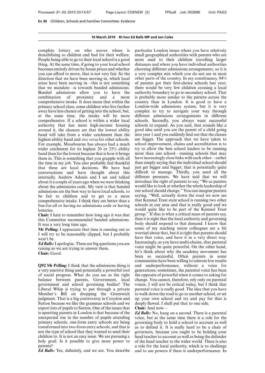complete lottery on who moves where is destabilising to children and bad for their welfare. People being able to go to their local school is a good thing. At the same time, if going to your local school becomes entirely driven by house prices and whether you can afford to move, that is not very fair. So the direction that we have been moving in, which local areas have been moving in—this is not something that we mandate—is towards banded admissions. Banded admissions allow you to have the combination of proximity and a more comprehensive intake. It does mean that within the primary school class, some children who live further away have less chance of getting into the school, but, at the same time, the intake will be more comprehensive. If a school is within a wider local authority that has more high-income housing around it, the chances are that the lowest ability band will take from a wider catchment than the highest ability band and *vice versa* for other schools. For example, Mossbourne has always had a much wider catchment for its highest 20 or 25% ability band than for the lowest because that is how it brings them in. This is something that you grapple with all the time in my job. You also probably feel thankful that these are local decisions. We have had conversations and have thought about this internally. Andrew Adonis and I sat and talked about it a couple of years ago when we were thinking about the admissions code. My view is that banded admissions are the best way to have local schools, to be fair to children and to get to a more comprehensive intake. I think they are better than a free-for-all or having no admissions code or having lotteries.

**Chair:** I hate to remember how long ago it was that this Committee recommended banded admissions. It was a very long time ago.

**Mr Pelling:** I appreciate that time is running out so I will try to be reasonably clipped, but I probably won't be.

*Ed Balls:*I apologise. These are big questions you are raising so we are trying to answer them. **Chair:** Good.

**Q92 Mr Pelling:** I think that the admissions thing is a very emotive thing and potentially a powerful tool of social progress. What do you see as the right balance between parents, Government, local government and school governing bodies? The Liberal Whip is trying to put through a private Member's Bill on dropping the Greenwich judgment. That is a big controversy in Croydon and Sutton because we like the grammar schools and we export lots of pupils to Sutton. One of the issues that is upsetting parents in London is that because of the unexpected rise in the number of pupils attending primary schools, one-form entry schools are being transformed into two-form entry schools, and that is not the type of school that they wanted to send their children to. It is not an easy issue. We are pursuing a holy grail. Is it possible to give more power to parents?

*Ed Balls:* Yes, definitely, and we are. You describe

particular London issues where you have relatively small geographical authorities with parents who are more used to their children travelling larger distances and where you have individual authorities choosing different admissions arrangements, so it is a very complex mix which you do not see in most other parts of the country. In my constituency, 94% of parents got their first-choice schools last year; there would be very few children crossing a local authority boundary to go to secondary school. That is probably more similar to the pattern across the country than in London. It is good to have a London-wide admissions system, but it is very complex to try to navigate your way through different admissions arrangements in different schools. Secondly, you always want successful schools to expand. As you said, that sounds like a good idea until you are the parent of a child going into year 1 and you suddenly find out that the classes are bigger. The approach that we have taken to school improvement, chains and accreditation is to try to allow the best school leaders to be running more than one school—running schools that may have increasingly close links with each other—rather than simply saying that the individual school should just get bigger and bigger; that is potentially quite difficult to manage. Thirdly, you need all the different pressures. We have said that we will introduce the right of parents to say, "We as parents would like to look at whether the whole leadership of our school should change." You can imagine parents saying, "Well, actually down the road we now see that Kemnal Trust state school is running two other schools in our area and that is really good and we would quite like to be part of the Kemnal Trust group." If that is what a critical mass of parents say, then it is right that the local authority and governing body should respond to that demand. I know that some of my teaching union colleagues are a bit worried about that, but it is right that parents should have that voice, and have it in a very direct way. Increasingly, as you have multi-chains, that parental voice might be quite powerful. On the other hand, let's think about why the academy movement has been so successful. Often parents in some communities have been willing to tolerate low results and underperformance, without a voice for generations; sometimes, the parental voice has been the opposite of powerful when it comes to asking for change. You cannot, therefore, rely only on parental voices. I will not be critical today, but I think that parental voice is really good. The idea that you have to walk down the road to go to another school, or set up your own school and try and pay for that is deeply flawed. I shall put that to one side.

#### **Chair:** And now—

*Ed Balls:* No, hang on a second. There is a parental voice, but at the same time there is a role for the governing body to hold a school to account as well as to defend it. It is really hard to be a chair of governors, because you ought to be holding your head teacher to account as well as being the defender of the head teacher to the wider world. There is also a role for the local authority, which is to challenge and to use powers if there is underperformance. In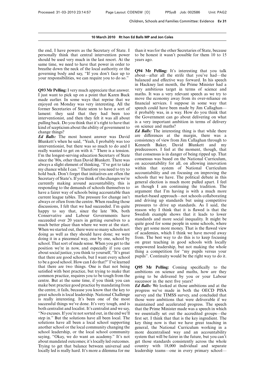the end, I have powers as the Secretary of State. I personally think that central intervention power should be used very much in the last resort. At the same time, we need to have that power in order to breathe down the neck of the local authority or the governing body and say, "If you don't face up to your responsibilities, we can require you to do so."

**Q93 Mr Pelling:** I very much appreciate that answer. I just want to pick up on a point that Karen Buck made earlier. In some ways that reprise that we enjoyed on Monday was very interesting. All the former Secretaries of State seem to have a sort of lament: they said that they had been too interventionist, and then they felt it was all about pulling back. Do you think that it's right to have that kind of scepticism about the ability of government to change things?

*Ed Balls:* The most honest answer was David Blunkett's when he said, "Yeah, I probably was too interventionist, but there was so much to do and I really wanted to get on with it." There is a tension. I'm the longest-serving education Secretary of State since the '80s, other than David Blunkett. There was always a slight element of thinking, "I've got to take my chance while I can." Therefore you need to try to hold back. Don't forget that initiatives are often the Secretary of State's. If you think of the changes we're currently making around accountability, this is responding to the demands of schools themselves to have a fairer way of schools being accountable than current league tables. The pressure for change isn't always or often from the centre. When reading those discussions, I felt that we had succeeded. I'm quite happy to say that, since the late '80s, both Conservative and Labour Governments have succeeded over 20 years in getting ourselves to a much better place than where we were at the start. When we started out, there were so many schools not doing as well as they should have done; we were doing it in a piecemeal way, one by one, school by school. That sort of made sense. When you get to the position we're in now, and especially if you care about social justice, you think to yourself, "It's great that there are good schools, but I want every school to be a good school. How can I do that?" I've learned that there are two things. One is that not being satisfied with best practice, but trying to make that common practice, requires you to be tough from the centre. But at the same time, if you think you can make best practice good practice by mandating from the centre, it fails, because you know that the key to great schools is local leadership. National Challenge is really interesting. It's been one of the most successful things we've done. It's very tough, and is both centralist and localist. It's centralist and we say, "No excuses. If you're not sorted out, in the end we'll step in." But the solutions have all been local. The solutions have all been a local school supporting another school or the local community changing the school leadership, or the local school community saying, "Okay, we do want an academy." It's not about mandated outcomes; it's locally led outcomes. Trying to get that balance between universal and locally led is really hard. It's more a dilemma for me

than it was for the other Secretaries of State, because to be honest it wasn't possible for them 10 to 15 years ago.

**Q94 Mr Pelling:** It's interesting that you talk about—after all the strife that you've had—the balanced and effective way forward. In his speech in Hackney last month, the Prime Minister had a very ambitious target in terms of science and maths. It was a very relevant speech as we try to move the economy away from its over-reliance on financial services. I suppose in some way that speech could have been made by Jim Callaghan it probably was, in a way. How do you think that the Government can go about delivering on what is a very important ambition in terms of delivery on science and maths?

*Ed Balls:* The interesting thing is that while there are differences at the margin, there was a consistency of view from Jim Callaghan through to Kenneth Baker, David Blunkett and my predecessors. I feel at the moment, though, that that consensus is in danger of being ripped up. That consensus was based on the National Curriculum, on accountability for all, on allowing innovation within that system of National Curriculum accountability and on focusing on improving the schools that we have. The political debate in this general election is much more pulled apart. I feel as though I am continuing the tradition. The argument that I'm having is with a much more market-based approach—not schools collaborating and driving up standards but using competitive pressures to drive up standards. As I said, the reason why I think that it is flawed is that the Swedish example shows that it leads to lower standards and more social inequality. It might be quite good for some people in some schools, where they get some more money. That is the flawed view of academies, which I think we have moved away from. The best way to do this is to keep focusing on great teaching in good schools with locally empowered leadership, but not making the whole thing a competition for "my pupils versus your pupils". Continuity would be the right way to do it.

**Q95 Mr Pelling:** Coming specifically to the ambitions on science and maths, how are they going to be delivered by you or your Labour successor in the next five years?

*Ed Balls:* We looked at those ambitions and at the progress we've made in both the OECD PISA survey and the TIMSS survey, and concluded that those were ambitions that were deliverable if we maintained and accelerated progress. The speech that the Prime Minister made was a speech in which we essentially set out the accredited groups—the first set. I think that that is the key ingredient. The key thing now is that we have great teaching in general, the National Curriculum working in a more decentralised way and an accountability system that will be fairer in the future, but you can't get those standards consistently across the whole country with 18,000 individual and separate leadership teams—one in every primary school—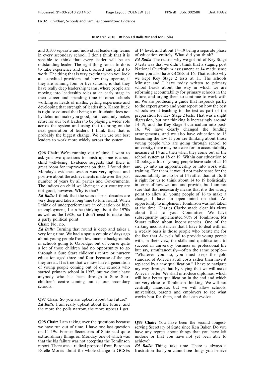and 3,500 separate and individual leadership teams in every secondary school. I don't think that it is sensible to think that every leader will be an outstanding leader. The right thing for us to do is to take experience and track record and put it to work. The thing that is very exciting when you look at accredited providers and how they operate, if they are running four or five schools, is that they have really deep leadership teams, where people are moving into leadership roles at an early stage in their career and spending time in other schools working as heads of maths, getting experience and developing that strength of leadership. Karen Buck is right to counsel that being a multi-chain does not by definition make you good, but it certainly makes sense for our best leaders to be playing a wider role across the system and using that to bring on the next generation of leaders. I think that that is probably the biggest change. We can use our best leaders to work more widely across the system.

**Q96 Chair:** We're running out of time. I want to ask you two questions to finish up; one is about child well-being. Evidence suggests that there is great room for improvement on that. I found that Monday's evidence session was very upbeat and positive about the achievements made over the past number of years by all parties and Governments. The indices on child well-being in our country are not good, however. Why is that?

*Ed Balls:* I think that the scars of past decades are very deep and take a long time to turn round. When I think of underperformance in education or high unemployment, I can be thinking about the 1970s as well as the 1980s, so I don't need to make this a party political point.

### **Chair:** No, no.

*Ed Balls:* Turning that round is deep and takes a very long time. We had a spat a couple of days ago about young people from low-income backgrounds in schools going to Oxbridge, but of course quite a lot of those children had no opportunity to go through a Sure Start children's centre or nursery education aged three and four, because of the age they are at. It is true that we now have a generation of young people coming out of our schools who started primary school in 1997, but we don't have anybody who has been through a Sure Start children's centre coming out of our secondary schools.

**Q97 Chair:** So you are upbeat about the future? *Ed Balls:* I am really upbeat about the future, and the more the polls narrow, the more upbeat I get.

**Q98 Chair:** I am taking over the questions because we have run out of time. I have one last question on 14–19s. Former Secretaries of State said quite extraordinary things on Monday, one of which was that the big failure was not accepting the Tomlinson report. There was a radical proposal from Baroness Estelle Morris about the whole change in GCSEs at 14 level, and about 14–19 being a separate phase of education entirely. What did you think?

*Ed Balls:* The reason why we got rid of Key Stage 3 tests was that we didn't think that a staging post National Curriculum assessment at 14 made sense when you also have GCSEs at 16. That is also why we kept Key Stage 2 tests at 11. The schools Minister and I have today written to primary school heads about the way in which we are reforming accountability for primary schools in the future, and urging them to continue to work with us. We are producing a guide that responds partly to the expert group and your report on how the best schools avoid teaching to the test as part of the preparation for Key Stage 2 tests. That was a slight digression, but our thinking is increasingly around 14–19, and the Key Stage 4 curriculum into post-16. We have clearly changed the funding arrangements, and we also have education to 18 becoming the law. If you are thinking about those young people who are going through school to university, there may be a case for an accountability measure at 14 and then when they come out of the school system at 18 or 19. Within our education to 18 policy, a lot of young people leave school at 16 and go into an apprenticeship or into work with training. For them, it would not make sense for the accountability test to be at 14 rather than at 16. It is right for us to think about 14 to 19 holistically in terms of how we fund and provide, but I am not sure that that necessarily means that it is the wrong point to allow all young people of 16 to make a change. I have an open mind on that. An opportunity to implement Tomlinson was not taken at the time. Charles Clarke made clear his views about that to your Committee. We have subsequently implemented 90% of Tomlinson. Mr Stuart talked about inconsistencies. One of the striking inconsistencies that I have to deal with on a weekly basis is those people who berate me for the fact that A-levels fail to provide young people with, in their view, the skills and qualifications to succeed in university, business or professional life but say, simultaneously—often the same people— "Whatever you do, you must keep the gold standard of A-levels at all costs rather than have it replaced by a new qualification." I have to navigate my way through that by saying that we will make A-levels better. We shall introduce diplomas, which will be a better qualification in the end and which are very close to Tomlinson thinking. We will not centrally mandate, but we will allow schools, universities, parents and employers to see what works best for them, and that can evolve.

**Q99 Chair:** You have been the second longestserving Secretary of State since Ken Baker. Do you have any regrets about things that you have left undone or that you have not yet been able to achieve?

*Ed Balls:* Things take time. There is always a frustration that you cannot see things you believe